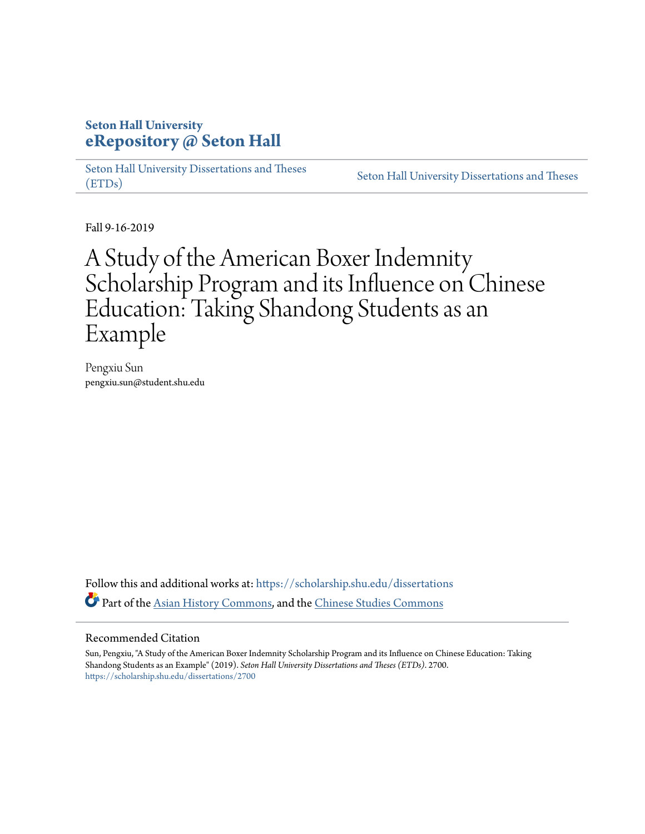# **Seton Hall University [eRepository @ Seton Hall](https://scholarship.shu.edu/?utm_source=scholarship.shu.edu%2Fdissertations%2F2700&utm_medium=PDF&utm_campaign=PDFCoverPages)**

[Seton Hall University Dissertations and Theses](https://scholarship.shu.edu/dissertations?utm_source=scholarship.shu.edu%2Fdissertations%2F2700&utm_medium=PDF&utm_campaign=PDFCoverPages) [\(ETDs\)](https://scholarship.shu.edu/dissertations?utm_source=scholarship.shu.edu%2Fdissertations%2F2700&utm_medium=PDF&utm_campaign=PDFCoverPages)

[Seton Hall University Dissertations and Theses](https://scholarship.shu.edu/etds?utm_source=scholarship.shu.edu%2Fdissertations%2F2700&utm_medium=PDF&utm_campaign=PDFCoverPages)

Fall 9-16-2019

# A Study of the American Boxer Indemnity Scholarship Program and its Influence on Chinese Education: Taking Shandong Students as an Example

Pengxiu Sun pengxiu.sun@student.shu.edu

Follow this and additional works at: [https://scholarship.shu.edu/dissertations](https://scholarship.shu.edu/dissertations?utm_source=scholarship.shu.edu%2Fdissertations%2F2700&utm_medium=PDF&utm_campaign=PDFCoverPages) Part of the [Asian History Commons](http://network.bepress.com/hgg/discipline/491?utm_source=scholarship.shu.edu%2Fdissertations%2F2700&utm_medium=PDF&utm_campaign=PDFCoverPages), and the [Chinese Studies Commons](http://network.bepress.com/hgg/discipline/1081?utm_source=scholarship.shu.edu%2Fdissertations%2F2700&utm_medium=PDF&utm_campaign=PDFCoverPages)

#### Recommended Citation

Sun, Pengxiu, "A Study of the American Boxer Indemnity Scholarship Program and its Influence on Chinese Education: Taking Shandong Students as an Example" (2019). *Seton Hall University Dissertations and Theses (ETDs)*. 2700. [https://scholarship.shu.edu/dissertations/2700](https://scholarship.shu.edu/dissertations/2700?utm_source=scholarship.shu.edu%2Fdissertations%2F2700&utm_medium=PDF&utm_campaign=PDFCoverPages)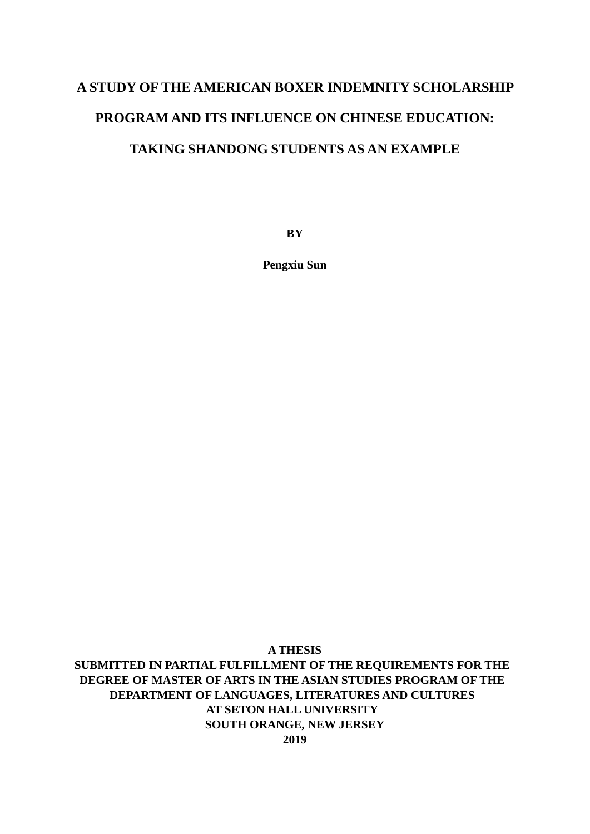# **A STUDY OF THE AMERICAN BOXER INDEMNITY SCHOLARSHIP PROGRAM AND ITS INFLUENCE ON CHINESE EDUCATION: TAKING SHANDONG STUDENTS AS AN EXAMPLE**

**BY**

**Pengxiu Sun**

## **A THESIS SUBMITTED IN PARTIAL FULFILLMENT OF THE REQUIREMENTS FOR THE DEGREE OF MASTER OF ARTS IN THE ASIAN STUDIES PROGRAM OF THE DEPARTMENT OF LANGUAGES, LITERATURES AND CULTURES AT SETON HALL UNIVERSITY SOUTH ORANGE, NEW JERSEY 2019**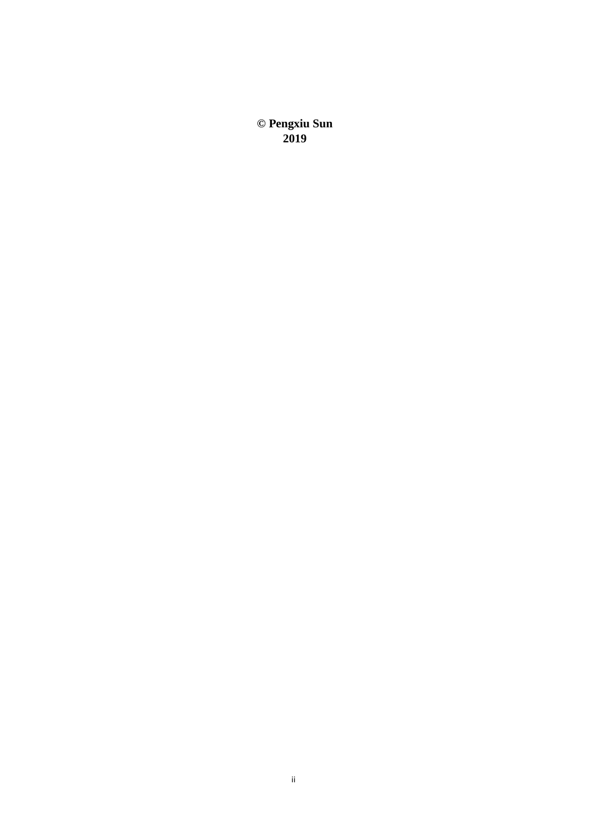**© Pengxiu Sun 2019**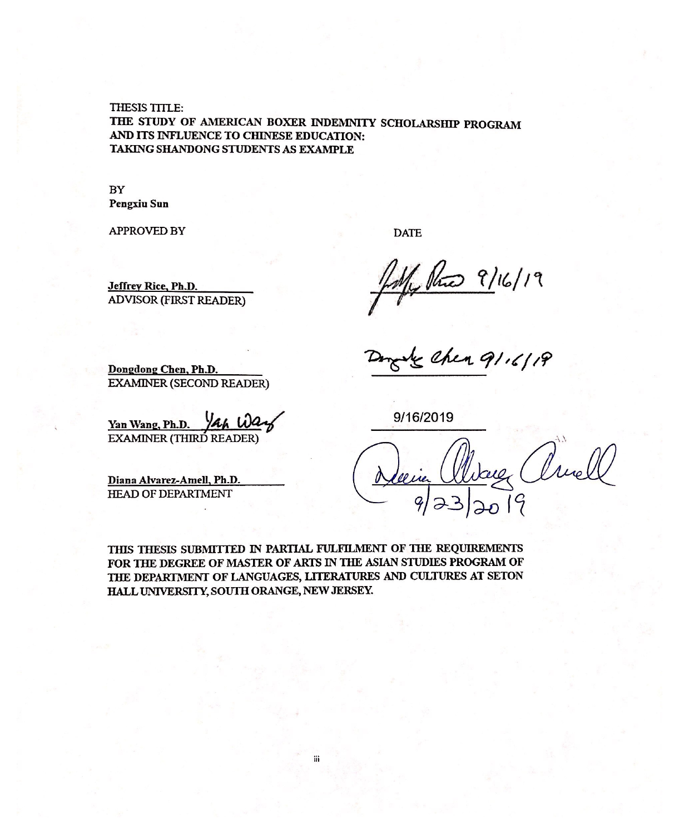THESIS TITLE: THE STUDY OF AMERICAN BOXER INDEMNITY SCHOLARSHIP PROGRAM AND ITS INFLUENCE TO CHINESE EDUCATION: TAKING SHANDONG STUDENTS AS EXAMPLE

#### **BY Pengxiu Sun**

**APPROVED BY** 

Jeffrey Rice, Ph.D.

**DATE** 

July Rue 9/16/19

Dongdong Chen, Ph.D. **EXAMINER (SECOND READER)** 

**ADVISOR (FIRST READER)** 

Yan Wang, Ph.D.

**EXAMINER (THIRD READER)** 

Diana Alvarez-Amell, Ph.D. **HEAD OF DEPARTMENT** 

9/16/2019

Cruel

THIS THESIS SUBMITTED IN PARTIAL FULFILMENT OF THE REQUIREMENTS FOR THE DEGREE OF MASTER OF ARTS IN THE ASIAN STUDIES PROGRAM OF THE DEPARTMENT OF LANGUAGES, LITERATURES AND CULTURES AT SETON HALL UNIVERSITY, SOUTH ORANGE, NEW JERSEY.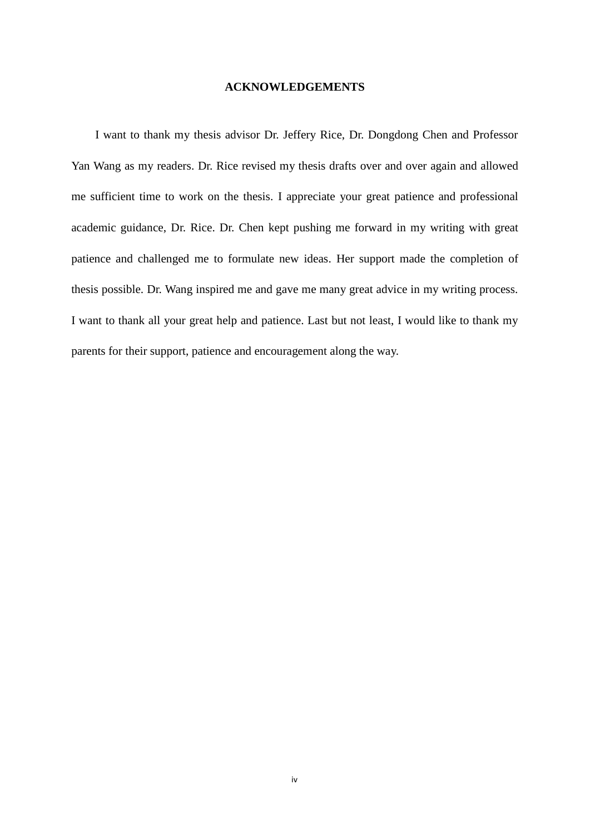#### **ACKNOWLEDGEMENTS**

I want to thank my thesis advisor Dr. Jeffery Rice, Dr. Dongdong Chen and Professor Yan Wang as my readers. Dr. Rice revised my thesis drafts over and over again and allowed me sufficient time to work on the thesis. I appreciate your great patience and professional academic guidance, Dr. Rice. Dr. Chen kept pushing me forward in my writing with great patience and challenged me to formulate new ideas. Her support made the completion of thesis possible. Dr. Wang inspired me and gave me many great advice in my writing process. I want to thank all your great help and patience. Last but not least, I would like to thank my parents for their support, patience and encouragement along the way.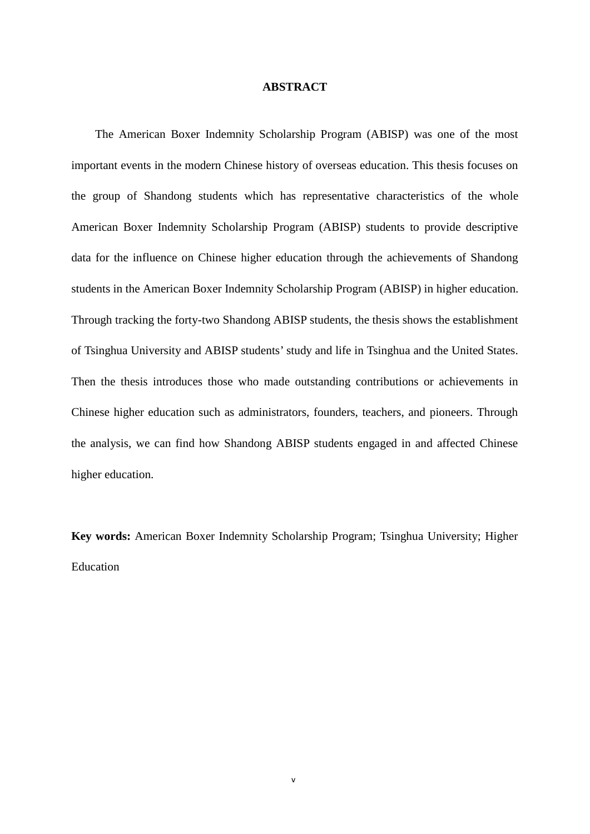#### **ABSTRACT**

The American Boxer Indemnity Scholarship Program (ABISP) was one of the most important events in the modern Chinese history of overseas education. This thesis focuses on the group of Shandong students which has representative characteristics of the whole American Boxer Indemnity Scholarship Program (ABISP) students to provide descriptive data for the influence on Chinese higher education through the achievements of Shandong students in the American Boxer Indemnity Scholarship Program (ABISP) in higher education. Through tracking the forty-two Shandong ABISP students, the thesis shows the establishment of Tsinghua University and ABISP students' study and life in Tsinghua and the United States. Then the thesis introduces those who made outstanding contributions or achievements in Chinese higher education such as administrators, founders, teachers, and pioneers. Through the analysis, we can find how Shandong ABISP students engaged in and affected Chinese higher education.

**Key words:** American Boxer Indemnity Scholarship Program; Tsinghua University; Higher Education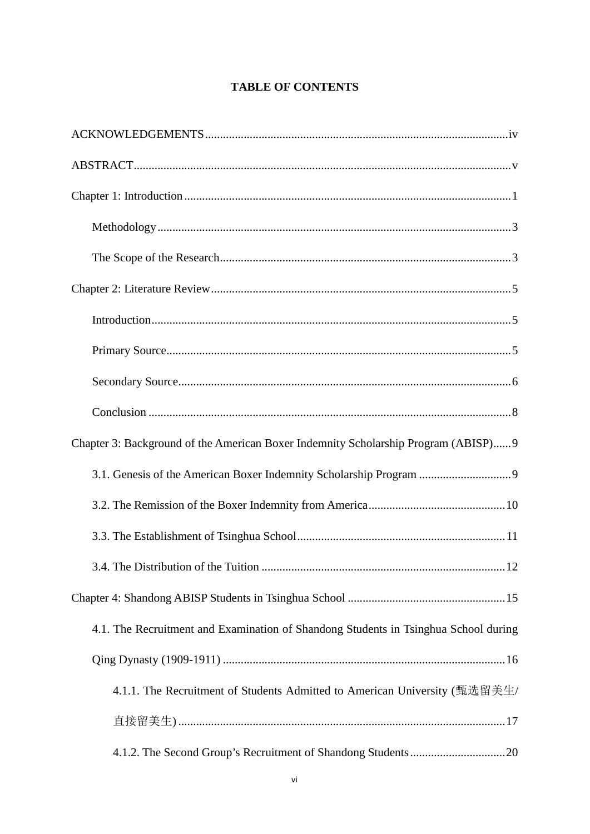# **TABLE OF CONTENTS**

| Chapter 3: Background of the American Boxer Indemnity Scholarship Program (ABISP)9  |
|-------------------------------------------------------------------------------------|
|                                                                                     |
|                                                                                     |
|                                                                                     |
| 12                                                                                  |
|                                                                                     |
| 4.1. The Recruitment and Examination of Shandong Students in Tsinghua School during |
|                                                                                     |
| 4.1.1. The Recruitment of Students Admitted to American University (甄选留美生/          |
|                                                                                     |
|                                                                                     |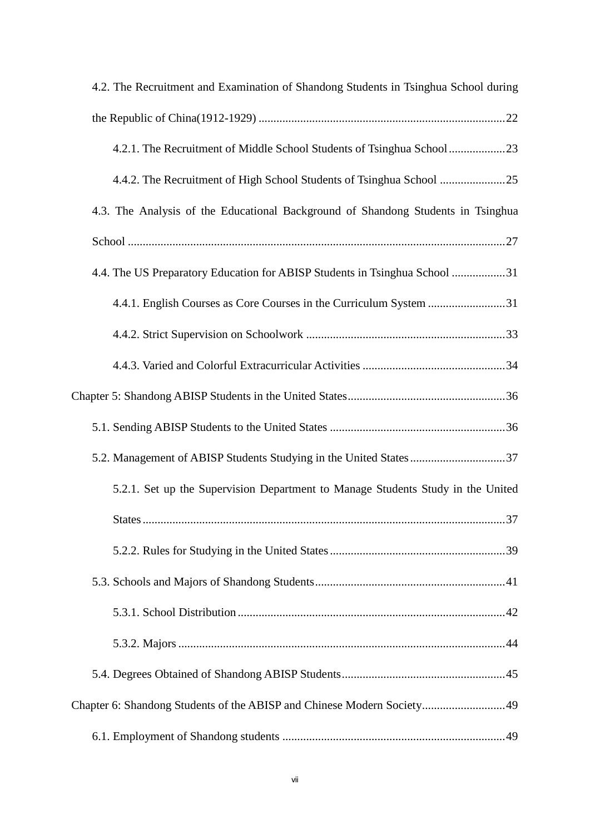| 4.2. The Recruitment and Examination of Shandong Students in Tsinghua School during |
|-------------------------------------------------------------------------------------|
|                                                                                     |
|                                                                                     |
|                                                                                     |
| 4.3. The Analysis of the Educational Background of Shandong Students in Tsinghua    |
|                                                                                     |
| 4.4. The US Preparatory Education for ABISP Students in Tsinghua School 31          |
| 4.4.1. English Courses as Core Courses in the Curriculum System 31                  |
|                                                                                     |
|                                                                                     |
|                                                                                     |
|                                                                                     |
|                                                                                     |
| 5.2.1. Set up the Supervision Department to Manage Students Study in the United     |
| 37<br><b>States</b>                                                                 |
|                                                                                     |
|                                                                                     |
|                                                                                     |
|                                                                                     |
|                                                                                     |
| Chapter 6: Shandong Students of the ABISP and Chinese Modern Society49              |
|                                                                                     |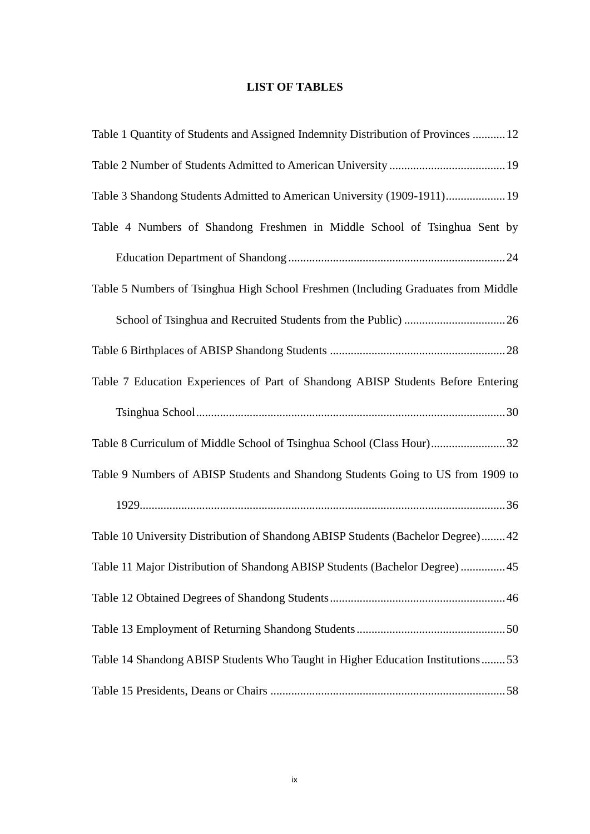## **LIST OF TABLES**

| Table 1 Quantity of Students and Assigned Indemnity Distribution of Provinces  12 |
|-----------------------------------------------------------------------------------|
|                                                                                   |
| Table 3 Shandong Students Admitted to American University (1909-1911) 19          |
| Table 4 Numbers of Shandong Freshmen in Middle School of Tsinghua Sent by         |
|                                                                                   |
| Table 5 Numbers of Tsinghua High School Freshmen (Including Graduates from Middle |
|                                                                                   |
|                                                                                   |
| Table 7 Education Experiences of Part of Shandong ABISP Students Before Entering  |
|                                                                                   |
| Table 8 Curriculum of Middle School of Tsinghua School (Class Hour)32             |
| Table 9 Numbers of ABISP Students and Shandong Students Going to US from 1909 to  |
|                                                                                   |
| Table 10 University Distribution of Shandong ABISP Students (Bachelor Degree) 42  |
| Table 11 Major Distribution of Shandong ABISP Students (Bachelor Degree)  45      |
|                                                                                   |
|                                                                                   |
| Table 14 Shandong ABISP Students Who Taught in Higher Education Institutions53    |
|                                                                                   |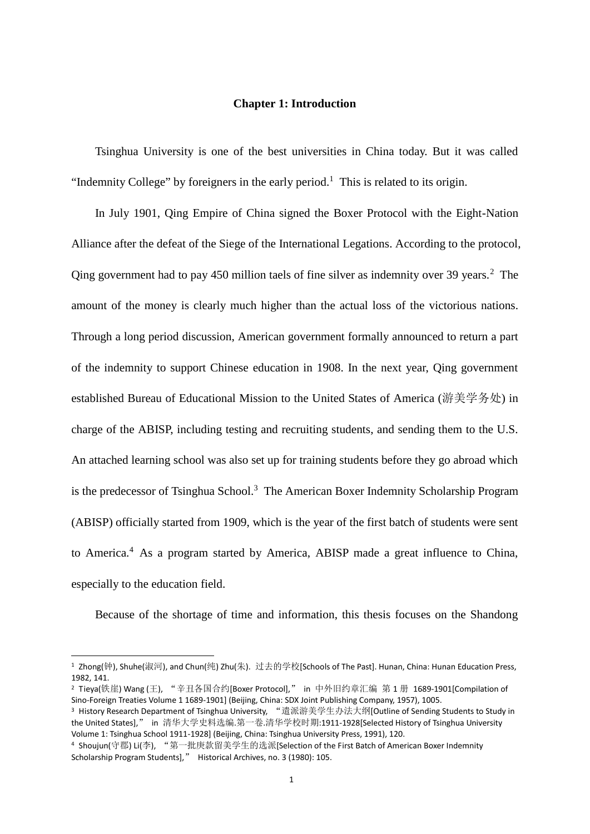#### **Chapter 1: Introduction**

Tsinghua University is one of the best universities in China today. But it was called "Indemnity College" by foreigners in the early period.<sup>1</sup> This is related to its origin.

In July 1901, Qing Empire of China signed the Boxer Protocol with the Eight-Nation Alliance after the defeat of the Siege of the International Legations. According to the protocol, Qing government had to pay 450 million taels of fine silver as indemnity over 39 years.<sup>2</sup> The amount of the money is clearly much higher than the actual loss of the victorious nations. Through a long period discussion, American government formally announced to return a part of the indemnity to support Chinese education in 1908. In the next year, Qing government established Bureau of Educational Mission to the United States of America (游美学务处) in charge of the ABISP, including testing and recruiting students, and sending them to the U.S. An attached learning school was also set up for training students before they go abroad which is the predecessor of Tsinghua School.<sup>3</sup> The American Boxer Indemnity Scholarship Program (ABISP) officially started from 1909, which is the year of the first batch of students were sent to America.<sup>4</sup> As a program started by America, ABISP made a great influence to China, especially to the education field.

Because of the shortage of time and information, this thesis focuses on the Shandong

<sup>1</sup> Zhong(钟), Shuhe(淑河), and Chun(纯) Zhu(朱). 过去的学校[Schools of The Past]. Hunan, China: Hunan Education Press, 1982, 141.

<sup>2</sup> Tieya(铁崖) Wang (王), "辛丑各国合约[Boxer Protocol]," in 中外旧约章汇编 第 1 册 1689-1901[Compilation of Sino-Foreign Treaties Volume 1 1689-1901] (Beijing, China: SDX Joint Publishing Company, 1957), 1005.

<sup>3</sup> History Research Department of Tsinghua University, "遣派游美学生办法大纲[Outline of Sending Students to Study in the United States]," in 清华大学史料选编.第一卷.清华学校时期:1911-1928[Selected History of Tsinghua University Volume 1: Tsinghua School 1911-1928] (Beijing, China: Tsinghua University Press, 1991), 120.

<sup>4</sup> Shoujun(守郡) Li(李), "第一批庚款留美学生的选派[Selection of the First Batch of American Boxer Indemnity Scholarship Program Students]," Historical Archives, no. 3 (1980): 105.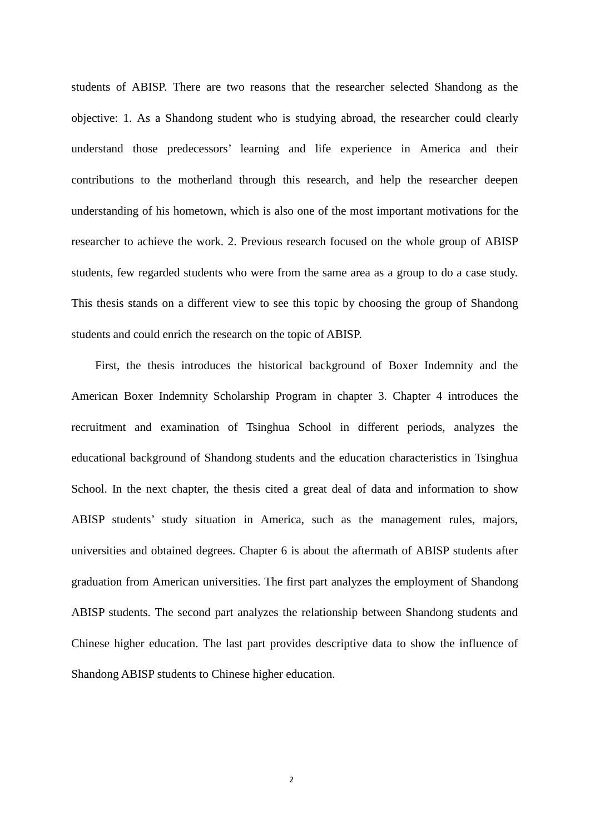students of ABISP. There are two reasons that the researcher selected Shandong as the objective: 1. As a Shandong student who is studying abroad, the researcher could clearly understand those predecessors' learning and life experience in America and their contributions to the motherland through this research, and help the researcher deepen understanding of his hometown, which is also one of the most important motivations for the researcher to achieve the work. 2. Previous research focused on the whole group of ABISP students, few regarded students who were from the same area as a group to do a case study. This thesis stands on a different view to see this topic by choosing the group of Shandong students and could enrich the research on the topic of ABISP.

First, the thesis introduces the historical background of Boxer Indemnity and the American Boxer Indemnity Scholarship Program in chapter 3. Chapter 4 introduces the recruitment and examination of Tsinghua School in different periods, analyzes the educational background of Shandong students and the education characteristics in Tsinghua School. In the next chapter, the thesis cited a great deal of data and information to show ABISP students' study situation in America, such as the management rules, majors, universities and obtained degrees. Chapter 6 is about the aftermath of ABISP students after graduation from American universities. The first part analyzes the employment of Shandong ABISP students. The second part analyzes the relationship between Shandong students and Chinese higher education. The last part provides descriptive data to show the influence of Shandong ABISP students to Chinese higher education.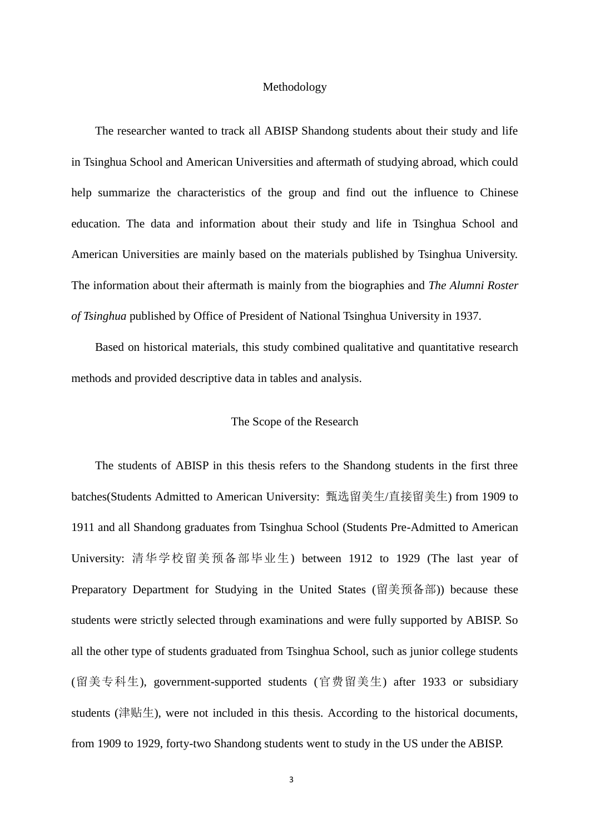#### Methodology

The researcher wanted to track all ABISP Shandong students about their study and life in Tsinghua School and American Universities and aftermath of studying abroad, which could help summarize the characteristics of the group and find out the influence to Chinese education. The data and information about their study and life in Tsinghua School and American Universities are mainly based on the materials published by Tsinghua University. The information about their aftermath is mainly from the biographies and *The Alumni Roster of Tsinghua* published by Office of President of National Tsinghua University in 1937.

Based on historical materials, this study combined qualitative and quantitative research methods and provided descriptive data in tables and analysis.

### The Scope of the Research

The students of ABISP in this thesis refers to the Shandong students in the first three batches(Students Admitted to American University: 甄选留美生/直接留美生) from 1909 to 1911 and all Shandong graduates from Tsinghua School (Students Pre-Admitted to American University: 清华学校留美预备部毕业生) between 1912 to 1929 (The last year of Preparatory Department for Studying in the United States (留美预备部)) because these students were strictly selected through examinations and were fully supported by ABISP. So all the other type of students graduated from Tsinghua School, such as junior college students (留美专科生), government-supported students (官费留美生) after 1933 or subsidiary students (津贴生), were not included in this thesis. According to the historical documents, from 1909 to 1929, forty-two Shandong students went to study in the US under the ABISP.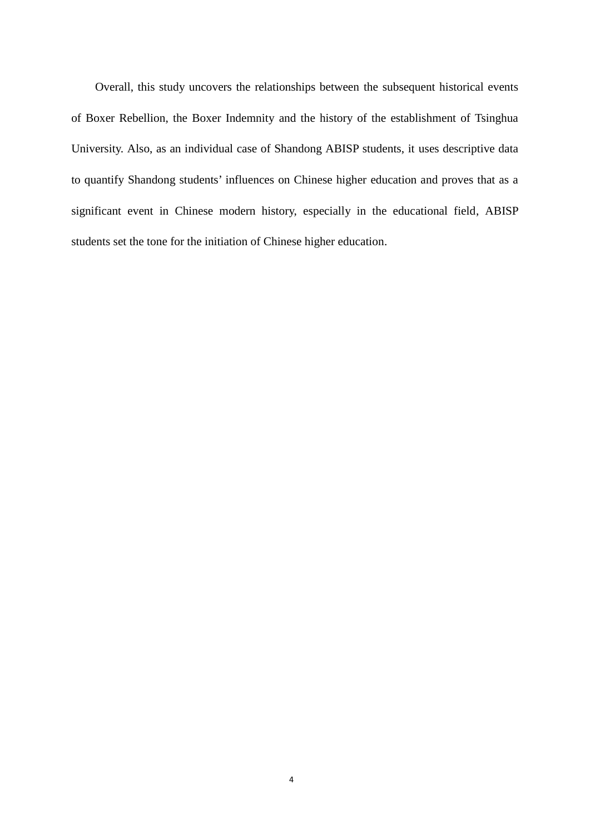Overall, this study uncovers the relationships between the subsequent historical events of Boxer Rebellion, the Boxer Indemnity and the history of the establishment of Tsinghua University. Also, as an individual case of Shandong ABISP students, it uses descriptive data to quantify Shandong students' influences on Chinese higher education and proves that as a significant event in Chinese modern history, especially in the educational field, ABISP students set the tone for the initiation of Chinese higher education.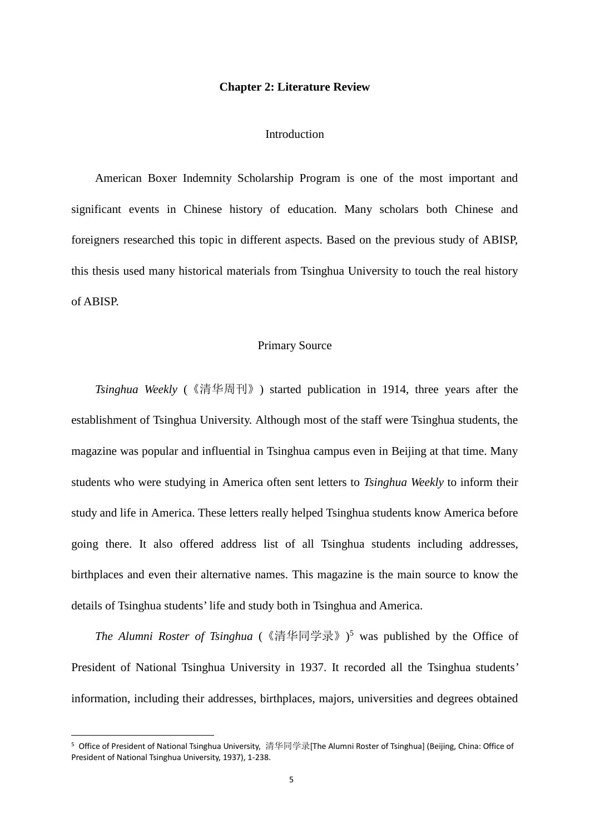#### **Chapter 2: Literature Review**

#### Introduction

American Boxer Indemnity Scholarship Program is one of the most important and significant events in Chinese history of education. Many scholars both Chinese and foreigners researched this topic in different aspects. Based on the previous study of ABISP, this thesis used many historical materials from Tsinghua University to touch the real history of ABISP.

#### Primary Source

*Tsinghua Weekly* (《清华周刊》) started publication in 1914, three years after the establishment of Tsinghua University. Although most of the staff were Tsinghua students, the magazine was popular and influential in Tsinghua campus even in Beijing at that time. Many students who were studying in America often sent letters to *Tsinghua Weekly* to inform their study and life in America. These letters really helped Tsinghua students know America before going there. It also offered address list of all Tsinghua students including addresses, birthplaces and even their alternative names. This magazine is the main source to know the details of Tsinghua students' life and study both in Tsinghua and America.

*The Alumni Roster of Tsinghua* (《清华同学录》)<sup>5</sup> was published by the Office of President of National Tsinghua University in 1937. It recorded all the Tsinghua students' information, including their addresses, birthplaces, majors, universities and degrees obtained

<sup>5</sup> Office of President of National Tsinghua University, 清华同学录[The Alumni Roster of Tsinghua] (Beijing, China: Office of President of National Tsinghua University, 1937), 1-238.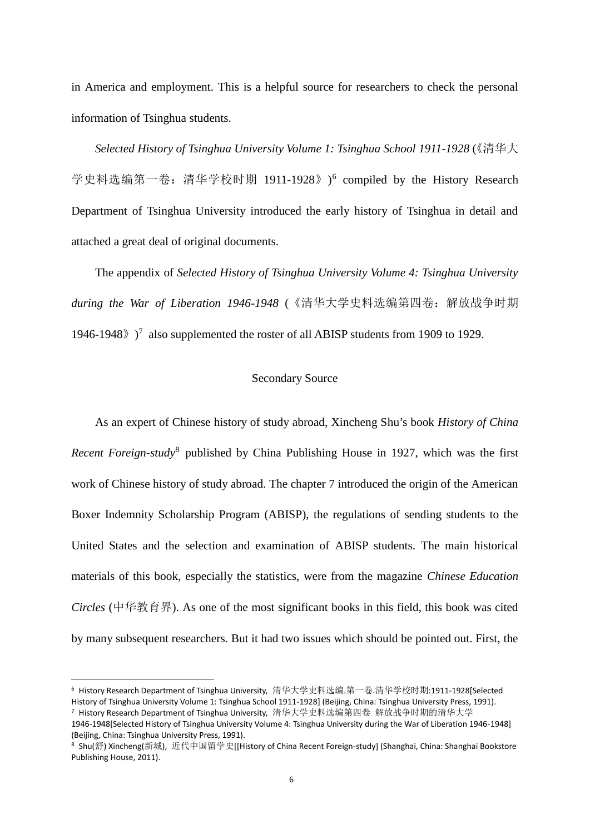in America and employment. This is a helpful source for researchers to check the personal information of Tsinghua students.

*Selected History of Tsinghua University Volume 1: Tsinghua School 1911-1928*《清华大 ( 学史料选编第一卷: 清华学校时期 1911-1928》)<sup>6</sup> compiled by the History Research Department of Tsinghua University introduced the early history of Tsinghua in detail and attached a great deal of original documents.

The appendix of *Selected History of Tsinghua University Volume 4: Tsinghua University during the War of Liberation 1946-1948* (《清华大学史料选编第四卷:解放战争时期 1946-1948 $\rangle$ )<sup>7</sup> also supplemented the roster of all ABISP students from 1909 to 1929.

#### Secondary Source

As an expert of Chinese history of study abroad, Xincheng Shu's book *History of China Recent Foreign-study*<sup>8</sup> published by China Publishing House in 1927, which was the first work of Chinese history of study abroad. The chapter 7 introduced the origin of the American Boxer Indemnity Scholarship Program (ABISP), the regulations of sending students to the United States and the selection and examination of ABISP students. The main historical materials of this book, especially the statistics, were from the magazine *Chinese Education Circles* (中华教育界). As one of the most significant books in this field, this book was cited by many subsequent researchers. But it had two issues which should be pointed out. First, the

<sup>6</sup> History Research Department of Tsinghua University, 清华大学史料选编.第一卷.清华学校时期:1911-1928[Selected History of Tsinghua University Volume 1: Tsinghua School 1911-1928] (Beijing, China: Tsinghua University Press, 1991). <sup>7</sup> History Research Department of Tsinghua University, 清华大学史料选编第四卷 解放战争时期的清华大学

<sup>1946-1948[</sup>Selected History of Tsinghua University Volume 4: Tsinghua University during the War of Liberation 1946-1948] (Beijing, China: Tsinghua University Press, 1991).

<sup>8</sup> Shu(舒) Xincheng(新城), 近代中国留学史[[History of China Recent Foreign-study] (Shanghai, China: Shanghai Bookstore Publishing House, 2011).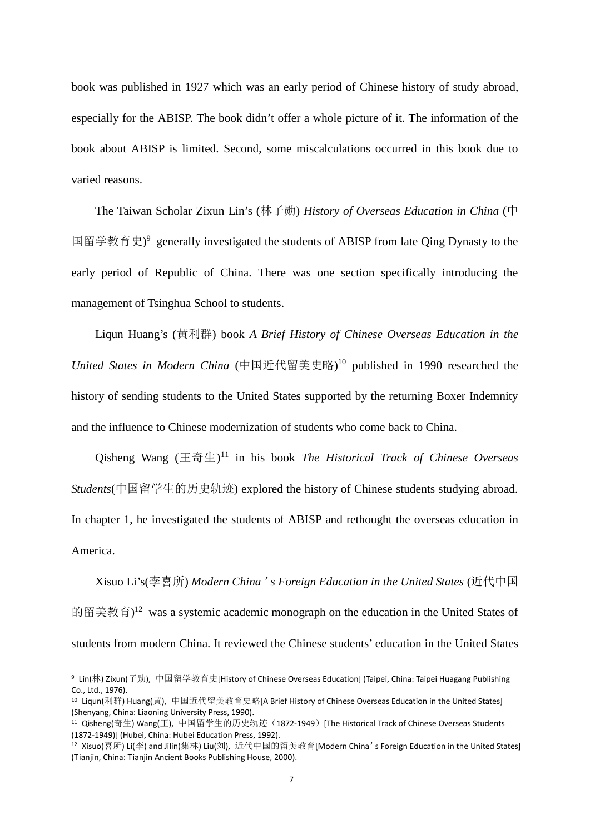book was published in 1927 which was an early period of Chinese history of study abroad, especially for the ABISP. The book didn't offer a whole picture of it. The information of the book about ABISP is limited. Second, some miscalculations occurred in this book due to varied reasons.

The Taiwan Scholar Zixun Lin's (林子勋) *History of Overseas Education in China* (中 国留学教育史)<sup>9</sup> generally investigated the students of ABISP from late Qing Dynasty to the early period of Republic of China. There was one section specifically introducing the management of Tsinghua School to students.

Liqun Huang's (黄利群) book *A Brief History of Chinese Overseas Education in the United States in Modern China* (中国近代留美史略)<sup>10</sup> published in 1990 researched the history of sending students to the United States supported by the returning Boxer Indemnity and the influence to Chinese modernization of students who come back to China.

Qisheng Wang (王奇生)<sup>11</sup> in his book *The Historical Track of Chinese Overseas Students*(中国留学生的历史轨迹) explored the history of Chinese students studying abroad. In chapter 1, he investigated the students of ABISP and rethought the overseas education in America.

Xisuo Li's(李喜所) *Modern China's Foreign Education in the United States* (近代中国 的留美教育)<sup>12</sup> was a systemic academic monograph on the education in the United States of students from modern China. It reviewed the Chinese students' education in the United States

<sup>9</sup> Lin(林) Zixun(子勋), 中国留学教育史[History of Chinese Overseas Education] (Taipei, China: Taipei Huagang Publishing Co., Ltd., 1976).

<sup>10</sup> Liqun(利群) Huang(黄), 中国近代留美教育史略[A Brief History of Chinese Overseas Education in the United States] (Shenyang, China: Liaoning University Press, 1990).

<sup>&</sup>lt;sup>11</sup> Qisheng(奇生) Wang(王), 中国留学生的历史轨迹(1872-1949) [The Historical Track of Chinese Overseas Students (1872-1949)] (Hubei, China: Hubei Education Press, 1992).

<sup>12</sup> Xisuo(喜所) Li(李) and Jilin(集林) Liu(刘), 近代中国的留美教育[Modern China's Foreign Education in the United States] (Tianjin, China: Tianjin Ancient Books Publishing House, 2000).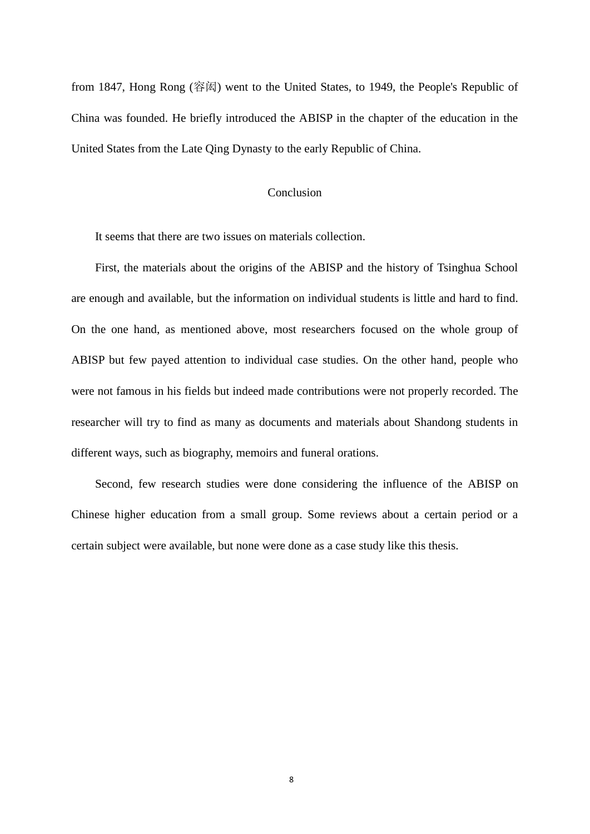from 1847, Hong Rong (容闳) went to the United States, to 1949, the People's Republic of China was founded. He briefly introduced the ABISP in the chapter of the education in the United States from the Late Qing Dynasty to the early Republic of China.

#### Conclusion

It seems that there are two issues on materials collection.

First, the materials about the origins of the ABISP and the history of Tsinghua School are enough and available, but the information on individual students is little and hard to find. On the one hand, as mentioned above, most researchers focused on the whole group of ABISP but few payed attention to individual case studies. On the other hand, people who were not famous in his fields but indeed made contributions were not properly recorded. The researcher will try to find as many as documents and materials about Shandong students in different ways, such as biography, memoirs and funeral orations.

Second, few research studies were done considering the influence of the ABISP on Chinese higher education from a small group. Some reviews about a certain period or a certain subject were available, but none were done as a case study like this thesis.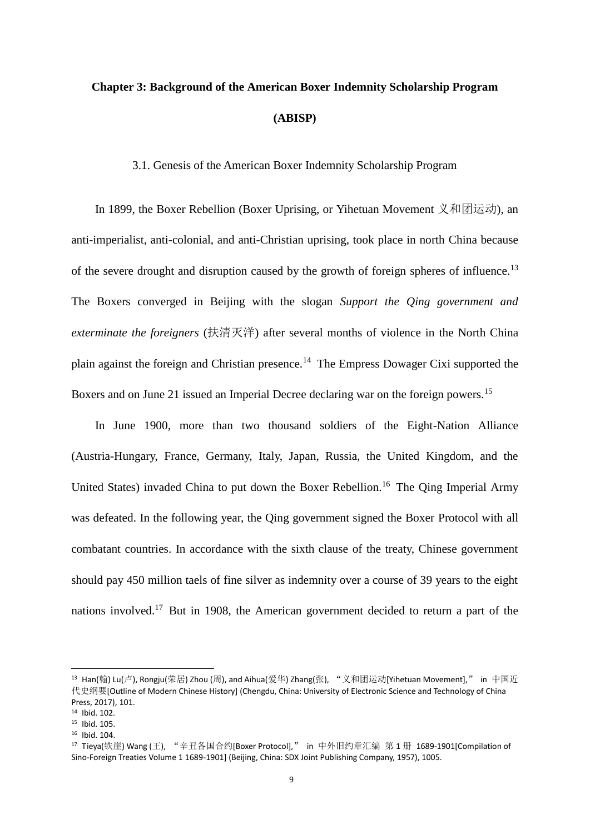# **Chapter 3: Background of the American Boxer Indemnity Scholarship Program (ABISP)**

3.1. Genesis of the American Boxer Indemnity Scholarship Program

In 1899, the Boxer Rebellion (Boxer Uprising, or Yihetuan Movement 义和团运动), an anti-imperialist, anti-colonial, and anti-Christian uprising, took place in north China because of the severe drought and disruption caused by the growth of foreign spheres of influence.<sup>13</sup> The Boxers converged in Beijing with the slogan *Support the Qing government and exterminate the foreigners* (扶清灭洋) after several months of violence in the North China plain against the foreign and Christian presence.<sup>14</sup> The Empress Dowager Cixi supported the Boxers and on June 21 issued an Imperial Decree declaring war on the foreign powers.<sup>15</sup>

In June 1900, more than two thousand soldiers of the Eight-Nation Alliance (Austria-Hungary, France, Germany, Italy, Japan, Russia, the United Kingdom, and the United States) invaded China to put down the Boxer Rebellion.<sup>16</sup> The Oing Imperial Army was defeated. In the following year, the Qing government signed the Boxer Protocol with all combatant countries. In accordance with the sixth clause of the treaty, Chinese government should pay 450 million taels of fine silver as indemnity over a course of 39 years to the eight nations involved.<sup>17</sup> But in 1908, the American government decided to return a part of the

<sup>&</sup>lt;sup>13</sup> Han(翰) Lu(卢), Rongju(荣居) Zhou (周), and Aihua(爱华) Zhang(张), "义和团运动[Yihetuan Movement]," in 中国近 代史纲要[Outline of Modern Chinese History] (Chengdu, China: University of Electronic Science and Technology of China Press, 2017), 101.

<sup>14</sup> Ibid. 102.

<sup>15</sup> Ibid. 105.

<sup>16</sup> Ibid. 104.

<sup>17</sup> Tieya(铁崖) Wang (王), "辛丑各国合约[Boxer Protocol]," in 中外旧约章汇编 第 1 册 1689-1901[Compilation of Sino-Foreign Treaties Volume 1 1689-1901] (Beijing, China: SDX Joint Publishing Company, 1957), 1005.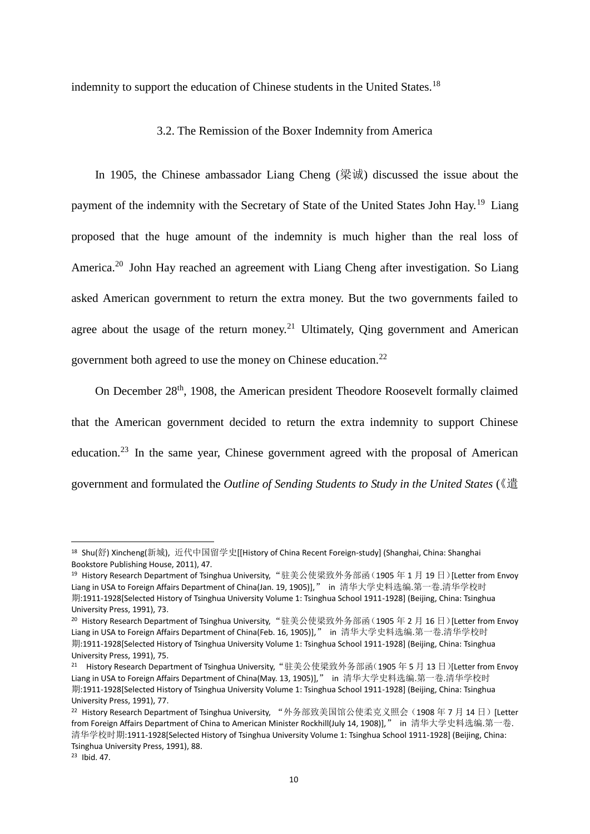indemnity to support the education of Chinese students in the United States.<sup>18</sup>

#### 3.2. The Remission of the Boxer Indemnity from America

In 1905, the Chinese ambassador Liang Cheng (梁诚) discussed the issue about the payment of the indemnity with the Secretary of State of the United States John Hay.<sup>19</sup> Liang proposed that the huge amount of the indemnity is much higher than the real loss of America.<sup>20</sup> John Hay reached an agreement with Liang Cheng after investigation. So Liang asked American government to return the extra money. But the two governments failed to agree about the usage of the return money.<sup>21</sup> Ultimately, Qing government and American government both agreed to use the money on Chinese education.<sup>22</sup>

On December 28<sup>th</sup>, 1908, the American president Theodore Roosevelt formally claimed that the American government decided to return the extra indemnity to support Chinese education.<sup>23</sup> In the same year, Chinese government agreed with the proposal of American government and formulated the *Outline of Sending Students to Study in the United States*《遣(

<sup>23</sup> Ibid. 47.

<sup>18</sup> Shu(舒) Xincheng(新城), 近代中国留学史[[History of China Recent Foreign-study] (Shanghai, China: Shanghai Bookstore Publishing House, 2011), 47.

<sup>&</sup>lt;sup>19</sup> History Research Department of Tsinghua University, "驻美公使梁致外务部函(1905 年 1 月 19 日)[Letter from Envoy Liang in USA to Foreign Affairs Department of China(Jan. 19, 1905)]," in 清华大学史料选编.第一卷.清华学校时 期:1911-1928[Selected History of Tsinghua University Volume 1: Tsinghua School 1911-1928] (Beijing, China: Tsinghua University Press, 1991), 73.

<sup>&</sup>lt;sup>20</sup> History Research Department of Tsinghua University, "驻美公使梁致外务部函(1905年2月16日)[Letter from Envoy Liang in USA to Foreign Affairs Department of China(Feb. 16, 1905)]," in 清华大学史料选编.第一卷.清华学校时 期:1911-1928[Selected History of Tsinghua University Volume 1: Tsinghua School 1911-1928] (Beijing, China: Tsinghua University Press, 1991), 75.

<sup>&</sup>lt;sup>21</sup> History Research Department of Tsinghua University,"驻美公使梁致外务部函(1905 年 5 月 13 日)[Letter from Envoy Liang in USA to Foreign Affairs Department of China(May. 13, 1905)]," in 清华大学史料选编.第一卷.清华学校时 期:1911-1928[Selected History of Tsinghua University Volume 1: Tsinghua School 1911-1928] (Beijing, China: Tsinghua University Press, 1991), 77.

<sup>&</sup>lt;sup>22</sup> History Research Department of Tsinghua University, "外务部致美国馆公使柔克义照会(1908年7月14日)[Letter from Foreign Affairs Department of China to American Minister Rockhill(July 14, 1908)]," in 清华大学史料选编.第一卷. 清华学校时期:1911-1928[Selected History of Tsinghua University Volume 1: Tsinghua School 1911-1928] (Beijing, China: Tsinghua University Press, 1991), 88.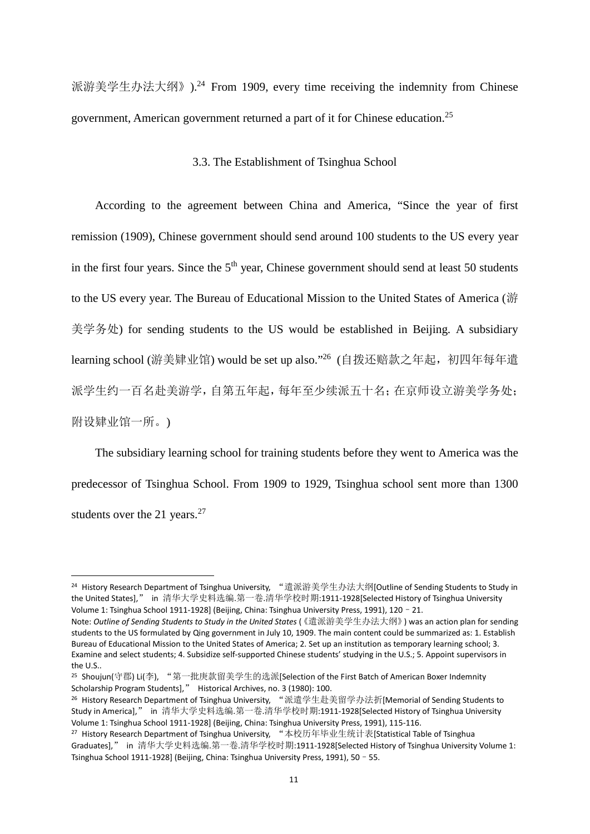派游美学生办法大纲》).<sup>24</sup> From 1909, every time receiving the indemnity from Chinese government, American government returned a part of it for Chinese education.<sup>25</sup>

#### 3.3. The Establishment of Tsinghua School

According to the agreement between China and America, "Since the year of first remission (1909), Chinese government should send around 100 students to the US every year in the first four years. Since the  $5<sup>th</sup>$  year, Chinese government should send at least 50 students to the US every year. The Bureau of Educational Mission to the United States of America (游 美学务处) for sending students to the US would be established in Beijing. A subsidiary learning school (游美肄业馆) would be set up also."<sup>26</sup> (自拨还赔款之年起,初四年每年遣 派学生约一百名赴美游学,自第五年起,每年至少续派五十名;在京师设立游美学务处; 附设肄业馆一所。)

The subsidiary learning school for training students before they went to America was the predecessor of Tsinghua School. From 1909 to 1929, Tsinghua school sent more than 1300 students over the 21 years. $27$ 

<sup>24</sup> History Research Department of Tsinghua University, "遣派游美学生办法大纲[Outline of Sending Students to Study in the United States]," in 清华大学史料选编.第一卷.清华学校时期:1911-1928[Selected History of Tsinghua University Volume 1: Tsinghua School 1911-1928] (Beijing, China: Tsinghua University Press, 1991), 120–21.

Note: *Outline of Sending Students to Study in the United States* (《遣派游美学生办法大纲》) was an action plan for sending students to the US formulated by Qing government in July 10, 1909. The main content could be summarized as: 1. Establish Bureau of Educational Mission to the United States of America; 2. Set up an institution as temporary learning school; 3. Examine and select students; 4. Subsidize self-supported Chinese students' studying in the U.S.; 5. Appoint supervisors in the U.S..

<sup>25</sup> Shoujun(守郡) Li(李), "第一批庚款留美学生的选派[Selection of the First Batch of American Boxer Indemnity Scholarship Program Students]," Historical Archives, no. 3 (1980): 100.

<sup>26</sup> History Research Department of Tsinghua University, "派遣学生赴美留学办法折[Memorial of Sending Students to Study in America]," in 清华大学史料选编.第一卷.清华学校时期:1911-1928[Selected History of Tsinghua University Volume 1: Tsinghua School 1911-1928] (Beijing, China: Tsinghua University Press, 1991), 115-116.

<sup>27</sup> History Research Department of Tsinghua University, "本校历年毕业生统计表[Statistical Table of Tsinghua Graduates]," in 清华大学史料选编.第一卷.清华学校时期:1911-1928[Selected History of Tsinghua University Volume 1: Tsinghua School 1911-1928] (Beijing, China: Tsinghua University Press, 1991), 50–55.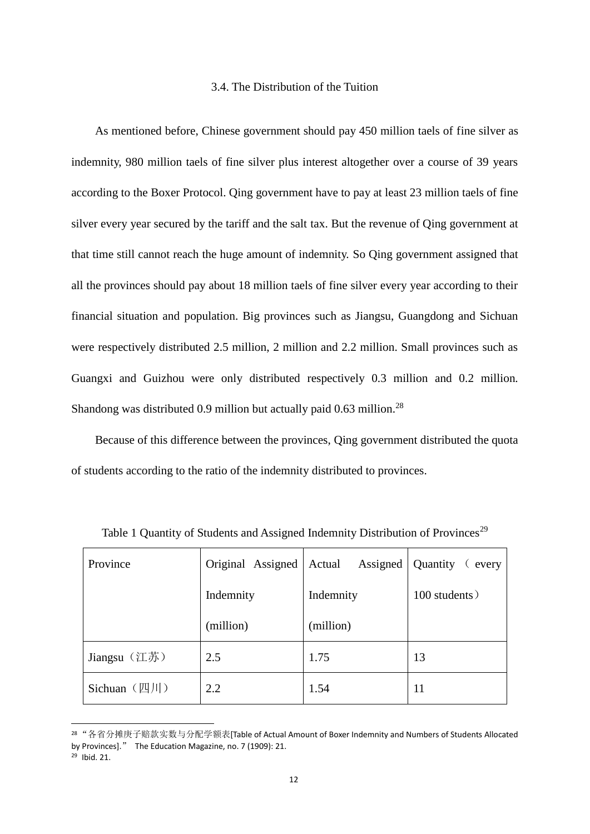#### 3.4. The Distribution of the Tuition

As mentioned before, Chinese government should pay 450 million taels of fine silver as indemnity, 980 million taels of fine silver plus interest altogether over a course of 39 years according to the Boxer Protocol. Qing government have to pay at least 23 million taels of fine silver every year secured by the tariff and the salt tax. But the revenue of Qing government at that time still cannot reach the huge amount of indemnity. So Qing government assigned that all the provinces should pay about 18 million taels of fine silver every year according to their financial situation and population. Big provinces such as Jiangsu, Guangdong and Sichuan were respectively distributed 2.5 million, 2 million and 2.2 million. Small provinces such as Guangxi and Guizhou were only distributed respectively 0.3 million and 0.2 million. Shandong was distributed 0.9 million but actually paid 0.63 million.<sup>28</sup>

Because of this difference between the provinces, Qing government distributed the quota of students according to the ratio of the indemnity distributed to provinces.

| Province                           | Original Assigned | Assigned<br>Actual | Quantity (every |
|------------------------------------|-------------------|--------------------|-----------------|
|                                    | Indemnity         | Indemnity          | 100 students)   |
|                                    | (million)         | (million)          |                 |
| Jiangsu (江苏)                       | 2.5               | 1.75               | 13              |
| Sichuan $(\mathbb{Z} \mathcal{H})$ | 2.2               | 1.54               | 11              |

Table 1 Quantity of Students and Assigned Indemnity Distribution of Provinces<sup>29</sup>

<sup>28</sup> "各省分摊庚子赔款实数与分配学额表[Table of Actual Amount of Boxer Indemnity and Numbers of Students Allocated by Provinces]." The Education Magazine, no. 7 (1909): 21.

<sup>29</sup> Ibid. 21.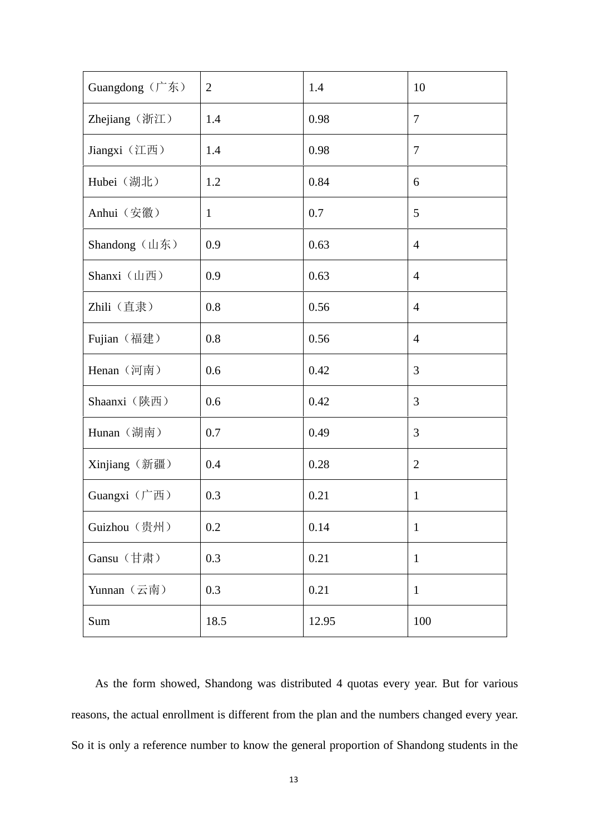| Guangdong (广东) | $\overline{2}$ | 1.4   | 10             |
|----------------|----------------|-------|----------------|
| Zhejiang (浙江)  | 1.4            | 0.98  | $\overline{7}$ |
| Jiangxi (江西)   | 1.4            | 0.98  | $\overline{7}$ |
| Hubei (湖北)     | 1.2            | 0.84  | 6              |
| Anhui (安徽)     | $\mathbf{1}$   | 0.7   | 5              |
| Shandong (山东)  | 0.9            | 0.63  | $\overline{4}$ |
| Shanxi (山西)    | 0.9            | 0.63  | $\overline{4}$ |
| Zhili (直隶)     | 0.8            | 0.56  | $\overline{4}$ |
| Fujian (福建)    | 0.8            | 0.56  | $\overline{4}$ |
| Henan (河南)     | 0.6            | 0.42  | 3              |
| Shaanxi (陕西)   | 0.6            | 0.42  | 3              |
| Hunan (湖南)     | 0.7            | 0.49  | 3              |
| Xinjiang (新疆)  | 0.4            | 0.28  | $\overline{2}$ |
| Guangxi (广西)   | 0.3            | 0.21  | $\mathbf{1}$   |
| Guizhou (贵州)   | 0.2            | 0.14  | $\mathbf{1}$   |
| Gansu (甘肃)     | 0.3            | 0.21  | $\mathbf{1}$   |
| Yunnan (云南)    | 0.3            | 0.21  | $\mathbf{1}$   |
| Sum            | 18.5           | 12.95 | 100            |

As the form showed, Shandong was distributed 4 quotas every year. But for various reasons, the actual enrollment is different from the plan and the numbers changed every year. So it is only a reference number to know the general proportion of Shandong students in the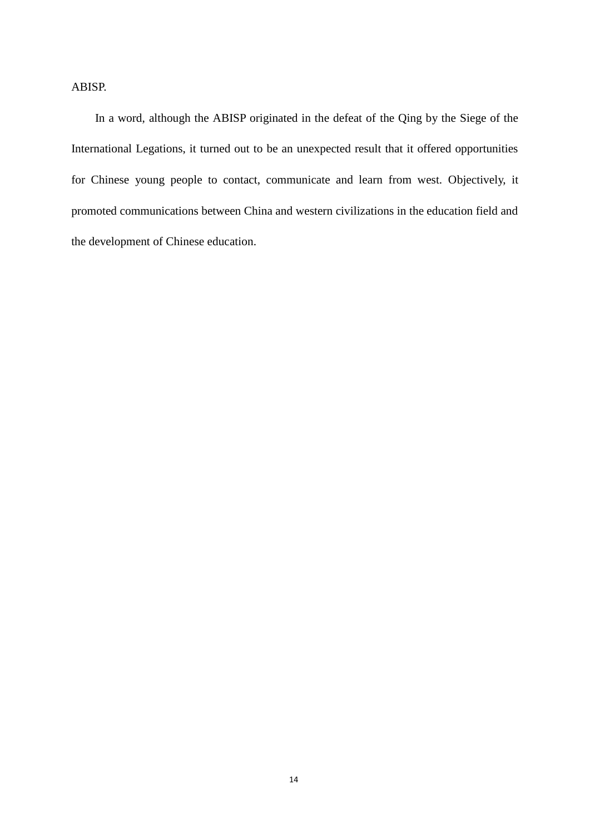## ABISP.

In a word, although the ABISP originated in the defeat of the Qing by the Siege of the International Legations, it turned out to be an unexpected result that it offered opportunities for Chinese young people to contact, communicate and learn from west. Objectively, it promoted communications between China and western civilizations in the education field and the development of Chinese education.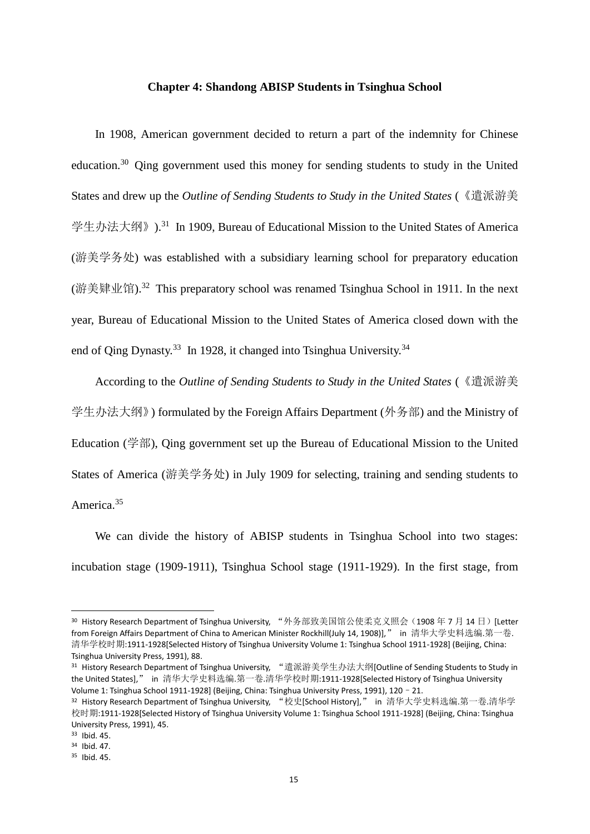#### **Chapter 4: Shandong ABISP Students in Tsinghua School**

In 1908, American government decided to return a part of the indemnity for Chinese education.<sup>30</sup> Qing government used this money for sending students to study in the United States and drew up the *Outline of Sending Students to Study in the United States* (《遣派游美 学生办法大纲》).<sup>31</sup> In 1909, Bureau of Educational Mission to the United States of America (游美学务处) was established with a subsidiary learning school for preparatory education (游美肄业馆).<sup>32</sup> This preparatory school was renamed Tsinghua School in 1911. In the next year, Bureau of Educational Mission to the United States of America closed down with the end of Qing Dynasty.<sup>33</sup> In 1928, it changed into Tsinghua University.<sup>34</sup>

According to the *Outline of Sending Students to Study in the United States* (《遣派游美 学生办法大纲》) formulated by the Foreign Affairs Department (外务部) and the Ministry of Education (学部), Qing government set up the Bureau of Educational Mission to the United States of America (游美学务处) in July 1909 for selecting, training and sending students to America.<sup>35</sup>

We can divide the history of ABISP students in Tsinghua School into two stages: incubation stage (1909-1911), Tsinghua School stage (1911-1929). In the first stage, from

<sup>31</sup> History Research Department of Tsinghua University, "遣派游美学生办法大纲[Outline of Sending Students to Study in the United States]," in 清华大学史料选编.第一卷.清华学校时期:1911-1928[Selected History of Tsinghua University Volume 1: Tsinghua School 1911-1928] (Beijing, China: Tsinghua University Press, 1991), 120–21.

<sup>30</sup> History Research Department of Tsinghua University, "外务部致美国馆公使柔克义照会(1908年7月14日)[Letter from Foreign Affairs Department of China to American Minister Rockhill(July 14, 1908)]," in 清华大学史料选编.第一卷. 清华学校时期:1911-1928[Selected History of Tsinghua University Volume 1: Tsinghua School 1911-1928] (Beijing, China: Tsinghua University Press, 1991), 88.

<sup>32</sup> History Research Department of Tsinghua University, "校史[School History]," in 清华大学史料选编.第一卷.清华学 校时期:1911-1928[Selected History of Tsinghua University Volume 1: Tsinghua School 1911-1928] (Beijing, China: Tsinghua University Press, 1991), 45.

<sup>33</sup> Ibid. 45.

<sup>34</sup> Ibid. 47.

<sup>35</sup> Ibid. 45.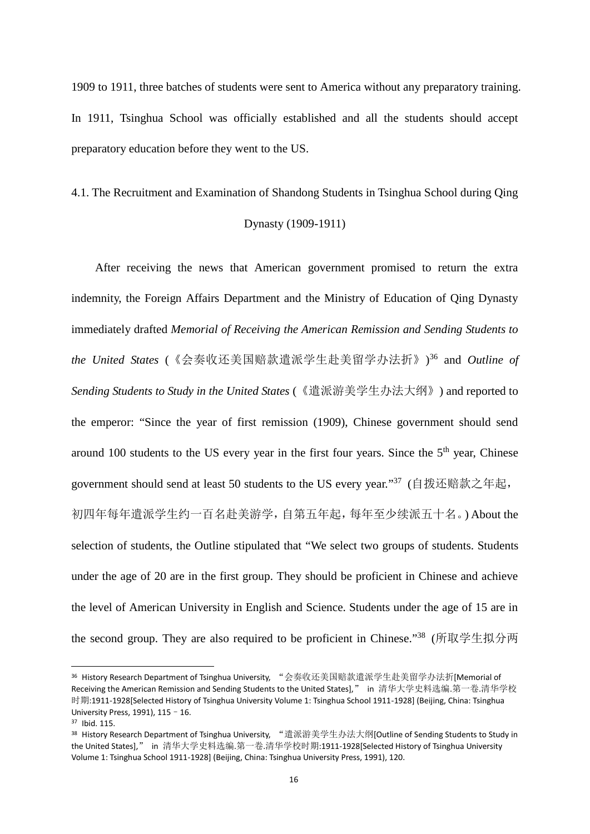1909 to 1911, three batches of students were sent to America without any preparatory training. In 1911, Tsinghua School was officially established and all the students should accept preparatory education before they went to the US.

4.1. The Recruitment and Examination of Shandong Students in Tsinghua School during Qing Dynasty (1909-1911)

After receiving the news that American government promised to return the extra indemnity, the Foreign Affairs Department and the Ministry of Education of Qing Dynasty immediately drafted *Memorial of Receiving the American Remission and Sending Students to the United States* (《会奏收还美国赔款遣派学生赴美留学办法折》)<sup>36</sup> and *Outline of Sending Students to Study in the United States* (《遣派游美学生办法大纲》) and reported to the emperor: "Since the year of first remission (1909), Chinese government should send around 100 students to the US every year in the first four years. Since the  $5<sup>th</sup>$  year, Chinese government should send at least 50 students to the US every year.''<sup>37</sup> (自拨还赔款之年起, 初四年每年遣派学生约一百名赴美游学,自第五年起,每年至少续派五十名。) About the selection of students, the Outline stipulated that "We select two groups of students. Students under the age of 20 are in the first group. They should be proficient in Chinese and achieve the level of American University in English and Science. Students under the age of 15 are in the second group. They are also required to be proficient in Chinese." <sup>38</sup> (所取学生拟分两

<sup>36</sup> History Research Department of Tsinghua University, "会奏收还美国赔款遣派学生赴美留学办法折[Memorial of Receiving the American Remission and Sending Students to the United States]," in 清华大学史料选编.第一卷.清华学校 时期:1911-1928[Selected History of Tsinghua University Volume 1: Tsinghua School 1911-1928] (Beijing, China: Tsinghua University Press, 1991), 115–16.

<sup>37</sup> Ibid. 115.

<sup>38</sup> History Research Department of Tsinghua University, "遣派游美学生办法大纲[Outline of Sending Students to Study in the United States]," in 清华大学史料选编.第一卷.清华学校时期:1911-1928[Selected History of Tsinghua University Volume 1: Tsinghua School 1911-1928] (Beijing, China: Tsinghua University Press, 1991), 120.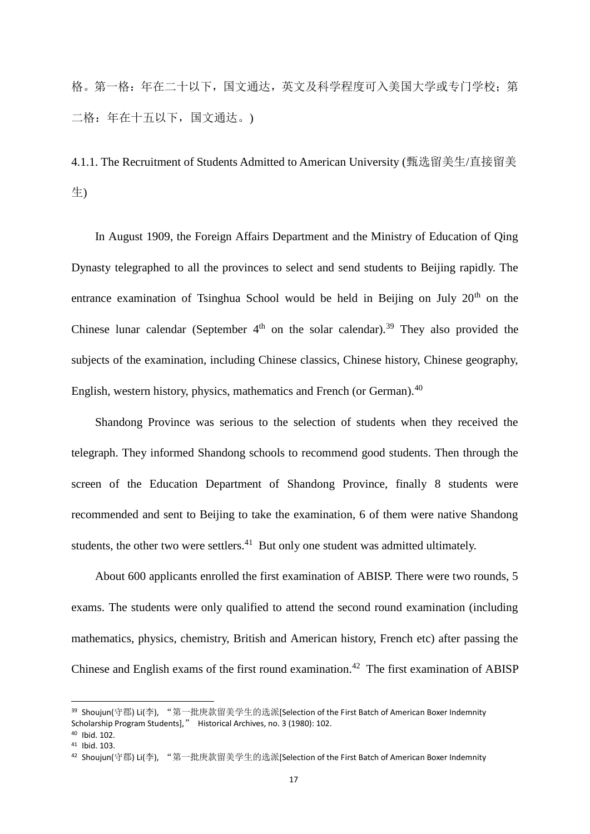格。第一格:年在二十以下,国文通达,英文及科学程度可入美国大学或专门学校;第 二格:年在十五以下,国文通达。)

4.1.1. The Recruitment of Students Admitted to American University (甄选留美生/直接留美 生)

In August 1909, the Foreign Affairs Department and the Ministry of Education of Qing Dynasty telegraphed to all the provinces to select and send students to Beijing rapidly. The entrance examination of Tsinghua School would be held in Beijing on July  $20<sup>th</sup>$  on the Chinese lunar calendar (September  $4<sup>th</sup>$  on the solar calendar).<sup>39</sup> They also provided the subjects of the examination, including Chinese classics, Chinese history, Chinese geography, English, western history, physics, mathematics and French (or German).<sup>40</sup>

Shandong Province was serious to the selection of students when they received the telegraph. They informed Shandong schools to recommend good students. Then through the screen of the Education Department of Shandong Province, finally 8 students were recommended and sent to Beijing to take the examination, 6 of them were native Shandong students, the other two were settlers. $41$  But only one student was admitted ultimately.

About 600 applicants enrolled the first examination of ABISP. There were two rounds, 5 exams. The students were only qualified to attend the second round examination (including mathematics, physics, chemistry, British and American history, French etc) after passing the Chinese and English exams of the first round examination.<sup>42</sup> The first examination of ABISP

<sup>39</sup> Shoujun(守郡) Li(李), "第一批庚款留美学生的选派[Selection of the First Batch of American Boxer Indemnity Scholarship Program Students]," Historical Archives, no. 3 (1980): 102.

<sup>40</sup> Ibid. 102.

<sup>41</sup> Ibid. 103.

<sup>42</sup> Shoujun(守郡) Li(李), "第一批庚款留美学生的选派[Selection of the First Batch of American Boxer Indemnity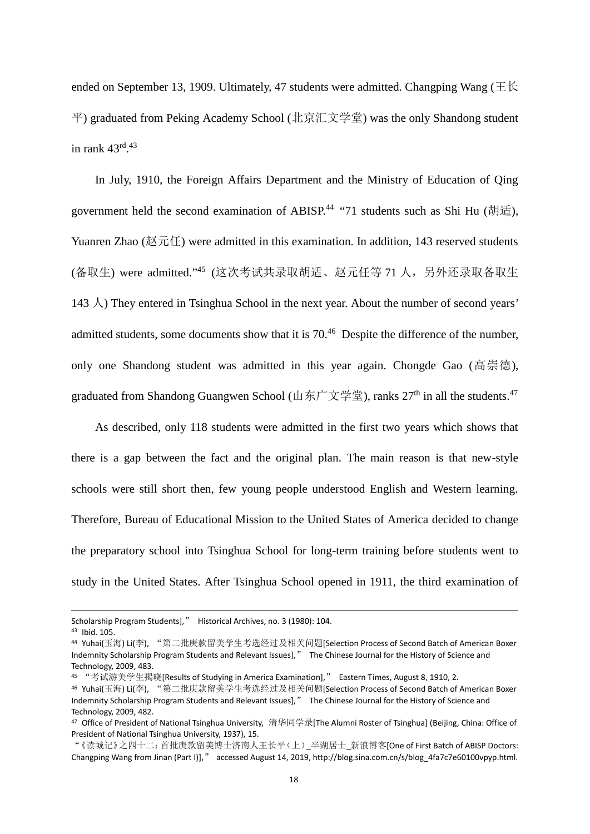ended on September 13, 1909. Ultimately, 47 students were admitted. Changping Wang ( $\pm \mathcal{K}$ ) 平) graduated from Peking Academy School (北京汇文学堂) was the only Shandong student in rank  $43^{\text{rd}}$ .<sup>43</sup>

In July, 1910, the Foreign Affairs Department and the Ministry of Education of Qing government held the second examination of ABISP.<sup>44</sup> "71 students such as Shi Hu (胡适), Yuanren Zhao (赵元任) were admitted in this examination. In addition, 143 reserved students (备取生) were admitted."<sup>45</sup> (这次考试共录取胡适、赵元任等 71 人,另外还录取备取生 143  $\Diamond$ ) They entered in Tsinghua School in the next year. About the number of second years' admitted students, some documents show that it is  $70<sup>46</sup>$  Despite the difference of the number, only one Shandong student was admitted in this year again. Chongde Gao (高崇德), graduated from Shandong Guangwen School (山东广文学堂), ranks  $27<sup>th</sup>$  in all the students.<sup>47</sup>

As described, only 118 students were admitted in the first two years which shows that there is a gap between the fact and the original plan. The main reason is that new-style schools were still short then, few young people understood English and Western learning. Therefore, Bureau of Educational Mission to the United States of America decided to change the preparatory school into Tsinghua School for long-term training before students went to study in the United States. After Tsinghua School opened in 1911, the third examination of

Scholarship Program Students]," Historical Archives, no. 3 (1980): 104.

<sup>43</sup> Ibid. 105.

<sup>44</sup> Yuhai(玉海) Li(李), "第二批庚款留美学生考选经过及相关问题[Selection Process of Second Batch of American Boxer Indemnity Scholarship Program Students and Relevant Issues]," The Chinese Journal for the History of Science and Technology, 2009, 483.

<sup>45</sup> "考试游美学生揭晓[Results of Studying in America Examination]," Eastern Times, August 8, 1910, 2.

<sup>46</sup> Yuhai(玉海) Li(李), "第二批庚款留美学生考选经过及相关问题[Selection Process of Second Batch of American Boxer Indemnity Scholarship Program Students and Relevant Issues]," The Chinese Journal for the History of Science and Technology, 2009, 482.

<sup>47</sup> Office of President of National Tsinghua University, 清华同学录[The Alumni Roster of Tsinghua] (Beijing, China: Office of President of National Tsinghua University, 1937), 15.

<sup>&</sup>quot;《读城记》之四十二:首批庚款留美博士济南人王长平(上)\_半湖居士\_新浪博客[One of First Batch of ABISP Doctors: Changping Wang from Jinan (Part I)]," accessed August 14, 2019, http://blog.sina.com.cn/s/blog\_4fa7c7e60100vpyp.html.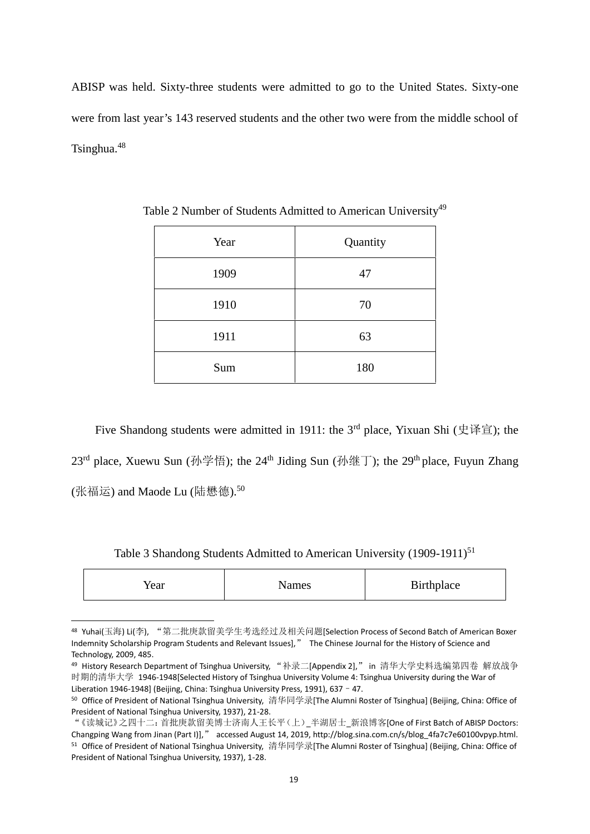ABISP was held. Sixty-three students were admitted to go to the United States. Sixty-one were from last year's 143 reserved students and the other two were from the middle school of Tsinghua.<sup>48</sup>

| Year | Quantity |
|------|----------|
| 1909 | 47       |
| 1910 | 70       |
| 1911 | 63       |
| Sum  | 180      |

Table 2 Number of Students Admitted to American University<sup>49</sup>

Five Shandong students were admitted in 1911: the 3rd place, Yixuan Shi (史译宣); the  $23<sup>rd</sup>$  place, Xuewu Sun (孙学悟); the  $24<sup>th</sup>$  Jiding Sun (孙继丁); the  $29<sup>th</sup>$  place, Fuyun Zhang (张福运) and Maode Lu (陆懋德).<sup>50</sup>

Table 3 Shandong Students Admitted to American University (1909-1911)<sup>51</sup>

| Year | Names | <b>Birthplace</b> |
|------|-------|-------------------|
|------|-------|-------------------|

<sup>48</sup> Yuhai(玉海) Li(李), "第二批庚款留美学生考选经过及相关问题[Selection Process of Second Batch of American Boxer Indemnity Scholarship Program Students and Relevant Issues]," The Chinese Journal for the History of Science and Technology, 2009, 485.

<sup>&</sup>lt;sup>49</sup> History Research Department of Tsinghua University, "补录二[Appendix 2]," in 清华大学史料选编第四卷 解放战争 时期的清华大学 1946-1948[Selected History of Tsinghua University Volume 4: Tsinghua University during the War of Liberation 1946-1948] (Beijing, China: Tsinghua University Press, 1991), 637 - 47.

<sup>50</sup> Office of President of National Tsinghua University, 清华同学录[The Alumni Roster of Tsinghua] (Beijing, China: Office of President of National Tsinghua University, 1937), 21-28.

<sup>&</sup>quot;《读城记》之四十二:首批庚款留美博士济南人王长平(上)\_半湖居士\_新浪博客[One of First Batch of ABISP Doctors: Changping Wang from Jinan (Part I)]," accessed August 14, 2019, http://blog.sina.com.cn/s/blog\_4fa7c7e60100vpyp.html. <sup>51</sup> Office of President of National Tsinghua University, 清华同学录[The Alumni Roster of Tsinghua] (Beijing, China: Office of President of National Tsinghua University, 1937), 1-28.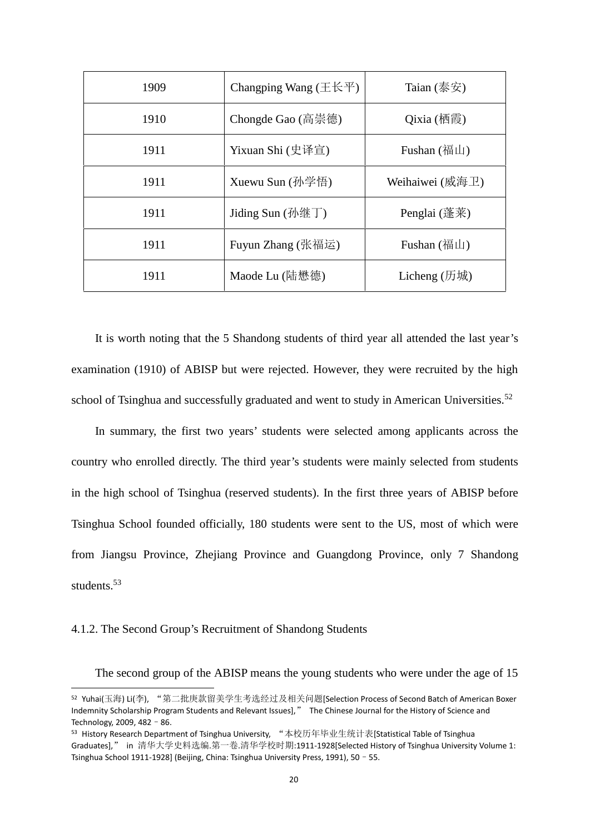| 1909 | Changping Wang $(\pm \text{\&} \mp)$ | Taian $(\bar$ 泰安                                                                           |
|------|--------------------------------------|--------------------------------------------------------------------------------------------|
| 1910 | Chongde Gao (高崇德)                    | $Qixia$ (栖霞)                                                                               |
| 1911 | Yixuan Shi (史译宣)                     | Fushan $(\overline{44} \Box)$                                                              |
| 1911 | Xuewu Sun $(\frac{\pi}{2})^2$ 悟      | Weihaiwei (威海卫)                                                                            |
| 1911 | Jiding Sun $(\frac{\pi}{2})$         | Penglai $(\underline{\ddot{\mathbf{\mathcal{Z}}}} \cdot \overline{\mathbf{\mathcal{F}}}$ ) |
| 1911 | Fuyun Zhang (张福运)                    | Fushan $(\overline{44} \mathbf{L})$                                                        |
| 1911 | Maode Lu $($ 陆懋德 $)$                 | Licheng $(7, 1)$                                                                           |

It is worth noting that the 5 Shandong students of third year all attended the last year's examination (1910) of ABISP but were rejected. However, they were recruited by the high school of Tsinghua and successfully graduated and went to study in American Universities.<sup>52</sup>

In summary, the first two years' students were selected among applicants across the country who enrolled directly. The third year's students were mainly selected from students in the high school of Tsinghua (reserved students). In the first three years of ABISP before Tsinghua School founded officially, 180 students were sent to the US, most of which were from Jiangsu Province, Zhejiang Province and Guangdong Province, only 7 Shandong students.<sup>53</sup>

### 4.1.2. The Second Group's Recruitment of Shandong Students

The second group of the ABISP means the young students who were under the age of 15

<sup>52</sup> Yuhai(玉海) Li(李), "第二批庚款留美学生考选经过及相关问题[Selection Process of Second Batch of American Boxer Indemnity Scholarship Program Students and Relevant Issues]," The Chinese Journal for the History of Science and Technology, 2009, 482–86.

<sup>53</sup> History Research Department of Tsinghua University, "本校历年毕业生统计表[Statistical Table of Tsinghua Graduates]," in 清华大学史料选编.第一卷.清华学校时期:1911-1928[Selected History of Tsinghua University Volume 1: Tsinghua School 1911-1928] (Beijing, China: Tsinghua University Press, 1991), 50–55.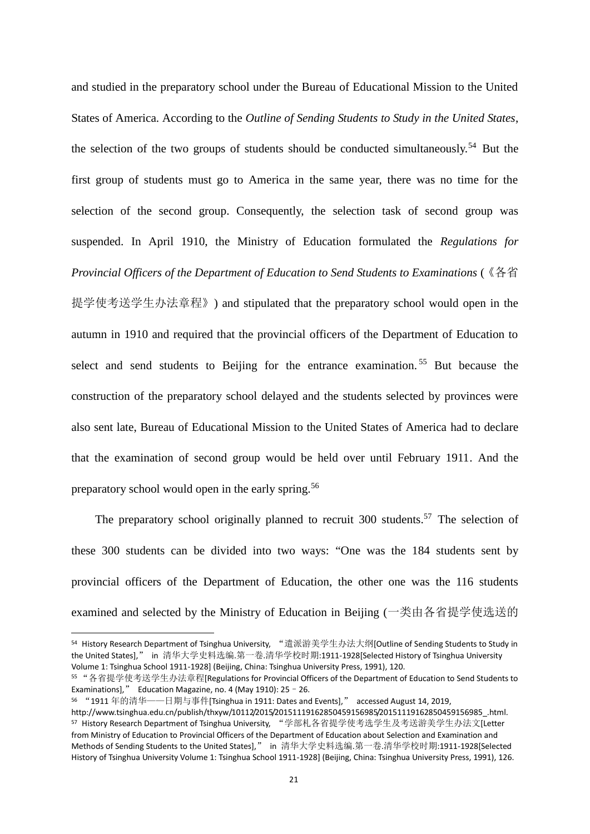and studied in the preparatory school under the Bureau of Educational Mission to the United States of America. According to the *Outline of Sending Students to Study in the United States*, the selection of the two groups of students should be conducted simultaneously.<sup>54</sup> But the first group of students must go to America in the same year, there was no time for the selection of the second group. Consequently, the selection task of second group was suspended. In April 1910, the Ministry of Education formulated the *Regulations for Provincial Officers of the Department of Education to Send Students to Examinations* (《各省 提学使考送学生办法章程》) and stipulated that the preparatory school would open in the autumn in 1910 and required that the provincial officers of the Department of Education to select and send students to Beijing for the entrance examination.<sup>55</sup> But because the construction of the preparatory school delayed and the students selected by provinces were also sent late, Bureau of Educational Mission to the United States of America had to declare that the examination of second group would be held over until February 1911. And the preparatory school would open in the early spring.<sup>56</sup>

The preparatory school originally planned to recruit  $300$  students.<sup>57</sup> The selection of these 300 students can be divided into two ways: "One was the 184 students sent by provincial officers of the Department of Education, the other one was the 116 students examined and selected by the Ministry of Education in Beijing (一类由各省提学使选送的

<sup>54</sup> History Research Department of Tsinghua University, "遣派游美学生办法大纲[Outline of Sending Students to Study in the United States]," in 清华大学史料选编.第一卷.清华学校时期:1911-1928[Selected History of Tsinghua University Volume 1: Tsinghua School 1911-1928] (Beijing, China: Tsinghua University Press, 1991), 120.

<sup>55</sup> "各省提学使考送学生办法章程[Regulations for Provincial Officers of the Department of Education to Send Students to Examinations]," Education Magazine, no. 4 (May 1910):  $25 - 26$ .

<sup>56</sup> "1911 年的清华——日期与事件[Tsinghua in 1911: Dates and Events]," accessed August 14, 2019,

http://www.tsinghua.edu.cn/publish/thxyw/10112/2015/20151119162850459156985/20151119162850459156985\_.html. <sup>57</sup> History Research Department of Tsinghua University, "学部札各省提学使考选学生及考送游美学生办法文[Letter from Ministry of Education to Provincial Officers of the Department of Education about Selection and Examination and Methods of Sending Students to the United States]," in 清华大学史料选编.第一卷.清华学校时期:1911-1928[Selected History of Tsinghua University Volume 1: Tsinghua School 1911-1928] (Beijing, China: Tsinghua University Press, 1991), 126.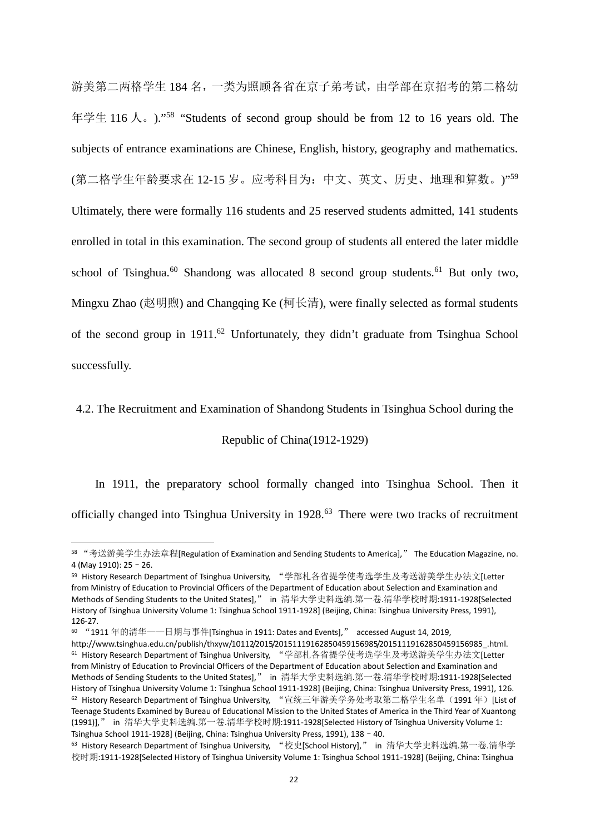游美第二两格学生 184 名,一类为照顾各省在京子弟考试,由学部在京招考的第二格幼 年学生 116 人。)." <sup>58</sup> "Students of second group should be from 12 to 16 years old. The subjects of entrance examinations are Chinese, English, history, geography and mathematics. (第二格学生年龄要求在 12-15 岁。应考科目为:中文、英文、历史、地理和算数。)"59 Ultimately, there were formally 116 students and 25 reserved students admitted, 141 students enrolled in total in this examination. The second group of students all entered the later middle school of Tsinghua.<sup>60</sup> Shandong was allocated 8 second group students.<sup>61</sup> But only two, Mingxu Zhao (赵明煦) and Changqing Ke (柯长清), were finally selected as formal students of the second group in 1911.<sup>62</sup> Unfortunately, they didn't graduate from Tsinghua School successfully.

4.2. The Recruitment and Examination of Shandong Students in Tsinghua School during the

Republic of China(1912-1929)

In 1911, the preparatory school formally changed into Tsinghua School. Then it officially changed into Tsinghua University in 1928.<sup>63</sup> There were two tracks of recruitment

<sup>58</sup> "考送游美学生办法章程[Regulation of Examination and Sending Students to America]," The Education Magazine, no. 4 (May 1910): 25–26.

<sup>59</sup> History Research Department of Tsinghua University, "学部札各省提学使考选学生及考送游美学生办法文[Letter from Ministry of Education to Provincial Officers of the Department of Education about Selection and Examination and Methods of Sending Students to the United States]," in 清华大学史料选编.第一卷.清华学校时期:1911-1928[Selected History of Tsinghua University Volume 1: Tsinghua School 1911-1928] (Beijing, China: Tsinghua University Press, 1991), 126-27.

<sup>60</sup> "1911 年的清华——日期与事件[Tsinghua in 1911: Dates and Events]," accessed August 14, 2019,

http://www.tsinghua.edu.cn/publish/thxyw/10112/2015/20151119162850459156985/20151119162850459156985\_.html. <sup>61</sup> History Research Department of Tsinghua University, "学部札各省提学使考选学生及考送游美学生办法文[Letter from Ministry of Education to Provincial Officers of the Department of Education about Selection and Examination and Methods of Sending Students to the United States]," in 清华大学史料选编.第一卷.清华学校时期:1911-1928[Selected History of Tsinghua University Volume 1: Tsinghua School 1911-1928] (Beijing, China: Tsinghua University Press, 1991), 126. <sup>62</sup> History Research Department of Tsinghua University, "宣统三年游美学务处考取第二格学生名单(1991年)[List of Teenage Students Examined by Bureau of Educational Mission to the United States of America in the Third Year of Xuantong (1991)]," in 清华大学史料选编.第一卷.清华学校时期:1911-1928[Selected History of Tsinghua University Volume 1: Tsinghua School 1911-1928] (Beijing, China: Tsinghua University Press, 1991), 138–40.

<sup>63</sup> History Research Department of Tsinghua University, "校史[School History]," in 清华大学史料选编.第一卷.清华学 校时期:1911-1928[Selected History of Tsinghua University Volume 1: Tsinghua School 1911-1928] (Beijing, China: Tsinghua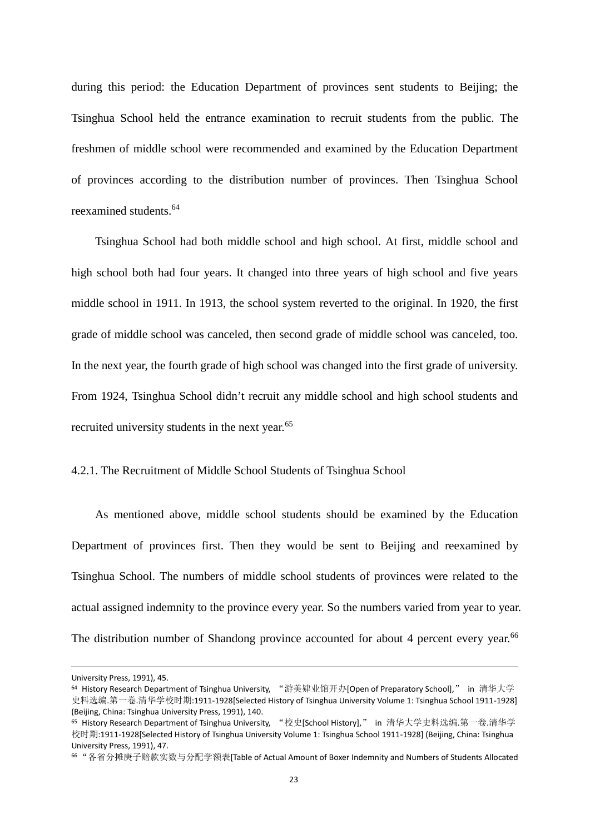during this period: the Education Department of provinces sent students to Beijing; the Tsinghua School held the entrance examination to recruit students from the public. The freshmen of middle school were recommended and examined by the Education Department of provinces according to the distribution number of provinces. Then Tsinghua School reexamined students.<sup>64</sup>

Tsinghua School had both middle school and high school. At first, middle school and high school both had four years. It changed into three years of high school and five years middle school in 1911. In 1913, the school system reverted to the original. In 1920, the first grade of middle school was canceled, then second grade of middle school was canceled, too. In the next year, the fourth grade of high school was changed into the first grade of university. From 1924, Tsinghua School didn't recruit any middle school and high school students and recruited university students in the next year.<sup>65</sup>

#### 4.2.1. The Recruitment of Middle School Students of Tsinghua School

As mentioned above, middle school students should be examined by the Education Department of provinces first. Then they would be sent to Beijing and reexamined by Tsinghua School. The numbers of middle school students of provinces were related to the actual assigned indemnity to the province every year. So the numbers varied from year to year. The distribution number of Shandong province accounted for about 4 percent every year.<sup>66</sup>

University Press, 1991), 45.

<sup>64</sup> History Research Department of Tsinghua University, "游美肄业馆开办[Open of Preparatory School]," in 清华大学 史料选编.第一卷.清华学校时期:1911-1928[Selected History of Tsinghua University Volume 1: Tsinghua School 1911-1928] (Beijing, China: Tsinghua University Press, 1991), 140.

<sup>65</sup> History Research Department of Tsinghua University, "校史[School History]," in 清华大学史料选编.第一卷.清华学 校时期:1911-1928[Selected History of Tsinghua University Volume 1: Tsinghua School 1911-1928] (Beijing, China: Tsinghua University Press, 1991), 47.

<sup>66</sup> "各省分摊庚子赔款实数与分配学额表[Table of Actual Amount of Boxer Indemnity and Numbers of Students Allocated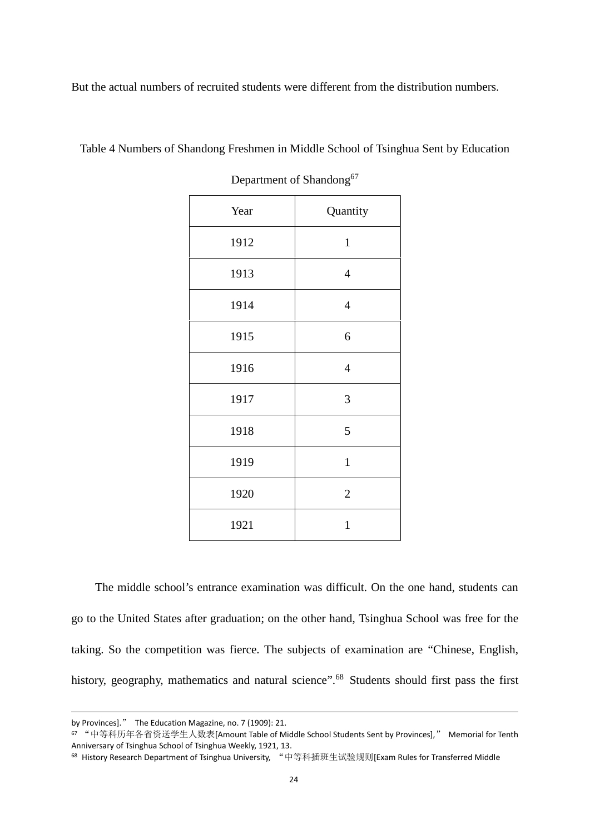But the actual numbers of recruited students were different from the distribution numbers.

| $\mathbf{r}$ | ັ              |
|--------------|----------------|
| Year         | Quantity       |
| 1912         | $\,1$          |
| 1913         | $\overline{4}$ |
| 1914         | $\overline{4}$ |
| 1915         | 6              |
| 1916         | $\overline{4}$ |
| 1917         | $\mathfrak{Z}$ |
| 1918         | 5              |
| 1919         | $\mathbf{1}$   |
| 1920         | $\sqrt{2}$     |
| 1921         | $\mathbf 1$    |
|              |                |

Table 4 Numbers of Shandong Freshmen in Middle School of Tsinghua Sent by Education

Department of Shandong<sup>67</sup>

The middle school's entrance examination was difficult. On the one hand, students can go to the United States after graduation; on the other hand, Tsinghua School was free for the taking. So the competition was fierce. The subjects of examination are "Chinese, English, history, geography, mathematics and natural science".<sup>68</sup> Students should first pass the first

by Provinces]." The Education Magazine, no. 7 (1909): 21.

<sup>67</sup> "中等科历年各省资送学生人数表[Amount Table of Middle School Students Sent by Provinces]," Memorial for Tenth Anniversary of Tsinghua School of Tsinghua Weekly, 1921, 13.

<sup>68</sup> History Research Department of Tsinghua University, "中等科插班生试验规则[Exam Rules for Transferred Middle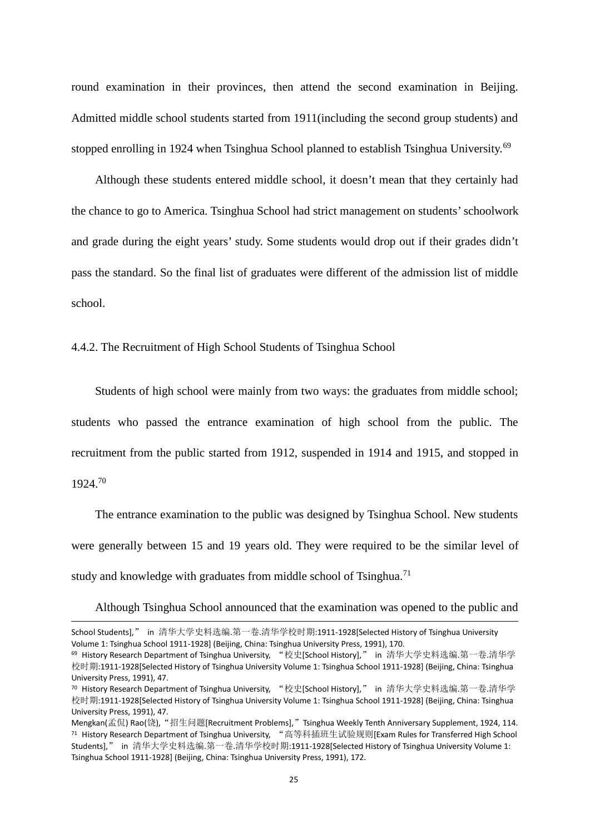round examination in their provinces, then attend the second examination in Beijing. Admitted middle school students started from 1911(including the second group students) and stopped enrolling in 1924 when Tsinghua School planned to establish Tsinghua University.<sup>69</sup>

Although these students entered middle school, it doesn't mean that they certainly had the chance to go to America. Tsinghua School had strict management on students'schoolwork and grade during the eight years' study. Some students would drop out if their grades didn't pass the standard. So the final list of graduates were different of the admission list of middle school.

4.4.2. The Recruitment of High School Students of Tsinghua School

Students of high school were mainly from two ways: the graduates from middle school; students who passed the entrance examination of high school from the public. The recruitment from the public started from 1912, suspended in 1914 and 1915, and stopped in 1924.<sup>70</sup>

The entrance examination to the public was designed by Tsinghua School. New students were generally between 15 and 19 years old. They were required to be the similar level of study and knowledge with graduates from middle school of Tsinghua.<sup>71</sup>

Although Tsinghua School announced that the examination was opened to the public and

School Students]," in 清华大学史料选编.第一卷.清华学校时期:1911-1928[Selected History of Tsinghua University Volume 1: Tsinghua School 1911-1928] (Beijing, China: Tsinghua University Press, 1991), 170.

<sup>69</sup> History Research Department of Tsinghua University, "校史[School History]," in 清华大学史料选编.第一卷.清华学 校时期:1911-1928[Selected History of Tsinghua University Volume 1: Tsinghua School 1911-1928] (Beijing, China: Tsinghua University Press, 1991), 47.

<sup>70</sup> History Research Department of Tsinghua University, "校史[School History]," in 清华大学史料选编.第一卷.清华学 校时期:1911-1928[Selected History of Tsinghua University Volume 1: Tsinghua School 1911-1928] (Beijing, China: Tsinghua University Press, 1991), 47.

Mengkan(孟侃) Rao(饶), "招生问题[Recruitment Problems]," Tsinghua Weekly Tenth Anniversary Supplement, 1924, 114. <sup>71</sup> History Research Department of Tsinghua University, "高等科插班生试验规则[Exam Rules for Transferred High School Students]," in 清华大学史料选编.第一卷.清华学校时期:1911-1928[Selected History of Tsinghua University Volume 1: Tsinghua School 1911-1928] (Beijing, China: Tsinghua University Press, 1991), 172.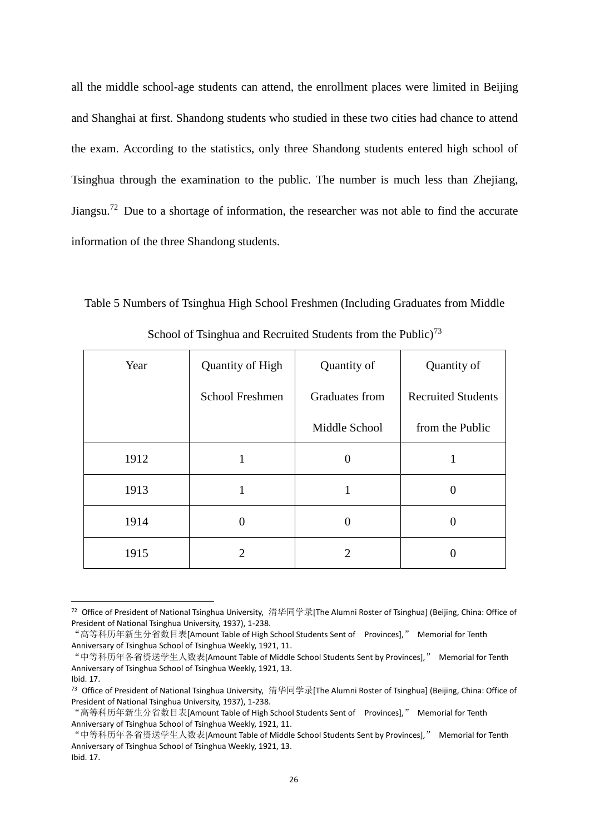all the middle school-age students can attend, the enrollment places were limited in Beijing and Shanghai at first. Shandong students who studied in these two cities had chance to attend the exam. According to the statistics, only three Shandong students entered high school of Tsinghua through the examination to the public. The number is much less than Zhejiang, Jiangsu.<sup>72</sup> Due to a shortage of information, the researcher was not able to find the accurate information of the three Shandong students.

Table 5 Numbers of Tsinghua High School Freshmen (Including Graduates from Middle

| Year | Quantity of High | Quantity of      | Quantity of               |
|------|------------------|------------------|---------------------------|
|      | School Freshmen  | Graduates from   | <b>Recruited Students</b> |
|      |                  | Middle School    | from the Public           |
| 1912 | 1                | $\boldsymbol{0}$ |                           |
| 1913 | 1                | 1                | $\overline{0}$            |
| 1914 | $\overline{0}$   | 0                | 0                         |
| 1915 | $\overline{2}$   | 2                | 0                         |

School of Tsinghua and Recruited Students from the Public)<sup>73</sup>

26

<sup>72</sup> Office of President of National Tsinghua University, 清华同学录[The Alumni Roster of Tsinghua] (Beijing, China: Office of President of National Tsinghua University, 1937), 1-238.

<sup>&</sup>quot;高等科历年新生分省数目表[Amount Table of High School Students Sent of Provinces]," Memorial for Tenth Anniversary of Tsinghua School of Tsinghua Weekly, 1921, 11.

<sup>&</sup>quot;中等科历年各省资送学生人数表[Amount Table of Middle School Students Sent by Provinces]," Memorial for Tenth Anniversary of Tsinghua School of Tsinghua Weekly, 1921, 13.

Ibid. 17.

<sup>73</sup> Office of President of National Tsinghua University, 清华同学录[The Alumni Roster of Tsinghua] (Beijing, China: Office of President of National Tsinghua University, 1937), 1-238.

<sup>&</sup>quot;高等科历年新生分省数目表[Amount Table of High School Students Sent of Provinces]," Memorial for Tenth Anniversary of Tsinghua School of Tsinghua Weekly, 1921, 11.

<sup>&</sup>quot;中等科历年各省资送学生人数表[Amount Table of Middle School Students Sent by Provinces]," Memorial for Tenth Anniversary of Tsinghua School of Tsinghua Weekly, 1921, 13. Ibid. 17.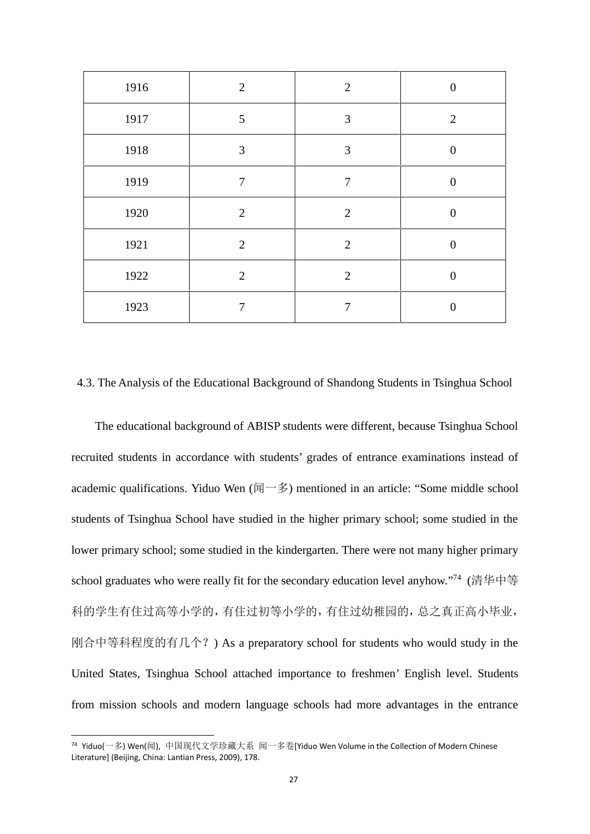| 1916 | $\overline{2}$ | 2              | $\theta$       |
|------|----------------|----------------|----------------|
| 1917 | 5              | 3              | $\overline{2}$ |
| 1918 | 3              | 3              | $\Omega$       |
| 1919 | 7              | 7              | $\theta$       |
| 1920 | 2              | $\overline{2}$ | $\theta$       |
| 1921 | 2              | $\overline{2}$ | 0              |
| 1922 | $\overline{2}$ | $\overline{2}$ | $\Omega$       |
| 1923 | 7              | $\overline{7}$ | 0              |

## 4.3. The Analysis of the Educational Background of Shandong Students in Tsinghua School

The educational background of ABISP students were different, because Tsinghua School recruited students in accordance with students' grades of entrance examinations instead of academic qualifications. Yiduo Wen (闻一多) mentioned in an article: "Some middle school students of Tsinghua School have studied in the higher primary school; some studied in the lower primary school; some studied in the kindergarten. There were not many higher primary school graduates who were really fit for the secondary education level anyhow."<sup>74</sup> (清华中等 科的学生有住过高等小学的,有住过初等小学的,有住过幼稚园的,总之真正高小毕业, 刚合中等科程度的有几个?) As a preparatory school for students who would study in the United States, Tsinghua School attached importance to freshmen' English level. Students from mission schools and modern language schools had more advantages in the entrance

<sup>74</sup> Yiduo(一多) Wen(闻), 中国现代文学珍藏大系 闻一多卷[Yiduo Wen Volume in the Collection of Modern Chinese Literature] (Beijing, China: Lantian Press, 2009), 178.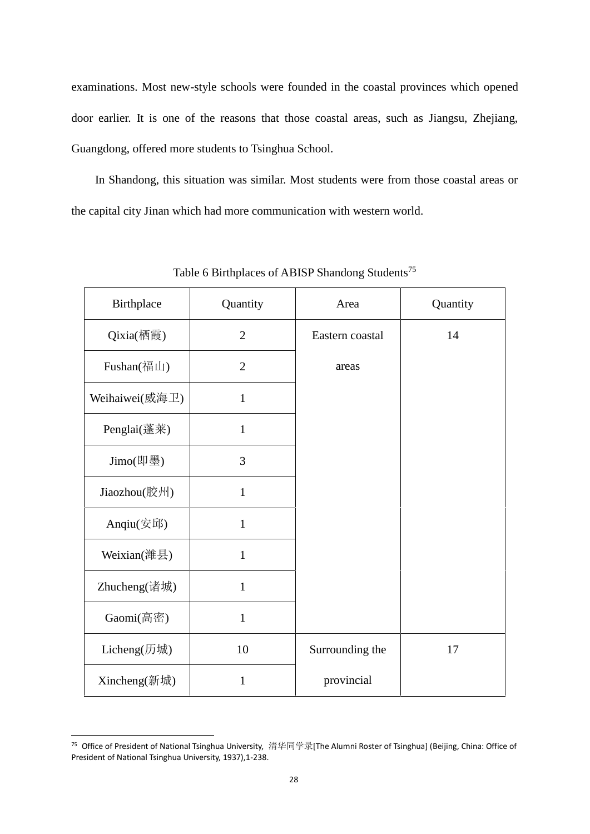examinations. Most new-style schools were founded in the coastal provinces which opened door earlier. It is one of the reasons that those coastal areas, such as Jiangsu, Zhejiang, Guangdong, offered more students to Tsinghua School.

In Shandong, this situation was similar. Most students were from those coastal areas or the capital city Jinan which had more communication with western world.

| Birthplace             | Quantity       | Area            | Quantity |
|------------------------|----------------|-----------------|----------|
| Qixia(栖霞)              | $\overline{2}$ | Eastern coastal | 14       |
| Fushan(福山)             | $\overline{2}$ | areas           |          |
| Weihaiwei(威海卫)         | $\mathbf{1}$   |                 |          |
| Penglai(蓬莱)            | $\mathbf{1}$   |                 |          |
| Jimo(即墨)               | 3              |                 |          |
| Jiaozhou(胶州)           | $\mathbf{1}$   |                 |          |
| Anqiu(安邱)              | $\mathbf{1}$   |                 |          |
| Weixian(潍县)            | $\mathbf{1}$   |                 |          |
| Zhucheng(诸城)           | $\mathbf{1}$   |                 |          |
| Gaomi(高密)              | $\mathbf{1}$   |                 |          |
| Licheng $(f\bar{f}$ 城) | 10             | Surrounding the | 17       |
| Xincheng(新城)           | $\mathbf{1}$   | provincial      |          |

Table 6 Birthplaces of ABISP Shandong Students<sup>75</sup>

<sup>75</sup> Office of President of National Tsinghua University, 清华同学录[The Alumni Roster of Tsinghua] (Beijing, China: Office of President of National Tsinghua University, 1937),1-238.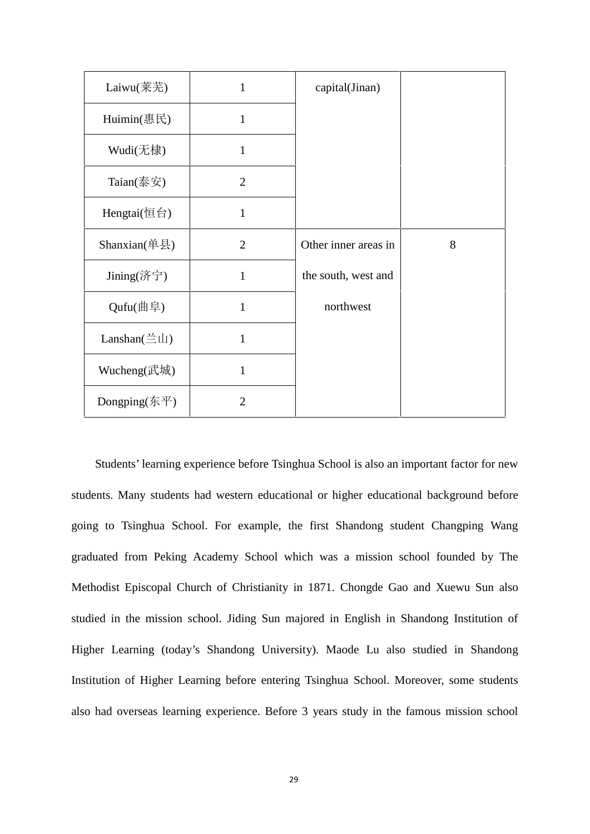| Laiwu(莱芜)                                                | 1              | capital(Jinan)       |   |
|----------------------------------------------------------|----------------|----------------------|---|
| Huimin(惠民)                                               | $\mathbf{1}$   |                      |   |
| Wudi(无棣)                                                 | 1              |                      |   |
| Taian $(\bar$ 泰安)                                        | $\overline{2}$ |                      |   |
| Hengtai $(E \oplus)$                                     | $\mathbf{1}$   |                      |   |
| Shanxian $(\&$ 县)                                        | $\overline{2}$ | Other inner areas in | 8 |
| Jining(济宁)                                               | $\mathbf{1}$   | the south, west and  |   |
| Qufu(曲阜)                                                 | $\mathbf{1}$   | northwest            |   |
| Lanshan( $\stackrel{\scriptstyle\leftrightarrow}{=}$ Li) | 1              |                      |   |
| Wucheng(武城)                                              | 1              |                      |   |
| Dongping(东平)                                             | $\overline{2}$ |                      |   |

Students' learning experience before Tsinghua School is also an important factor for new students. Many students had western educational or higher educational background before going to Tsinghua School. For example, the first Shandong student Changping Wang graduated from Peking Academy School which was a mission school founded by The Methodist Episcopal Church of Christianity in 1871. Chongde Gao and Xuewu Sun also studied in the mission school. Jiding Sun majored in English in Shandong Institution of Higher Learning (today's Shandong University). Maode Lu also studied in Shandong Institution of Higher Learning before entering Tsinghua School. Moreover, some students also had overseas learning experience. Before 3 years study in the famous mission school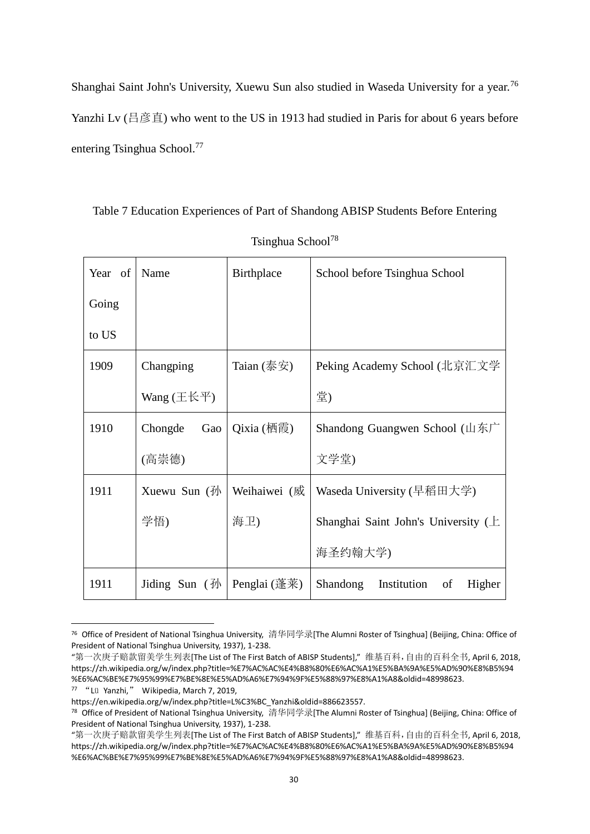Shanghai Saint John's University, Xuewu Sun also studied in Waseda University for a year.<sup>76</sup> Yanzhi Lv (吕彦直) who went to the US in 1913 had studied in Paris for about 6 years before entering Tsinghua School.<sup>77</sup>

Table 7 Education Experiences of Part of Shandong ABISP Students Before Entering

| Year of | Name                         | Birthplace                                                       | School before Tsinghua School                  |
|---------|------------------------------|------------------------------------------------------------------|------------------------------------------------|
| Going   |                              |                                                                  |                                                |
| to US   |                              |                                                                  |                                                |
| 1909    | Changping                    | Taian $(\bar$ 泰安)                                                | Peking Academy School (北京汇文学                   |
|         | Wang $(\pm \& \pm)$          |                                                                  | 堂)                                             |
| 1910    | Chongde<br>Gao               | $Qixia$ (栖霞)                                                     | Shandong Guangwen School (山东广                  |
|         | (高崇德)                        |                                                                  | 文学堂)                                           |
| 1911    | Xuewu Sun $(\frac{\pi}{2})$  | Weihaiwei (威                                                     | Waseda University (早稻田大学)                      |
|         | 学悟)                          | 海卫)                                                              | Shanghai Saint John's University $(\pm)$       |
|         |                              |                                                                  | 海圣约翰大学)                                        |
| 1911    | Jiding Sun $(\frac{\pi}{2})$ | Penglai $(\underline{\ddot{\mathbb{F}}}\,\overline{\mathbb{F}})$ | <b>Shandong</b><br>Institution<br>Higher<br>of |

Tsinghua School<sup>78</sup>

<sup>76</sup> Office of President of National Tsinghua University, 清华同学录[The Alumni Roster of Tsinghua] (Beijing, China: Office of President of National Tsinghua University, 1937), 1-238.

<sup>&</sup>quot;第一次庚子赔款留美学生列表[The List of The First Batch of ABISP Students]," 维基百科,自由的百科全书, April 6, 2018, https://zh.wikipedia.org/w/index.php?title=%E7%AC%AC%E4%B8%80%E6%AC%A1%E5%BA%9A%E5%AD%90%E8%B5%94 %E6%AC%BE%E7%95%99%E7%BE%8E%E5%AD%A6%E7%94%9F%E5%88%97%E8%A1%A8&oldid=48998623.

<sup>77</sup> "Lü Yanzhi," Wikipedia, March 7, 2019,

https://en.wikipedia.org/w/index.php?title=L%C3%BC\_Yanzhi&oldid=886623557.

<sup>78</sup> Office of President of National Tsinghua University, 清华同学录[The Alumni Roster of Tsinghua] (Beijing, China: Office of President of National Tsinghua University, 1937), 1-238.

<sup>&</sup>quot;第一次庚子赔款留美学生列表[The List of The First Batch of ABISP Students]," 维基百科,自由的百科全书, April 6, 2018, https://zh.wikipedia.org/w/index.php?title=%E7%AC%AC%E4%B8%80%E6%AC%A1%E5%BA%9A%E5%AD%90%E8%B5%94 %E6%AC%BE%E7%95%99%E7%BE%8E%E5%AD%A6%E7%94%9F%E5%88%97%E8%A1%A8&oldid=48998623.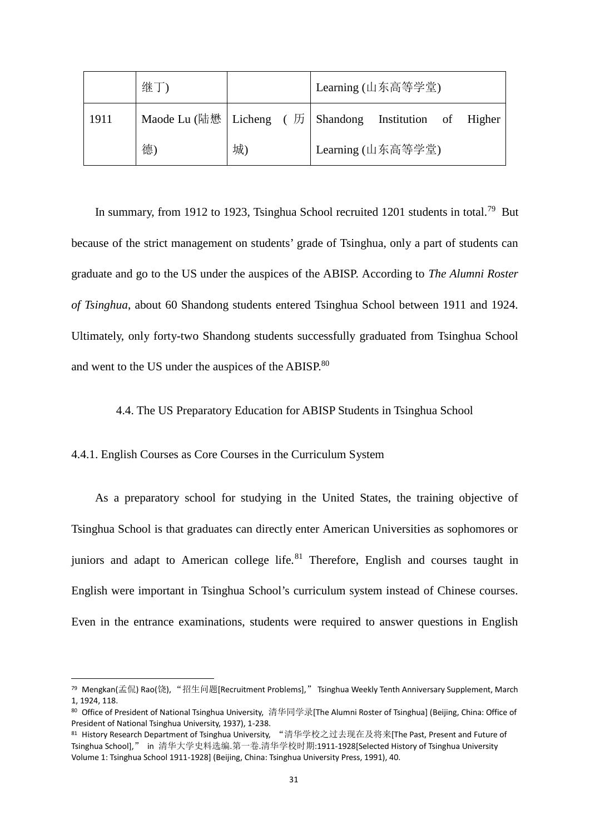|      | 继                                                           |    | Learning (山东高等学堂) |  |  |  |
|------|-------------------------------------------------------------|----|-------------------|--|--|--|
| 1911 | Maode Lu (陆懋   Licheng ( 历   Shandong Institution of Higher |    |                   |  |  |  |
|      | 德)                                                          | 城) | Learning (山东高等学堂) |  |  |  |

In summary, from 1912 to 1923, Tsinghua School recruited 1201 students in total.<sup>79</sup> But because of the strict management on students' grade of Tsinghua, only a part of students can graduate and go to the US under the auspices of the ABISP. According to *The Alumni Roster of Tsinghua*, about 60 Shandong students entered Tsinghua School between 1911 and 1924. Ultimately, only forty-two Shandong students successfully graduated from Tsinghua School and went to the US under the auspices of the ABISP.<sup>80</sup>

# 4.4. The US Preparatory Education for ABISP Students in Tsinghua School

## 4.4.1. English Courses as Core Courses in the Curriculum System

As a preparatory school for studying in the United States, the training objective of Tsinghua School is that graduates can directly enter American Universities as sophomores or juniors and adapt to American college life.<sup>81</sup> Therefore, English and courses taught in English were important in Tsinghua School's curriculum system instead of Chinese courses. Even in the entrance examinations, students were required to answer questions in English

<sup>79</sup> Mengkan(孟侃) Rao(饶), "招生问题[Recruitment Problems]," Tsinghua Weekly Tenth Anniversary Supplement, March 1, 1924, 118.

<sup>80</sup> Office of President of National Tsinghua University, 清华同学录[The Alumni Roster of Tsinghua] (Beijing, China: Office of President of National Tsinghua University, 1937), 1-238.

<sup>81</sup> History Research Department of Tsinghua University, "清华学校之过去现在及将来[The Past, Present and Future of Tsinghua School]," in 清华大学史料选编.第一卷.清华学校时期:1911-1928[Selected History of Tsinghua University Volume 1: Tsinghua School 1911-1928] (Beijing, China: Tsinghua University Press, 1991), 40.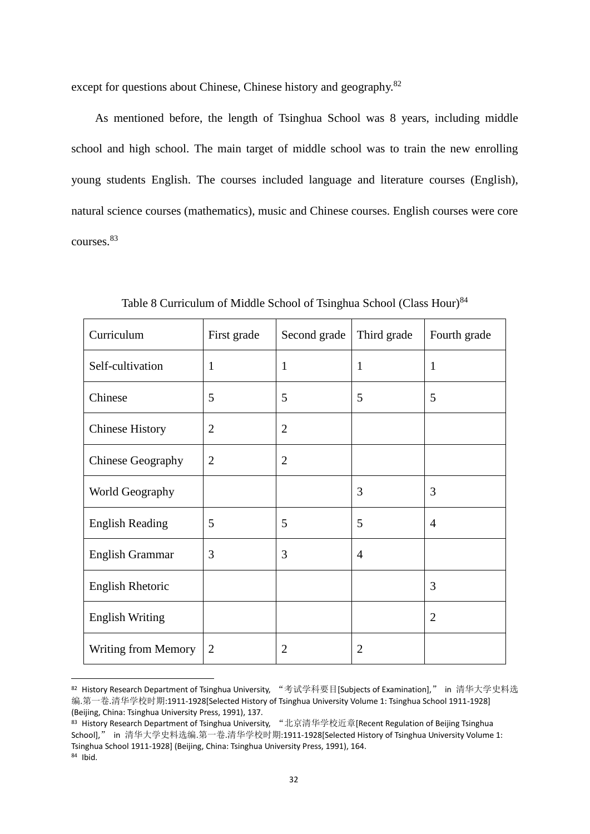except for questions about Chinese, Chinese history and geography.<sup>82</sup>

As mentioned before, the length of Tsinghua School was 8 years, including middle school and high school. The main target of middle school was to train the new enrolling young students English. The courses included language and literature courses (English), natural science courses (mathematics), music and Chinese courses. English courses were core courses.<sup>83</sup>

| Curriculum             | First grade    | Second grade   | Third grade    | Fourth grade   |
|------------------------|----------------|----------------|----------------|----------------|
| Self-cultivation       | $\mathbf{1}$   | $\mathbf{1}$   | $\mathbf{1}$   | $\mathbf{1}$   |
| Chinese                | 5              | 5              | 5              | 5              |
| <b>Chinese History</b> | $\overline{2}$ | $\overline{2}$ |                |                |
| Chinese Geography      | $\overline{2}$ | $\overline{2}$ |                |                |
| World Geography        |                |                | 3              | 3              |
| <b>English Reading</b> | 5              | 5              | 5              | $\overline{4}$ |
| English Grammar        | 3              | 3              | $\overline{4}$ |                |
| English Rhetoric       |                |                |                | 3              |
| <b>English Writing</b> |                |                |                | $\overline{2}$ |
| Writing from Memory    | $\overline{2}$ | $\overline{2}$ | $\overline{2}$ |                |

Table 8 Curriculum of Middle School of Tsinghua School (Class Hour)<sup>84</sup>

<sup>82</sup> History Research Department of Tsinghua University, "考试学科要目[Subjects of Examination]," in 清华大学史料选 编.第一卷.清华学校时期:1911-1928[Selected History of Tsinghua University Volume 1: Tsinghua School 1911-1928] (Beijing, China: Tsinghua University Press, 1991), 137.

<sup>83</sup> History Research Department of Tsinghua University, "北京清华学校近章[Recent Regulation of Beijing Tsinghua School]," in 清华大学史料选编.第一卷.清华学校时期:1911-1928[Selected History of Tsinghua University Volume 1: Tsinghua School 1911-1928] (Beijing, China: Tsinghua University Press, 1991), 164.  $84$  Ibid.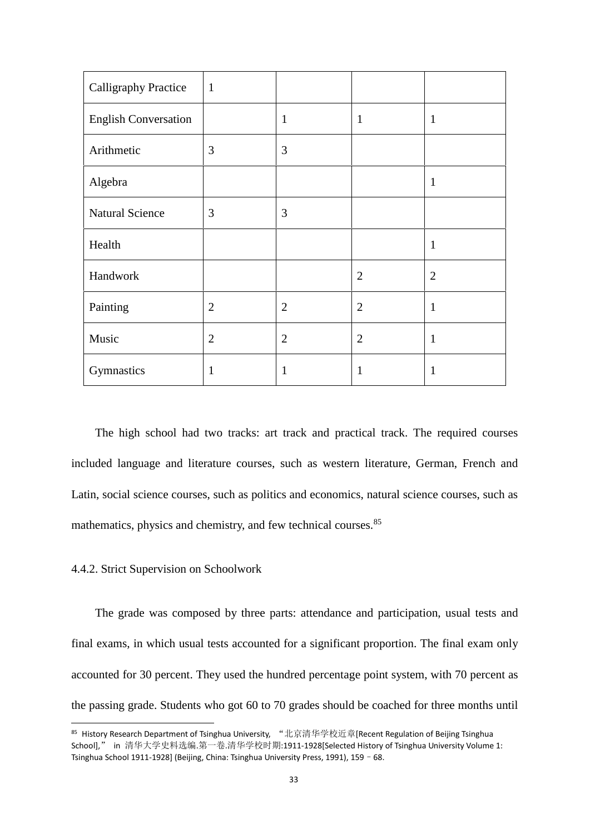| Calligraphy Practice        | $\mathbf{1}$   |                |                |                |
|-----------------------------|----------------|----------------|----------------|----------------|
| <b>English Conversation</b> |                | $\mathbf{1}$   | $\mathbf{1}$   | $\mathbf{1}$   |
| Arithmetic                  | 3              | 3              |                |                |
| Algebra                     |                |                |                | $\mathbf{1}$   |
| <b>Natural Science</b>      | 3              | 3              |                |                |
| Health                      |                |                |                | $\mathbf{1}$   |
| Handwork                    |                |                | $\overline{2}$ | $\overline{2}$ |
| Painting                    | $\overline{2}$ | $\overline{2}$ | $\overline{2}$ | $\mathbf{1}$   |
| Music                       | $\overline{2}$ | $\overline{2}$ | $\overline{2}$ | $\mathbf{1}$   |
| Gymnastics                  | $\mathbf{1}$   | 1              | 1              | $\mathbf{1}$   |

The high school had two tracks: art track and practical track. The required courses included language and literature courses, such as western literature, German, French and Latin, social science courses, such as politics and economics, natural science courses, such as mathematics, physics and chemistry, and few technical courses.<sup>85</sup>

### 4.4.2. Strict Supervision on Schoolwork

The grade was composed by three parts: attendance and participation, usual tests and final exams, in which usual tests accounted for a significant proportion. The final exam only accounted for 30 percent. They used the hundred percentage point system, with 70 percent as the passing grade. Students who got 60 to 70 grades should be coached for three months until

<sup>85</sup> History Research Department of Tsinghua University, "北京清华学校近章[Recent Regulation of Beijing Tsinghua School]," in 清华大学史料选编.第一卷.清华学校时期:1911-1928[Selected History of Tsinghua University Volume 1: Tsinghua School 1911-1928] (Beijing, China: Tsinghua University Press, 1991), 159–68.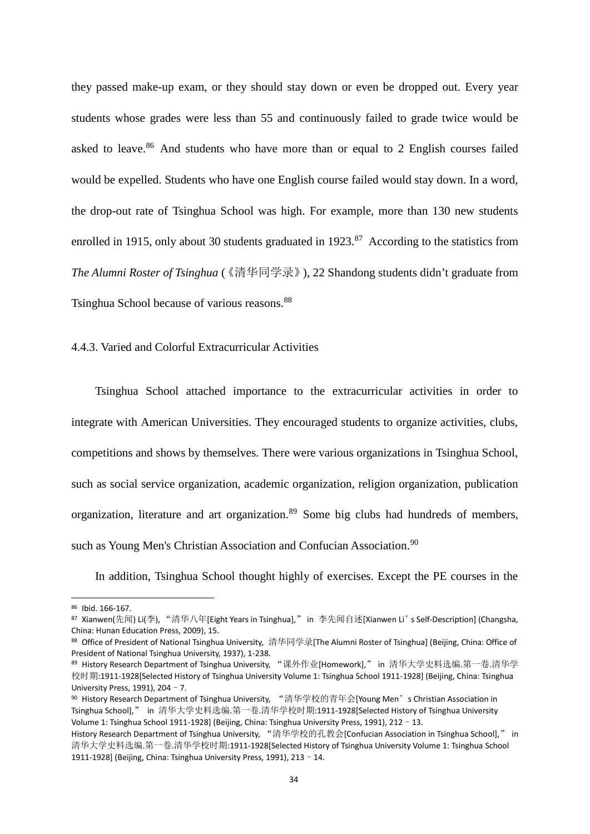they passed make-up exam, or they should stay down or even be dropped out. Every year students whose grades were less than 55 and continuously failed to grade twice would be asked to leave.<sup>86</sup> And students who have more than or equal to 2 English courses failed would be expelled. Students who have one English course failed would stay down. In a word, the drop-out rate of Tsinghua School was high. For example, more than 130 new students enrolled in 1915, only about 30 students graduated in  $1923$ .<sup>87</sup> According to the statistics from *The Alumni Roster of Tsinghua* (《清华同学录》), 22 Shandong students didn't graduate from Tsinghua School because of various reasons.<sup>88</sup>

#### 4.4.3. Varied and Colorful Extracurricular Activities

Tsinghua School attached importance to the extracurricular activities in order to integrate with American Universities. They encouraged students to organize activities, clubs, competitions and shows by themselves. There were various organizations in Tsinghua School, such as social service organization, academic organization, religion organization, publication organization, literature and art organization.<sup>89</sup> Some big clubs had hundreds of members, such as Young Men's Christian Association and Confucian Association.<sup>90</sup>

In addition, Tsinghua School thought highly of exercises. Except the PE courses in the

<sup>86</sup> Ibid. 166-167.

<sup>87</sup> Xianwen(先闻) Li(李), "清华八年[Eight Years in Tsinghua]," in 李先闻自述[Xianwen Li's Self-Description] (Changsha, China: Hunan Education Press, 2009), 15.

<sup>88</sup> Office of President of National Tsinghua University, 清华同学录[The Alumni Roster of Tsinghua] (Beijing, China: Office of President of National Tsinghua University, 1937), 1-238.

<sup>89</sup> History Research Department of Tsinghua University, "课外作业[Homework]," in 清华大学史料选编.第一卷.清华学 校时期:1911-1928[Selected History of Tsinghua University Volume 1: Tsinghua School 1911-1928] (Beijing, China: Tsinghua University Press, 1991), 204–7.

<sup>90</sup> History Research Department of Tsinghua University, "清华学校的青年会[Young Men's Christian Association in Tsinghua School]," in 清华大学史料选编.第一卷.清华学校时期:1911-1928[Selected History of Tsinghua University Volume 1: Tsinghua School 1911-1928] (Beijing, China: Tsinghua University Press, 1991), 212–13.

History Research Department of Tsinghua University, "清华学校的孔教会[Confucian Association in Tsinghua School]," in 清华大学史料选编.第一卷.清华学校时期:1911-1928[Selected History of Tsinghua University Volume 1: Tsinghua School 1911-1928] (Beijing, China: Tsinghua University Press, 1991), 213–14.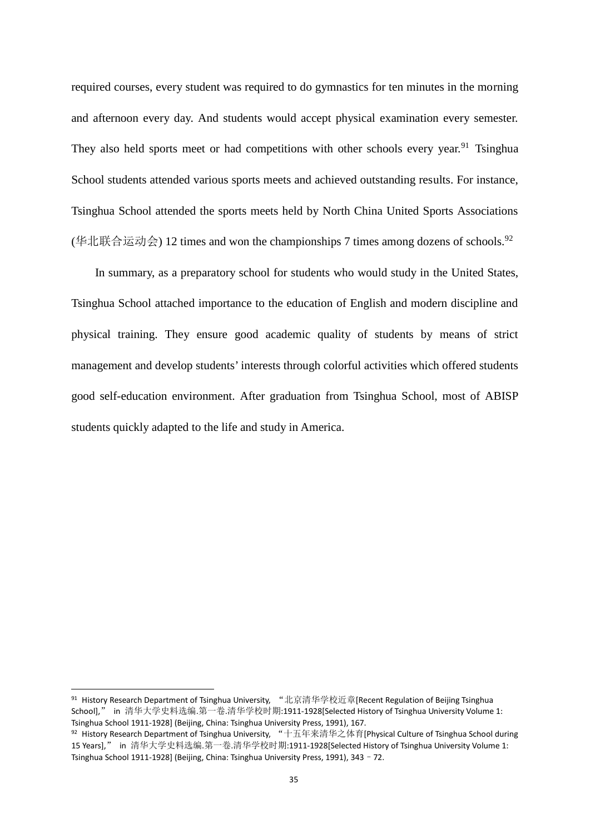required courses, every student was required to do gymnastics for ten minutes in the morning and afternoon every day. And students would accept physical examination every semester. They also held sports meet or had competitions with other schools every year.<sup>91</sup> Tsinghua School students attended various sports meets and achieved outstanding results. For instance, Tsinghua School attended the sports meets held by North China United Sports Associations (华北联合运动会) 12 times and won the championships 7 times among dozens of schools.<sup>92</sup>

In summary, as a preparatory school for students who would study in the United States, Tsinghua School attached importance to the education of English and modern discipline and physical training. They ensure good academic quality of students by means of strict management and develop students' interests through colorful activities which offered students good self-education environment. After graduation from Tsinghua School, most of ABISP students quickly adapted to the life and study in America.

<sup>&</sup>lt;sup>91</sup> History Research Department of Tsinghua University, "北京清华学校近章[Recent Regulation of Beijing Tsinghua School]," in 清华大学史料选编.第一卷.清华学校时期:1911-1928[Selected History of Tsinghua University Volume 1: Tsinghua School 1911-1928] (Beijing, China: Tsinghua University Press, 1991), 167.

<sup>92</sup> History Research Department of Tsinghua University, "十五年来清华之体育[Physical Culture of Tsinghua School during 15 Years]," in 清华大学史料选编.第一卷.清华学校时期:1911-1928[Selected History of Tsinghua University Volume 1: Tsinghua School 1911-1928] (Beijing, China: Tsinghua University Press, 1991), 343–72.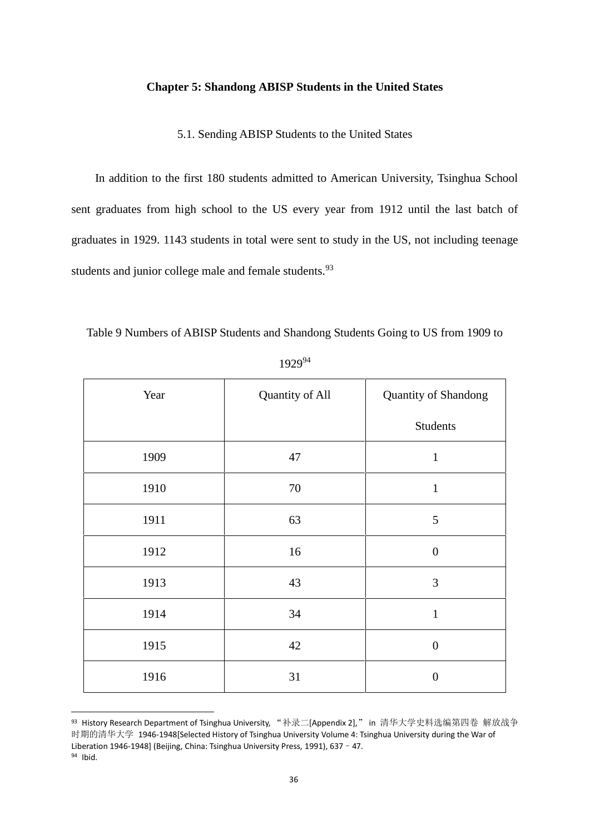## **Chapter 5: Shandong ABISP Students in the United States**

5.1. Sending ABISP Students to the United States

In addition to the first 180 students admitted to American University, Tsinghua School sent graduates from high school to the US every year from 1912 until the last batch of graduates in 1929. 1143 students in total were sent to study in the US, not including teenage students and junior college male and female students.<sup>93</sup>

| Year | Quantity of All | Quantity of Shandong |
|------|-----------------|----------------------|
|      |                 | <b>Students</b>      |
| 1909 | 47              | $\mathbf{1}$         |
| 1910 | 70              | $\mathbf{1}$         |
| 1911 | 63              | 5                    |
| 1912 | 16              | $\overline{0}$       |
| 1913 | 43              | 3                    |
| 1914 | 34              | $\mathbf{1}$         |
| 1915 | 42              | $\boldsymbol{0}$     |
| 1916 | 31              | $\overline{0}$       |

Table 9 Numbers of ABISP Students and Shandong Students Going to US from 1909 to

| 192994 |
|--------|
|--------|

<sup>93</sup> History Research Department of Tsinghua University, "补录二[Appendix 2]," in 清华大学史料选编第四卷 解放战争 时期的清华大学 1946-1948[Selected History of Tsinghua University Volume 4: Tsinghua University during the War of Liberation 1946-1948] (Beijing, China: Tsinghua University Press, 1991), 637 - 47.

<sup>94</sup> Ibid.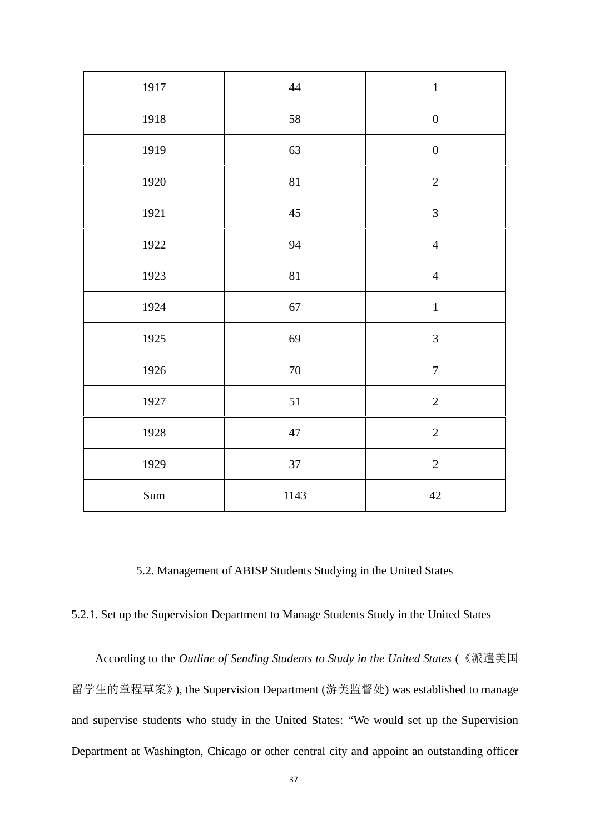| 1917                 | $44\,$ | $\,1\,$          |
|----------------------|--------|------------------|
| 1918                 | 58     | $\boldsymbol{0}$ |
| 1919                 | 63     | $\boldsymbol{0}$ |
| 1920                 | $81\,$ | $\sqrt{2}$       |
| 1921                 | $45\,$ | $\mathfrak{Z}$   |
| 1922                 | 94     | $\overline{4}$   |
| 1923                 | $81\,$ | $\overline{4}$   |
| 1924                 | $67\,$ | $\mathbf{1}$     |
| 1925                 | 69     | $\mathfrak{Z}$   |
| 1926                 | $70\,$ | $\boldsymbol{7}$ |
| 1927                 | $51\,$ | $\overline{2}$   |
| 1928                 | $47\,$ | $\sqrt{2}$       |
| 1929                 | 37     | $\sqrt{2}$       |
| $\operatorname{Sum}$ | 1143   | $42\,$           |

5.2. Management of ABISP Students Studying in the United States

5.2.1. Set up the Supervision Department to Manage Students Study in the United States

According to the *Outline of Sending Students to Study in the United States* (《派遣美国 留学生的章程草案》), the Supervision Department (游美监督处) was established to manage and supervise students who study in the United States: "We would set up the Supervision Department at Washington, Chicago or other central city and appoint an outstanding officer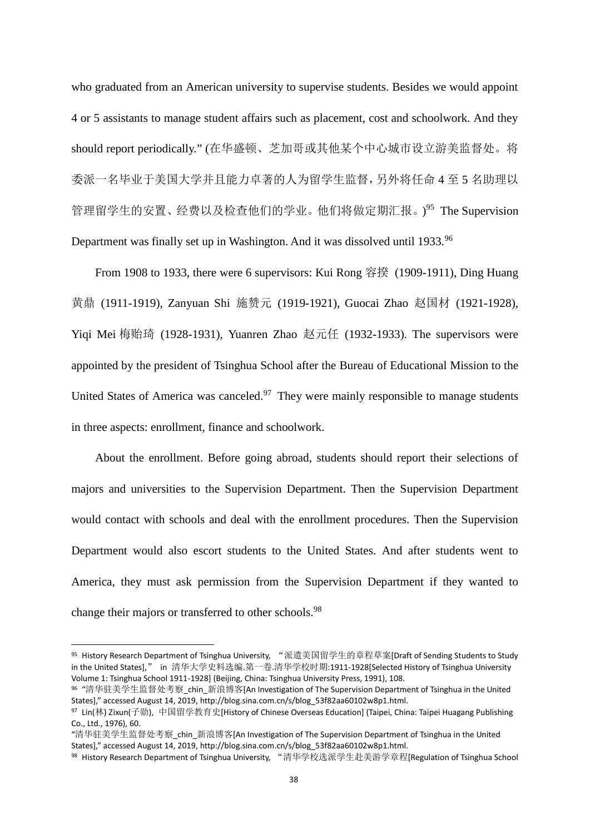who graduated from an American university to supervise students. Besides we would appoint 4 or 5 assistants to manage student affairs such as placement, cost and schoolwork. And they should report periodically." (在华盛顿、芝加哥或其他某个中心城市设立游美监督处。将 委派一名毕业于美国大学并且能力卓著的人为留学生监督,另外将任命 4 至 5 名助理以 管理留学生的安置、经费以及检查他们的学业。他们将做定期汇报。)<sup>95</sup> The Supervision Department was finally set up in Washington. And it was dissolved until 1933.<sup>96</sup>

From 1908 to 1933, there were 6 supervisors: Kui Rong 容揆 (1909-1911), Ding Huang 黄鼎 (1911-1919), Zanyuan Shi 施赞元 (1919-1921), Guocai Zhao 赵国材 (1921-1928), Yiqi Mei 梅贻琦 (1928-1931), Yuanren Zhao 赵元任 (1932-1933). The supervisors were appointed by the president of Tsinghua School after the Bureau of Educational Mission to the United States of America was canceled.<sup>97</sup> They were mainly responsible to manage students in three aspects: enrollment, finance and schoolwork.

About the enrollment. Before going abroad, students should report their selections of majors and universities to the Supervision Department. Then the Supervision Department would contact with schools and deal with the enrollment procedures. Then the Supervision Department would also escort students to the United States. And after students went to America, they must ask permission from the Supervision Department if they wanted to change their majors or transferred to other schools.<sup>98</sup>

<sup>95</sup> History Research Department of Tsinghua University, "派遣美国留学生的章程草案[Draft of Sending Students to Study in the United States]," in 清华大学史料选编.第一卷.清华学校时期:1911-1928[Selected History of Tsinghua University Volume 1: Tsinghua School 1911-1928] (Beijing, China: Tsinghua University Press, 1991), 108.

<sup>96</sup> "清华驻美学生监督处考察\_chin\_新浪博客[An Investigation of The Supervision Department of Tsinghua in the United States]," accessed August 14, 2019, http://blog.sina.com.cn/s/blog\_53f82aa60102w8p1.html.

<sup>97</sup> Lin(林) Zixun(子勋), 中国留学教育史[History of Chinese Overseas Education] (Taipei, China: Taipei Huagang Publishing Co., Ltd., 1976), 60.

<sup>&</sup>quot;清华驻美学生监督处考察\_chin\_新浪博客[An Investigation of The Supervision Department of Tsinghua in the United States]," accessed August 14, 2019, http://blog.sina.com.cn/s/blog\_53f82aa60102w8p1.html.

<sup>98</sup> History Research Department of Tsinghua University, "清华学校选派学生赴美游学章程[Regulation of Tsinghua School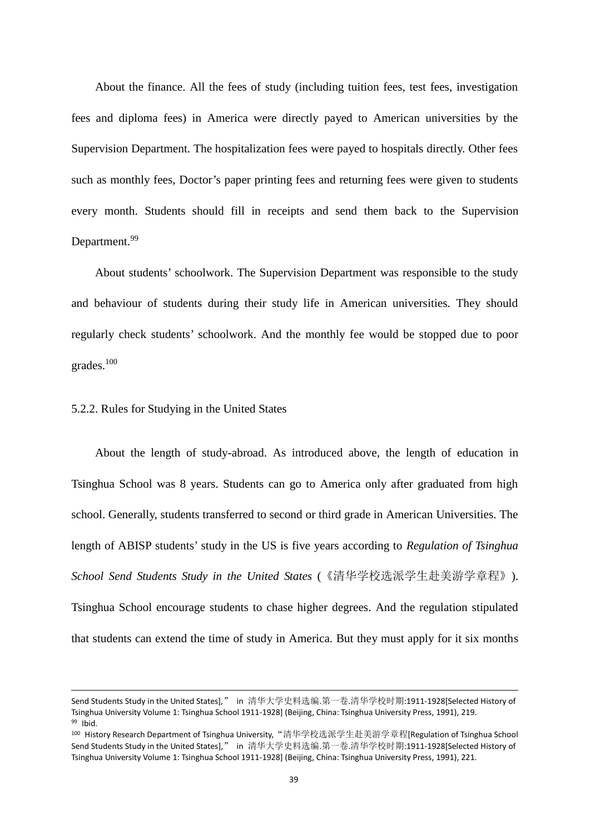About the finance. All the fees of study (including tuition fees, test fees, investigation fees and diploma fees) in America were directly payed to American universities by the Supervision Department. The hospitalization fees were payed to hospitals directly. Other fees such as monthly fees, Doctor's paper printing fees and returning fees were given to students every month. Students should fill in receipts and send them back to the Supervision Department.<sup>99</sup>

About students' schoolwork. The Supervision Department was responsible to the study and behaviour of students during their study life in American universities. They should regularly check students' schoolwork. And the monthly fee would be stopped due to poor grades.<sup>100</sup>

#### 5.2.2. Rules for Studying in the United States

About the length of study-abroad. As introduced above, the length of education in Tsinghua School was 8 years. Students can go to America only after graduated from high school. Generally, students transferred to second or third grade in American Universities. The length of ABISP students' study in the US is five years according to *Regulation of Tsinghua School Send Students Study in the United States* (《清华学校选派学生赴美游学章程》). Tsinghua School encourage students to chase higher degrees. And the regulation stipulated that students can extend the time of study in America. But they must apply for it six months

Send Students Study in the United States]," in 清华大学史料选编.第一卷.清华学校时期:1911-1928[Selected History of Tsinghua University Volume 1: Tsinghua School 1911-1928] (Beijing, China: Tsinghua University Press, 1991), 219. <sup>99</sup> Ibid.

<sup>&</sup>lt;sup>100</sup> History Research Department of Tsinghua University,"清华学校选派学生赴美游学章程[Regulation of Tsinghua School Send Students Study in the United States]," in 清华大学史料选编.第一卷.清华学校时期:1911-1928[Selected History of Tsinghua University Volume 1: Tsinghua School 1911-1928] (Beijing, China: Tsinghua University Press, 1991), 221.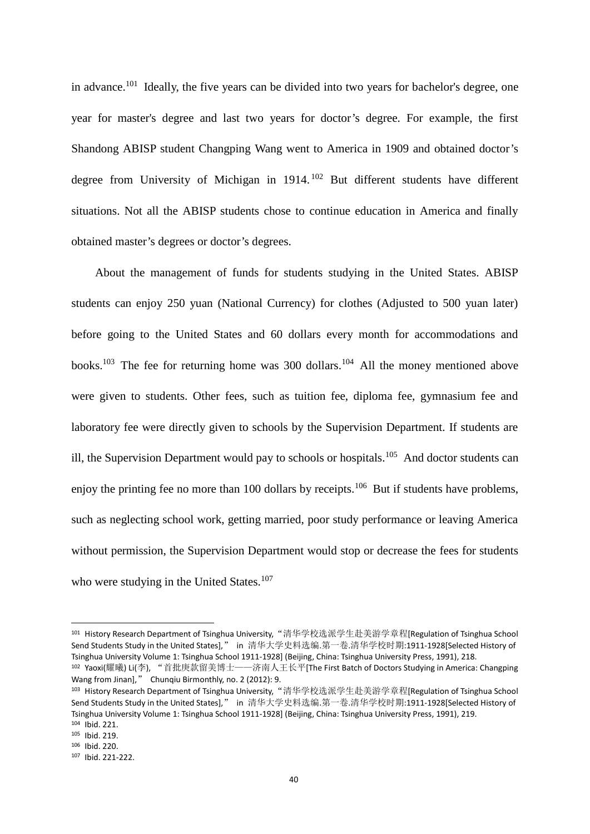in advance.<sup>101</sup> Ideally, the five years can be divided into two years for bachelor's degree, one year for master's degree and last two years for doctor's degree. For example, the first Shandong ABISP student Changping Wang went to America in 1909 and obtained doctor's degree from University of Michigan in 1914. <sup>102</sup> But different students have different situations. Not all the ABISP students chose to continue education in America and finally obtained master's degrees or doctor's degrees.

About the management of funds for students studying in the United States. ABISP students can enjoy 250 yuan (National Currency) for clothes (Adjusted to 500 yuan later) before going to the United States and 60 dollars every month for accommodations and books.<sup>103</sup> The fee for returning home was 300 dollars.<sup>104</sup> All the money mentioned above were given to students. Other fees, such as tuition fee, diploma fee, gymnasium fee and laboratory fee were directly given to schools by the Supervision Department. If students are ill, the Supervision Department would pay to schools or hospitals.<sup>105</sup> And doctor students can enjoy the printing fee no more than 100 dollars by receipts.<sup>106</sup> But if students have problems, such as neglecting school work, getting married, poor study performance or leaving America without permission, the Supervision Department would stop or decrease the fees for students who were studying in the United States.<sup>107</sup>

<sup>&</sup>lt;sup>101</sup> History Research Department of Tsinghua University,"清华学校选派学生赴美游学章程[Regulation of Tsinghua School Send Students Study in the United States]," in 清华大学史料选编.第一卷.清华学校时期:1911-1928[Selected History of Tsinghua University Volume 1: Tsinghua School 1911-1928] (Beijing, China: Tsinghua University Press, 1991), 218. <sup>102</sup> Yaoxi(耀曦) Li(李), "首批庚款留美博士——济南人王长平[The First Batch of Doctors Studying in America: Changping

Wang from Jinan]," Chunqiu Birmonthly, no. 2 (2012): 9.

<sup>&</sup>lt;sup>103</sup> History Research Department of Tsinghua University,"清华学校选派学生赴美游学章程[Regulation of Tsinghua School Send Students Study in the United States]," in 清华大学史料选编.第一卷.清华学校时期:1911-1928[Selected History of Tsinghua University Volume 1: Tsinghua School 1911-1928] (Beijing, China: Tsinghua University Press, 1991), 219. <sup>104</sup> Ibid. 221.

<sup>105</sup> Ibid. 219.

<sup>106</sup> Ibid. 220.

<sup>107</sup> Ibid. 221-222.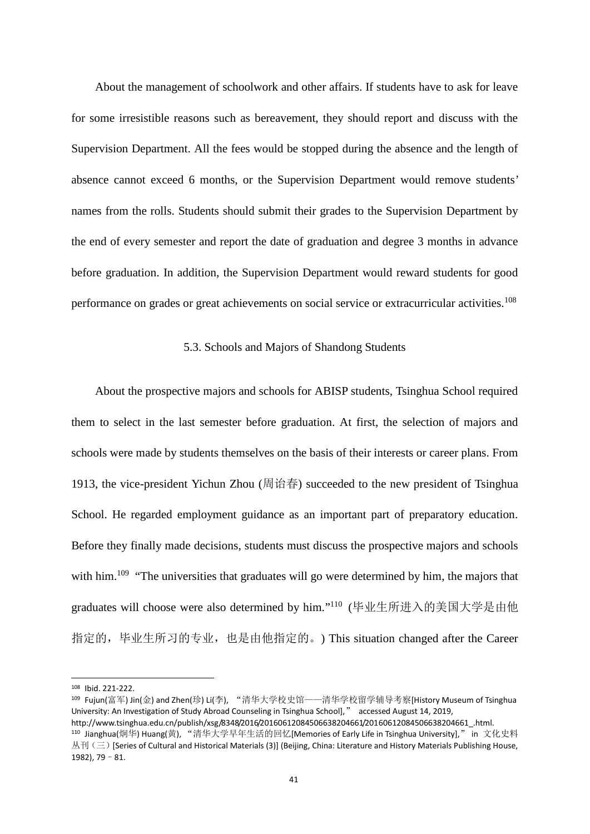About the management of schoolwork and other affairs. If students have to ask for leave for some irresistible reasons such as bereavement, they should report and discuss with the Supervision Department. All the fees would be stopped during the absence and the length of absence cannot exceed 6 months, or the Supervision Department would remove students' names from the rolls. Students should submit their grades to the Supervision Department by the end of every semester and report the date of graduation and degree 3 months in advance before graduation. In addition, the Supervision Department would reward students for good performance on grades or great achievements on social service or extracurricular activities.<sup>108</sup>

#### 5.3. Schools and Majors of Shandong Students

About the prospective majors and schools for ABISP students, Tsinghua School required them to select in the last semester before graduation. At first, the selection of majors and schools were made by students themselves on the basis of their interests or career plans. From 1913, the vice-president Yichun Zhou (周诒春) succeeded to the new president of Tsinghua School. He regarded employment guidance as an important part of preparatory education. Before they finally made decisions, students must discuss the prospective majors and schools with him.<sup>109</sup> "The universities that graduates will go were determined by him, the majors that graduates will choose were also determined by him." <sup>110</sup> (毕业生所进入的美国大学是由他 指定的,毕业生所习的专业,也是由他指定的。) This situation changed after the Career

<sup>108</sup> Ibid. 221-222.

<sup>109</sup> Fujun(富军) Jin(金) and Zhen(珍) Li(李), "清华大学校史馆——清华学校留学辅导考察[History Museum of Tsinghua University: An Investigation of Study Abroad Counseling in Tsinghua School]," accessed August 14, 2019,

http://www.tsinghua.edu.cn/publish/xsg/8348/2016/20160612084506638204661/20160612084506638204661\_.html. <sup>110</sup> Jianghua(炯华) Huang(黄), "清华大学早年生活的回忆[Memories of Early Life in Tsinghua University]," in 文化史料 丛刊(三) [Series of Cultural and Historical Materials (3)] (Beijing, China: Literature and History Materials Publishing House, 1982), 79–81.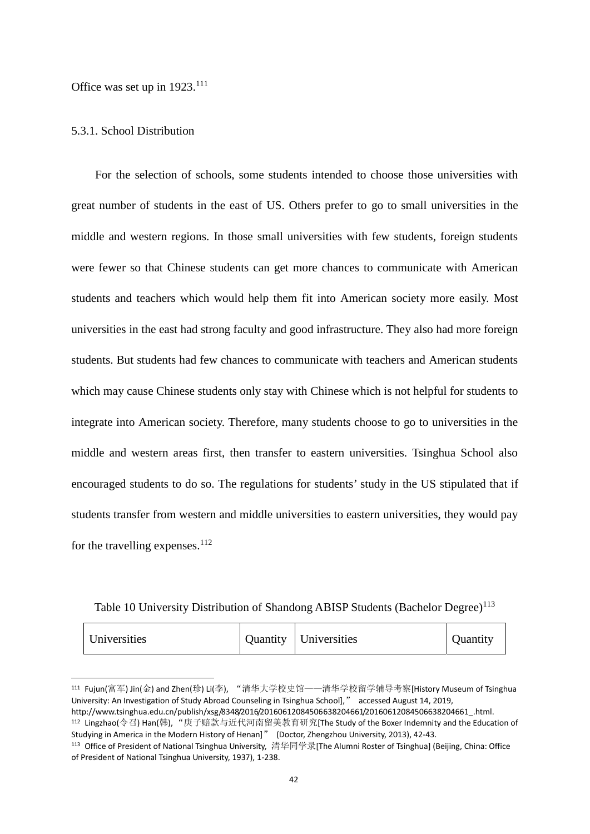Office was set up in 1923.<sup>111</sup>

#### 5.3.1. School Distribution

For the selection of schools, some students intended to choose those universities with great number of students in the east of US. Others prefer to go to small universities in the middle and western regions. In those small universities with few students, foreign students were fewer so that Chinese students can get more chances to communicate with American students and teachers which would help them fit into American society more easily. Most universities in the east had strong faculty and good infrastructure. They also had more foreign students. But students had few chances to communicate with teachers and American students which may cause Chinese students only stay with Chinese which is not helpful for students to integrate into American society. Therefore, many students choose to go to universities in the middle and western areas first, then transfer to eastern universities. Tsinghua School also encouraged students to do so. The regulations for students' study in the US stipulated that if students transfer from western and middle universities to eastern universities, they would pay for the travelling expenses. $^{112}$ 

Table 10 University Distribution of Shandong ABISP Students (Bachelor Degree)<sup>113</sup>

| Universities | <b>Ouantity</b> | Universities | Juantity |  |
|--------------|-----------------|--------------|----------|--|
|--------------|-----------------|--------------|----------|--|

<sup>111</sup> Fujun(富军) Jin(金) and Zhen(珍) Li(李), "清华大学校史馆——清华学校留学辅导考察[History Museum of Tsinghua University: An Investigation of Study Abroad Counseling in Tsinghua School]," accessed August 14, 2019, http://www.tsinghua.edu.cn/publish/xsg/8348/2016/20160612084506638204661/20160612084506638204661\_.html.

<sup>112</sup> Lingzhao(令召) Han(韩), "庚子赔款与近代河南留美教育研究[The Study of the Boxer Indemnity and the Education of Studying in America in the Modern History of Henan]" (Doctor, Zhengzhou University, 2013), 42-43.

<sup>113</sup> Office of President of National Tsinghua University, 清华同学录[The Alumni Roster of Tsinghua] (Beijing, China: Office of President of National Tsinghua University, 1937), 1-238.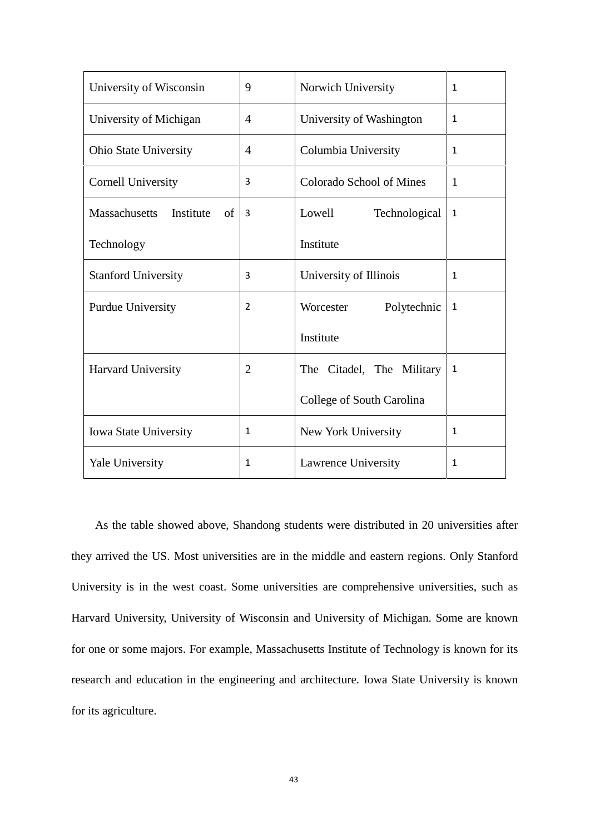| University of Wisconsin          | 9              | Norwich University        | $\mathbf{1}$ |
|----------------------------------|----------------|---------------------------|--------------|
| University of Michigan           | $\overline{4}$ | University of Washington  | $\mathbf{1}$ |
| <b>Ohio State University</b>     | $\overline{4}$ | Columbia University       | $\mathbf{1}$ |
| <b>Cornell University</b>        | 3              | Colorado School of Mines  | $\mathbf{1}$ |
| Massachusetts<br>Institute<br>of | 3              | Lowell<br>Technological   | $\mathbf{1}$ |
| Technology                       |                | Institute                 |              |
| <b>Stanford University</b>       | 3              | University of Illinois    | $\mathbf{1}$ |
| <b>Purdue University</b>         | 2              | Polytechnic<br>Worcester  | $\mathbf{1}$ |
|                                  |                | Institute                 |              |
| Harvard University               | $\overline{2}$ | The Citadel, The Military | $\mathbf{1}$ |
|                                  |                | College of South Carolina |              |
| Iowa State University            | $\mathbf{1}$   | New York University       | $\mathbf{1}$ |
| <b>Yale University</b>           | 1              | Lawrence University       | $\mathbf{1}$ |

As the table showed above, Shandong students were distributed in 20 universities after they arrived the US. Most universities are in the middle and eastern regions. Only Stanford University is in the west coast. Some universities are comprehensive universities, such as Harvard University, University of Wisconsin and University of Michigan. Some are known for one or some majors. For example, Massachusetts Institute of Technology is known for its research and education in the engineering and architecture. Iowa State University is known for its agriculture.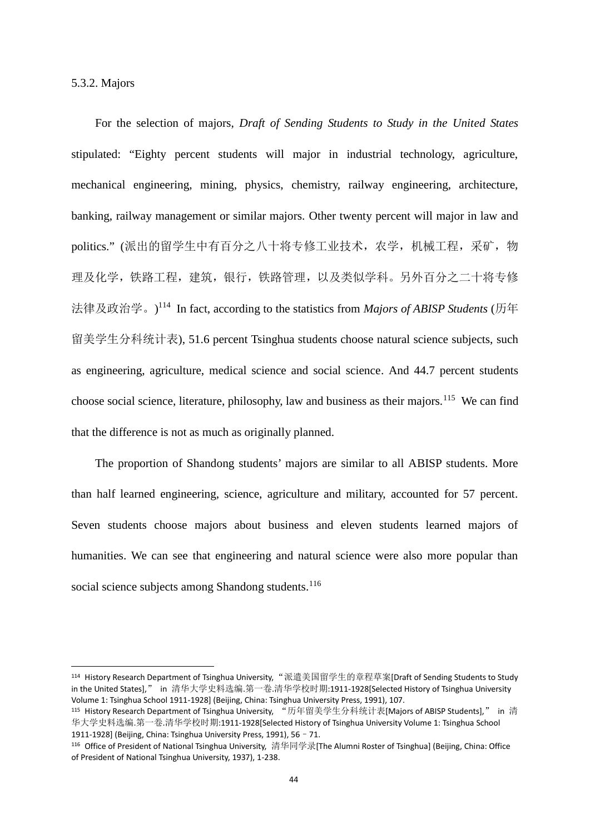5.3.2. Majors

For the selection of majors, *Draft of Sending Students to Study in the United States* stipulated: "Eighty percent students will major in industrial technology, agriculture, mechanical engineering, mining, physics, chemistry, railway engineering, architecture, banking, railway management or similar majors. Other twenty percent will major in law and politics." (派出的留学生中有百分之八十将专修工业技术, 农学, 机械工程, 采矿, 物 理及化学,铁路工程,建筑,银行,铁路管理,以及类似学科。另外百分之二十将专修 法律及政治学。)<sup>114</sup> In fact, according to the statistics from *Majors of ABISP Students* (历年 留美学生分科统计表), 51.6 percent Tsinghua students choose natural science subjects, such as engineering, agriculture, medical science and social science. And 44.7 percent students choose social science, literature, philosophy, law and business as their majors.<sup>115</sup> We can find that the difference is not as much as originally planned.

The proportion of Shandong students' majors are similar to all ABISP students. More than half learned engineering, science, agriculture and military, accounted for 57 percent. Seven students choose majors about business and eleven students learned majors of humanities. We can see that engineering and natural science were also more popular than social science subjects among Shandong students.<sup>116</sup>

<sup>114</sup> History Research Department of Tsinghua University,"派遣美国留学生的章程草案[Draft of Sending Students to Study in the United States]," in 清华大学史料选编.第一卷.清华学校时期:1911-1928[Selected History of Tsinghua University Volume 1: Tsinghua School 1911-1928] (Beijing, China: Tsinghua University Press, 1991), 107.

<sup>115</sup> History Research Department of Tsinghua University, "历年留美学生分科统计表[Majors of ABISP Students]," in 清 华大学史料选编.第一卷.清华学校时期:1911-1928[Selected History of Tsinghua University Volume 1: Tsinghua School 1911-1928] (Beijing, China: Tsinghua University Press, 1991), 56–71.

<sup>116</sup> Office of President of National Tsinghua University, 清华同学录[The Alumni Roster of Tsinghua] (Beijing, China: Office of President of National Tsinghua University, 1937), 1-238.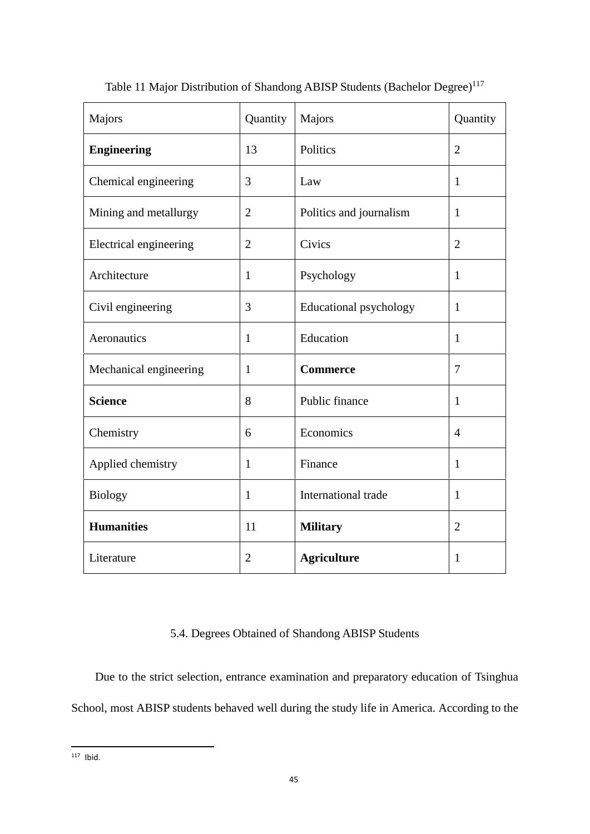| Majors                 | Quantity       | Majors                  | Quantity        |
|------------------------|----------------|-------------------------|-----------------|
| <b>Engineering</b>     | 13             | Politics                | $\overline{2}$  |
| Chemical engineering   | 3              | Law                     | $\mathbf{1}$    |
| Mining and metallurgy  | $\overline{2}$ | Politics and journalism | $\mathbf{1}$    |
| Electrical engineering | $\overline{2}$ | Civics                  | $\overline{2}$  |
| Architecture           | $\mathbf{1}$   | Psychology              | $\mathbf{1}$    |
| Civil engineering      | 3              | Educational psychology  | $\mathbf{1}$    |
| Aeronautics            | $\mathbf{1}$   | Education               | $\mathbf{1}$    |
| Mechanical engineering | $\mathbf{1}$   | <b>Commerce</b>         | $7\phantom{.0}$ |
| <b>Science</b>         | 8              | Public finance          | $\mathbf{1}$    |
| Chemistry              | 6              | Economics               | $\overline{4}$  |
| Applied chemistry      | $\mathbf{1}$   | Finance                 | $\mathbf{1}$    |
| <b>Biology</b>         | $\mathbf{1}$   | International trade     | $\mathbf{1}$    |
| <b>Humanities</b>      | 11             | <b>Military</b>         | $\overline{2}$  |
| Literature             | $\overline{2}$ | <b>Agriculture</b>      | $\mathbf{1}$    |

Table 11 Major Distribution of Shandong ABISP Students (Bachelor Degree)<sup>117</sup>

# 5.4. Degrees Obtained of Shandong ABISP Students

Due to the strict selection, entrance examination and preparatory education of Tsinghua School, most ABISP students behaved well during the study life in America. According to the

 $117$  Ibid.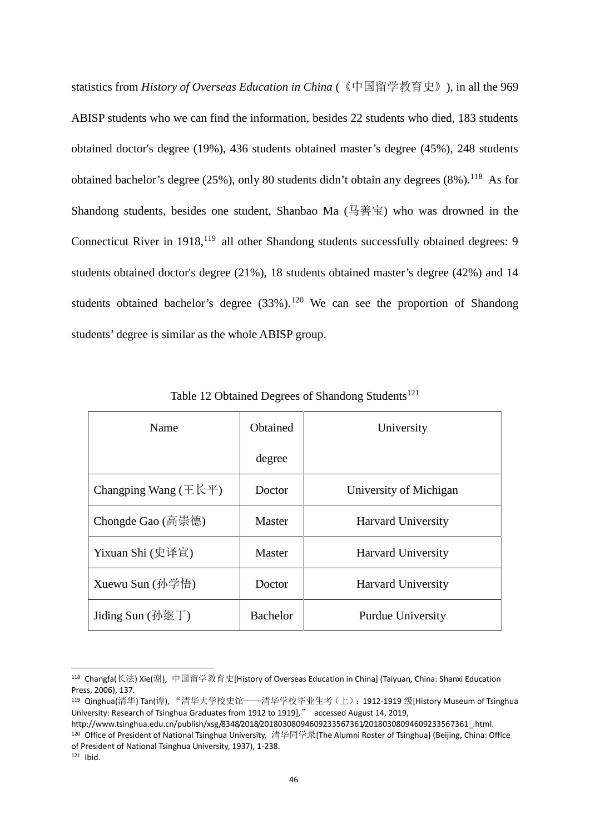statistics from *History of Overseas Education in China* (《中国留学教育史》), in all the 969 ABISP students who we can find the information, besides 22 students who died, 183 students obtained doctor's degree (19%), 436 students obtained master's degree (45%), 248 students obtained bachelor's degree (25%), only 80 students didn't obtain any degrees (8%).<sup>118</sup> As for Shandong students, besides one student, Shanbao Ma  $(1.4 \pm 1.6)$  who was drowned in the Connecticut River in 1918,<sup>119</sup> all other Shandong students successfully obtained degrees: 9 students obtained doctor's degree (21%), 18 students obtained master's degree (42%) and 14 students obtained bachelor's degree  $(33\%)$ .<sup>120</sup> We can see the proportion of Shandong students' degree is similar as the whole ABISP group.

| Name                          | <b>O</b> btained | University                |
|-------------------------------|------------------|---------------------------|
|                               | degree           |                           |
| Changping Wang $(\pm \& \mp)$ | Doctor           | University of Michigan    |
| Chongde Gao (高崇德)             | Master           | <b>Harvard University</b> |
| Yixuan Shi (史译宣)              | Master           | <b>Harvard University</b> |
| Xuewu Sun (孙学悟)               | Doctor           | <b>Harvard University</b> |
| Jiding Sun $(\frac{\pi}{2})$  | <b>Bachelor</b>  | <b>Purdue University</b>  |

Table 12 Obtained Degrees of Shandong Students<sup>121</sup>

<sup>121</sup> Ibid.

<sup>118</sup> Changfa(长法) Xie(谢), 中国留学教育史[History of Overseas Education in China] (Taiyuan, China: Shanxi Education Press, 2006), 137.

<sup>119</sup> Qinghua(清华) Tan(谭), "清华大学校史馆——清华学校毕业生考(上):1912-1919 级[History Museum of Tsinghua University: Research of Tsinghua Graduates from 1912 to 1919]," accessed August 14, 2019,

http://www.tsinghua.edu.cn/publish/xsg/8348/2018/20180308094609233567361/20180308094609233567361 .html. <sup>120</sup> Office of President of National Tsinghua University, 清华同学录[The Alumni Roster of Tsinghua] (Beijing, China: Office of President of National Tsinghua University, 1937), 1-238.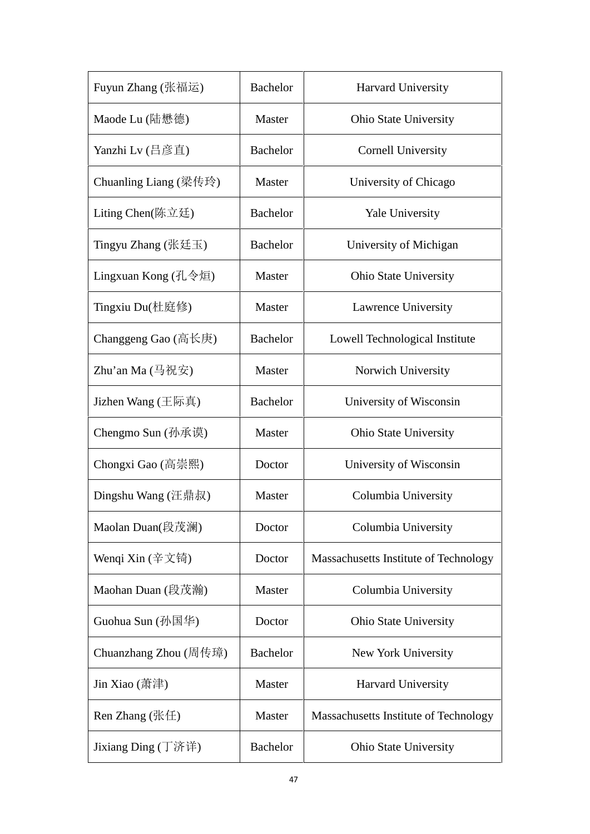| Fuyun Zhang (张福运)              | <b>Bachelor</b> | <b>Harvard University</b>             |
|--------------------------------|-----------------|---------------------------------------|
| Maode Lu (陆懋德)                 | Master          | <b>Ohio State University</b>          |
| Yanzhi Lv (吕彦直)                | <b>Bachelor</b> | <b>Cornell University</b>             |
| Chuanling Liang (梁传玲)          | Master          | University of Chicago                 |
| Liting Chen(陈立廷)               | <b>Bachelor</b> | <b>Yale University</b>                |
| Tingyu Zhang (张廷玉)             | <b>Bachelor</b> | University of Michigan                |
| Lingxuan Kong (孔令烜)            | Master          | <b>Ohio State University</b>          |
| Tingxiu Du(杜庭修)                | Master          | Lawrence University                   |
| Changgeng Gao (高长庚)            | <b>Bachelor</b> | Lowell Technological Institute        |
| Zhu'an Ma $(\frac{\pi}{2}$ 祝安) | Master          | Norwich University                    |
| Jizhen Wang (王际真)              | <b>Bachelor</b> | University of Wisconsin               |
| Chengmo Sun (孙承谟)              | Master          | <b>Ohio State University</b>          |
| Chongxi Gao (高崇熙)              | Doctor          | University of Wisconsin               |
| Dingshu Wang (汪鼎叔)             | Master          | Columbia University                   |
| Maolan Duan(段茂澜)               | Doctor          | Columbia University                   |
| Wenqi Xin (辛文锜)                | Doctor          | Massachusetts Institute of Technology |
| Maohan Duan (段茂瀚)              | Master          | Columbia University                   |
| Guohua Sun (孙国华)               | Doctor          | <b>Ohio State University</b>          |
| Chuanzhang Zhou (周传璋)          | <b>Bachelor</b> | New York University                   |
| Jin Xiao (萧津)                  | Master          | Harvard University                    |
| Ren Zhang $(\#E)$              | Master          | Massachusetts Institute of Technology |
| Jixiang Ding (丁济详)             | <b>Bachelor</b> | <b>Ohio State University</b>          |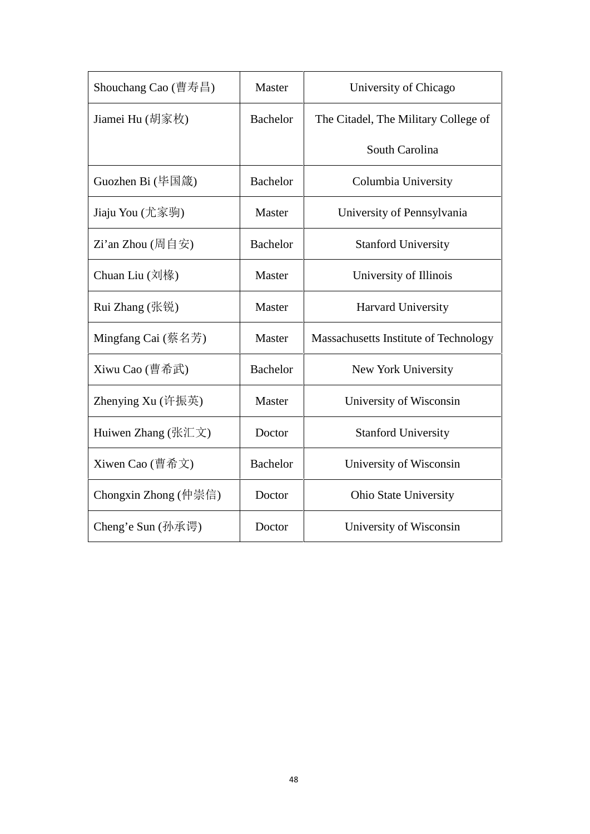| Shouchang Cao $(\nexists \vec{\pi} \equiv 1)$         | Master          | University of Chicago                 |
|-------------------------------------------------------|-----------------|---------------------------------------|
| Jiamei Hu (胡家枚)                                       | <b>Bachelor</b> | The Citadel, The Military College of  |
|                                                       |                 | South Carolina                        |
| Guozhen Bi (毕国箴)                                      | <b>Bachelor</b> | Columbia University                   |
| Jiaju You (尤家驹)                                       | Master          | University of Pennsylvania            |
| $Zi$ 'an Zhou (周自安)                                   | <b>Bachelor</b> | <b>Stanford University</b>            |
| Chuan Liu $(\overrightarrow{x}$ $\overrightarrow{k})$ | Master          | University of Illinois                |
| Rui Zhang (张锐)                                        | Master          | <b>Harvard University</b>             |
| Mingfang Cai $(\frac{K}{K}$ 名芳                        | Master          | Massachusetts Institute of Technology |
| Xiwu Cao (曹希武)                                        | <b>Bachelor</b> | New York University                   |
| Zhenying Xu $($ 许振英 $)$                               | Master          | University of Wisconsin               |
| Huiwen Zhang (张汇文)                                    | Doctor          | <b>Stanford University</b>            |
| Xiwen Cao (曹希文)                                       | <b>Bachelor</b> | University of Wisconsin               |
| Chongxin Zhong (仲崇信)                                  | Doctor          | <b>Ohio State University</b>          |
| Cheng'e Sun (孙承谔)                                     | Doctor          | University of Wisconsin               |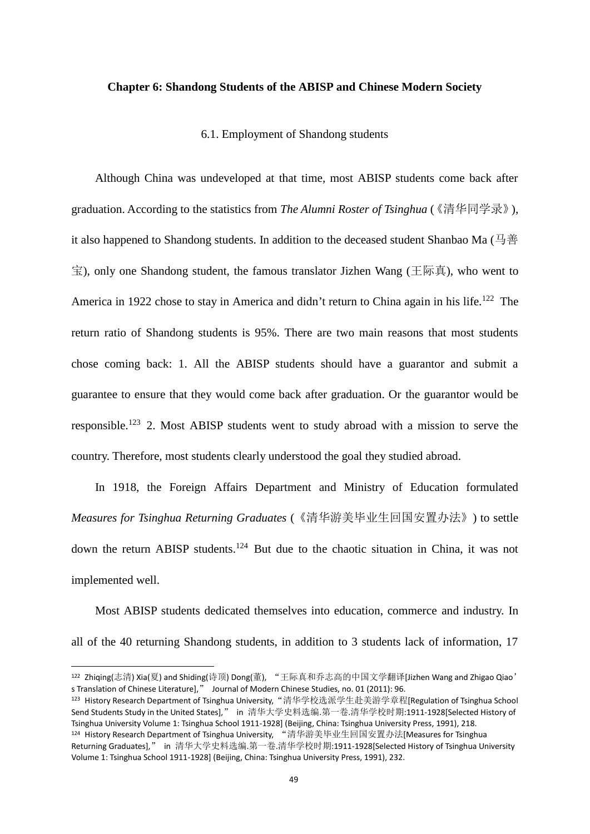#### **Chapter 6: Shandong Students of the ABISP and Chinese Modern Society**

6.1. Employment of Shandong students

Although China was undeveloped at that time, most ABISP students come back after graduation. According to the statistics from *The Alumni Roster of Tsinghua* (《清华同学录》), it also happened to Shandong students. In addition to the deceased student Shanbao Ma (马善 宝), only one Shandong student, the famous translator Jizhen Wang (王际真), who went to America in 1922 chose to stay in America and didn't return to China again in his life.<sup>122</sup> The return ratio of Shandong students is 95%. There are two main reasons that most students chose coming back: 1. All the ABISP students should have a guarantor and submit a guarantee to ensure that they would come back after graduation. Or the guarantor would be responsible.<sup>123</sup> 2. Most ABISP students went to study abroad with a mission to serve the country. Therefore, most students clearly understood the goal they studied abroad.

In 1918, the Foreign Affairs Department and Ministry of Education formulated *Measures for Tsinghua Returning Graduates* (《清华游美毕业生回国安置办法》) to settle down the return ABISP students.<sup>124</sup> But due to the chaotic situation in China, it was not implemented well.

Most ABISP students dedicated themselves into education, commerce and industry. In all of the 40 returning Shandong students, in addition to 3 students lack of information, 17

<sup>122</sup> Zhiqing(志清) Xia(夏) and Shiding(诗顶) Dong(董), "王际真和乔志高的中国文学翻译[Jizhen Wang and Zhigao Qiao' s Translation of Chinese Literature]," Journal of Modern Chinese Studies, no. 01 (2011): 96.

<sup>&</sup>lt;sup>123</sup> History Research Department of Tsinghua University,"清华学校选派学生赴美游学章程[Regulation of Tsinghua School Send Students Study in the United States]," in 清华大学史料选编.第一卷.清华学校时期:1911-1928[Selected History of Tsinghua University Volume 1: Tsinghua School 1911-1928] (Beijing, China: Tsinghua University Press, 1991), 218. <sup>124</sup> History Research Department of Tsinghua University, "清华游美毕业生回国安置办法[Measures for Tsinghua Returning Graduates]," in 清华大学史料选编.第一卷.清华学校时期:1911-1928[Selected History of Tsinghua University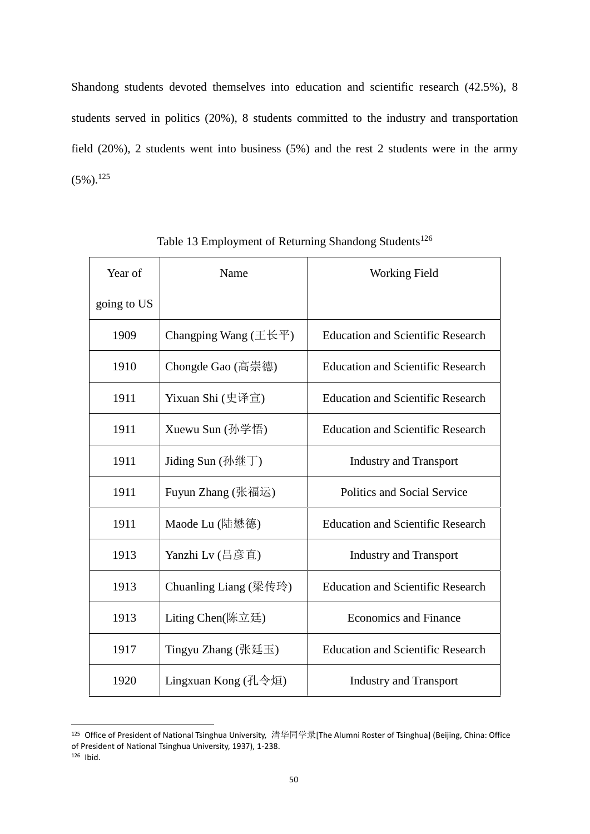Shandong students devoted themselves into education and scientific research (42.5%), 8 students served in politics (20%), 8 students committed to the industry and transportation field (20%), 2 students went into business (5%) and the rest 2 students were in the army  $(5\%)$ <sup>125</sup>

| Year of     | Name                            | <b>Working Field</b>                     |
|-------------|---------------------------------|------------------------------------------|
| going to US |                                 |                                          |
| 1909        | Changping Wang $(\pm \& \pm)$   | <b>Education and Scientific Research</b> |
| 1910        | Chongde Gao (高崇德)               | <b>Education and Scientific Research</b> |
| 1911        | Yixuan Shi (史译宣)                | <b>Education and Scientific Research</b> |
| 1911        | Xuewu Sun $(\frac{\pi}{2})^2$ 悟 | <b>Education and Scientific Research</b> |
| 1911        | Jiding Sun $(\frac{\pi}{2})$    | <b>Industry and Transport</b>            |
| 1911        | Fuyun Zhang (张福运)               | Politics and Social Service              |
| 1911        | Maode Lu (陆懋德)                  | <b>Education and Scientific Research</b> |
| 1913        | Yanzhi Lv (吕彦直)                 | <b>Industry and Transport</b>            |
| 1913        | Chuanling Liang (梁传玲)           | <b>Education and Scientific Research</b> |
| 1913        | Liting Chen(陈立廷)                | <b>Economics and Finance</b>             |
| 1917        | Tingyu Zhang (张廷玉)              | <b>Education and Scientific Research</b> |
| 1920        | Lingxuan Kong (孔令烜)             | <b>Industry and Transport</b>            |

Table 13 Employment of Returning Shandong Students<sup>126</sup>

 Office of President of National Tsinghua University, 清华同学录[The Alumni Roster of Tsinghua] (Beijing, China: Office of President of National Tsinghua University, 1937), 1-238.

Ibid.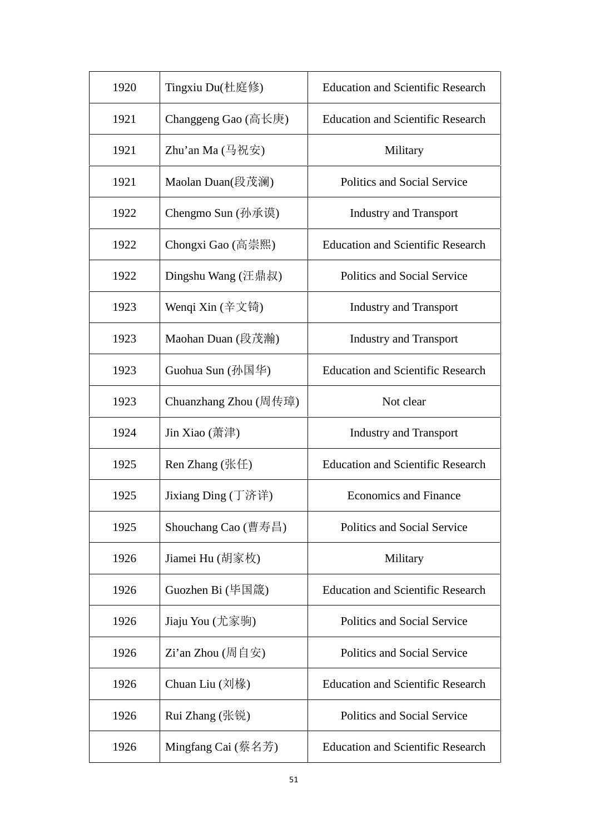| 1920 | Tingxiu Du(杜庭修)                                             | <b>Education and Scientific Research</b> |
|------|-------------------------------------------------------------|------------------------------------------|
| 1921 | Changgeng Gao $(\overline{a}$ 长庚                            | <b>Education and Scientific Research</b> |
| 1921 | Zhu'an Ma $(\frac{\pi}{2}$ 祝安)                              | Military                                 |
| 1921 | Maolan Duan(段茂澜)                                            | Politics and Social Service              |
| 1922 | Chengmo Sun (孙承谟)                                           | <b>Industry and Transport</b>            |
| 1922 | Chongxi Gao (高崇熙)                                           | <b>Education and Scientific Research</b> |
| 1922 | Dingshu Wang (汪鼎叔)                                          | Politics and Social Service              |
| 1923 | Wenqi Xin $(\tilde{\pm} \times \mathfrak{f})$               | <b>Industry and Transport</b>            |
| 1923 | Maohan Duan (段茂瀚)                                           | <b>Industry and Transport</b>            |
| 1923 | Guohua Sun (孙国华)                                            | <b>Education and Scientific Research</b> |
| 1923 | Chuanzhang Zhou (周传璋)                                       | Not clear                                |
| 1924 | Jin Xiao $(\ddot{\mathbb{R}} \ddot{\mathbb{R}})$            | <b>Industry and Transport</b>            |
| 1925 | Ren Zhang $(\frac{R}{L})$                                   | <b>Education and Scientific Research</b> |
| 1925 | Jixiang $\text{Ding}$ (丁济详)                                 | <b>Economics and Finance</b>             |
| 1925 | Shouchang Cao $(\nexists \vec{\theta} \equiv \vec{\theta})$ | Politics and Social Service              |
| 1926 | Jiamei Hu (胡家枚)                                             | Military                                 |
| 1926 | Guozhen Bi (毕国箴)                                            | <b>Education and Scientific Research</b> |
| 1926 | Jiaju You (尤家驹)                                             | Politics and Social Service              |
| 1926 | $Zi$ 'an Zhou (周自安)                                         | Politics and Social Service              |
| 1926 | Chuan Liu $(\overrightarrow{2})$                            | <b>Education and Scientific Research</b> |
| 1926 | Rui Zhang (张锐)                                              | Politics and Social Service              |
| 1926 | Mingfang Cai (蔡名芳)                                          | <b>Education and Scientific Research</b> |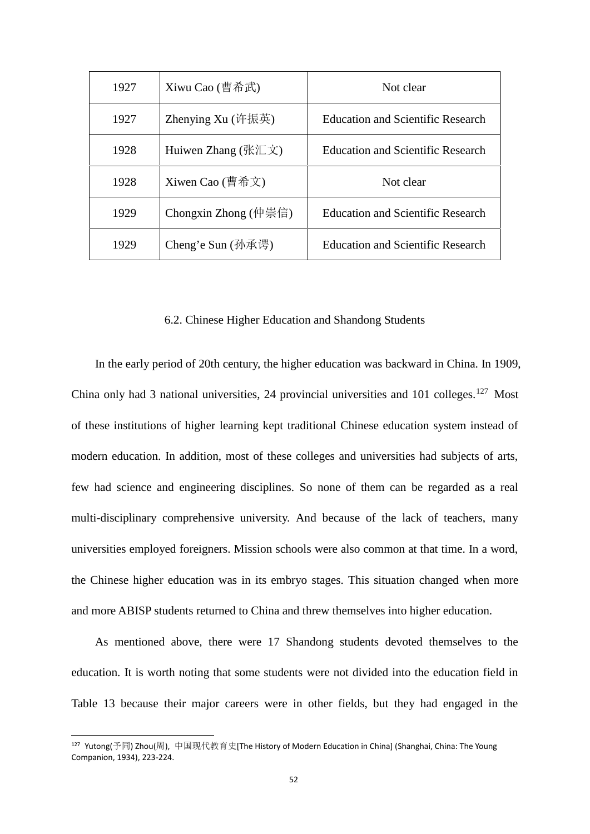| 1927 | Xiwu Cao (曹希武)       | Not clear                                |
|------|----------------------|------------------------------------------|
| 1927 | Zhenying $Xu$ (许振英)  | Education and Scientific Research        |
| 1928 | Huiwen Zhang (张汇文)   | <b>Education and Scientific Research</b> |
| 1928 | Xiwen Cao (曹希文)      | Not clear                                |
| 1929 | Chongxin Zhong (仲崇信) | <b>Education and Scientific Research</b> |
| 1929 | Cheng'e Sun (孙承谔)    | <b>Education and Scientific Research</b> |

## 6.2. Chinese Higher Education and Shandong Students

In the early period of 20th century, the higher education was backward in China. In 1909, China only had 3 national universities, 24 provincial universities and 101 colleges.<sup>127</sup> Most of these institutions of higher learning kept traditional Chinese education system instead of modern education. In addition, most of these colleges and universities had subjects of arts, few had science and engineering disciplines. So none of them can be regarded as a real multi-disciplinary comprehensive university. And because of the lack of teachers, many universities employed foreigners. Mission schools were also common at that time. In a word, the Chinese higher education was in its embryo stages. This situation changed when more and more ABISP students returned to China and threw themselves into higher education.

As mentioned above, there were 17 Shandong students devoted themselves to the education. It is worth noting that some students were not divided into the education field in Table 13 because their major careers were in other fields, but they had engaged in the

<sup>127</sup> Yutong(予同) Zhou(周), 中国现代教育史[The History of Modern Education in China] (Shanghai, China: The Young Companion, 1934), 223-224.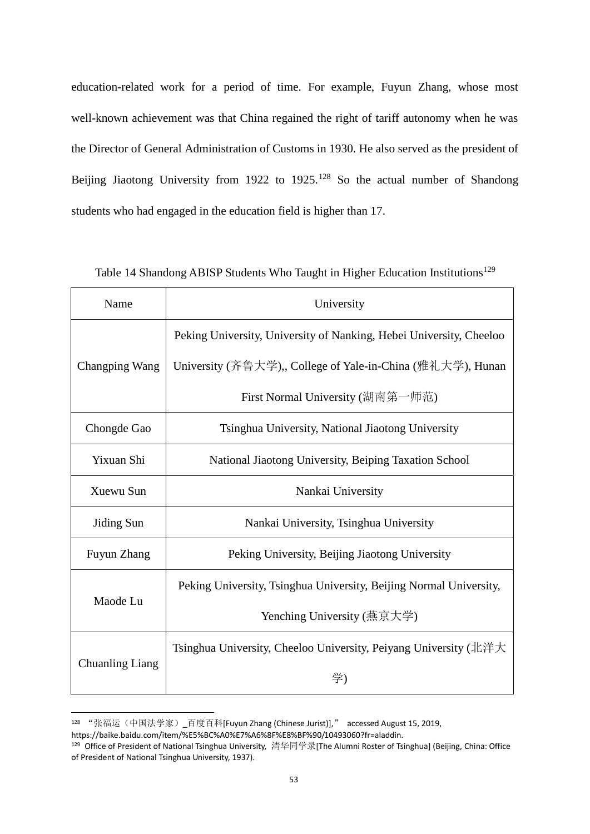education-related work for a period of time. For example, Fuyun Zhang, whose most well-known achievement was that China regained the right of tariff autonomy when he was the Director of General Administration of Customs in 1930. He also served as the president of Beijing Jiaotong University from 1922 to 1925.<sup>128</sup> So the actual number of Shandong students who had engaged in the education field is higher than 17.

| Name                   | University                                                          |
|------------------------|---------------------------------------------------------------------|
|                        | Peking University, University of Nanking, Hebei University, Cheeloo |
| Changping Wang         | University (齐鲁大学),, College of Yale-in-China (雅礼大学), Hunan          |
|                        | First Normal University (湖南第一师范)                                    |
| Chongde Gao            | Tsinghua University, National Jiaotong University                   |
| Yixuan Shi             | National Jiaotong University, Beiping Taxation School               |
| Xuewu Sun              | Nankai University                                                   |
| Jiding Sun             | Nankai University, Tsinghua University                              |
| Fuyun Zhang            | Peking University, Beijing Jiaotong University                      |
|                        | Peking University, Tsinghua University, Beijing Normal University,  |
| Maode Lu               | Yenching University (燕京大学)                                          |
|                        | Tsinghua University, Cheeloo University, Peiyang University (北洋大    |
| <b>Chuanling Liang</b> | 学)                                                                  |

Table 14 Shandong ABISP Students Who Taught in Higher Education Institutions<sup>129</sup>

<sup>128</sup> "张福运(中国法学家)\_百度百科[Fuyun Zhang (Chinese Jurist)]," accessed August 15, 2019,

https://baike.baidu.com/item/%E5%BC%A0%E7%A6%8F%E8%BF%90/10493060?fr=aladdin.

<sup>129</sup> Office of President of National Tsinghua University, 清华同学录[The Alumni Roster of Tsinghua] (Beijing, China: Office of President of National Tsinghua University, 1937).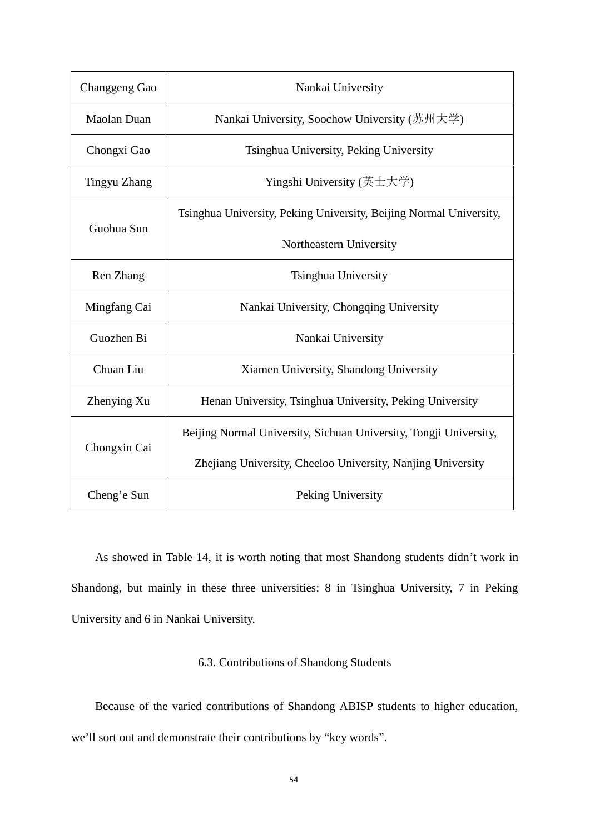| Changgeng Gao      | Nankai University                                                  |
|--------------------|--------------------------------------------------------------------|
| <b>Maolan Duan</b> | Nankai University, Soochow University (苏州大学)                       |
| Chongxi Gao        | Tsinghua University, Peking University                             |
| Tingyu Zhang       | Yingshi University (英士大学)                                          |
|                    | Tsinghua University, Peking University, Beijing Normal University, |
| Guohua Sun         | Northeastern University                                            |
| Ren Zhang          | Tsinghua University                                                |
| Mingfang Cai       | Nankai University, Chongqing University                            |
| Guozhen Bi         | Nankai University                                                  |
| Chuan Liu          | Xiamen University, Shandong University                             |
| Zhenying Xu        | Henan University, Tsinghua University, Peking University           |
|                    | Beijing Normal University, Sichuan University, Tongji University,  |
| Chongxin Cai       | Zhejiang University, Cheeloo University, Nanjing University        |
| Cheng'e Sun        | Peking University                                                  |

As showed in Table 14, it is worth noting that most Shandong students didn't work in Shandong, but mainly in these three universities: 8 in Tsinghua University, 7 in Peking University and 6 in Nankai University.

## 6.3. Contributions of Shandong Students

Because of the varied contributions of Shandong ABISP students to higher education, we'll sort out and demonstrate their contributions by "key words".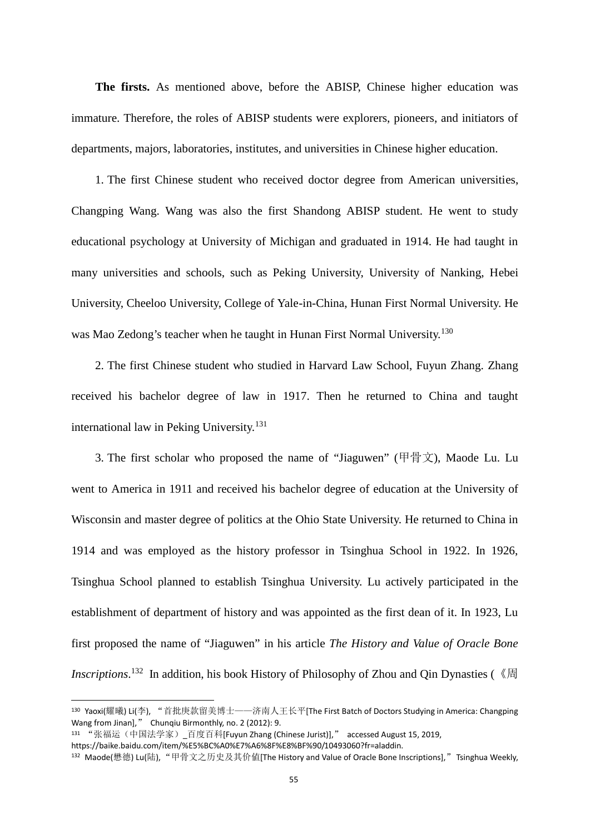**The firsts.** As mentioned above, before the ABISP, Chinese higher education was immature. Therefore, the roles of ABISP students were explorers, pioneers, and initiators of departments, majors, laboratories, institutes, and universities in Chinese higher education.

1. The first Chinese student who received doctor degree from American universities, Changping Wang. Wang was also the first Shandong ABISP student. He went to study educational psychology at University of Michigan and graduated in 1914. He had taught in many universities and schools, such as Peking University, University of Nanking, Hebei University, Cheeloo University, College of Yale-in-China, Hunan First Normal University. He was Mao Zedong's teacher when he taught in Hunan First Normal University.<sup>130</sup>

2. The first Chinese student who studied in Harvard Law School, Fuyun Zhang. Zhang received his bachelor degree of law in 1917. Then he returned to China and taught international law in Peking University.<sup>131</sup>

3. The first scholar who proposed the name of "Jiaguwen" (甲骨文), Maode Lu. Lu went to America in 1911 and received his bachelor degree of education at the University of Wisconsin and master degree of politics at the Ohio State University. He returned to China in 1914 and was employed as the history professor in Tsinghua School in 1922. In 1926, Tsinghua School planned to establish Tsinghua University. Lu actively participated in the establishment of department of history and was appointed as the first dean of it. In 1923, Lu first proposed the name of "Jiaguwen" in his article *The History and Value of Oracle Bone Inscriptions*.<sup>132</sup> In addition, his book History of Philosophy of Zhou and Qin Dynasties (《周

<sup>130</sup> Yaoxi(耀曦) Li(李), "首批庚款留美博士——济南人王长平[The First Batch of Doctors Studying in America: Changping Wang from Jinan]," Chunqiu Birmonthly, no. 2 (2012): 9.

<sup>131 &</sup>quot;张福运(中国法学家) 百度百科[Fuyun Zhang (Chinese Jurist)]," accessed August 15, 2019,

https://baike.baidu.com/item/%E5%BC%A0%E7%A6%8F%E8%BF%90/10493060?fr=aladdin.

<sup>&</sup>lt;sup>132</sup> Maode(懋德) Lu(陆), "甲骨文之历史及其价值[The History and Value of Oracle Bone Inscriptions]."Tsinghua Weekly.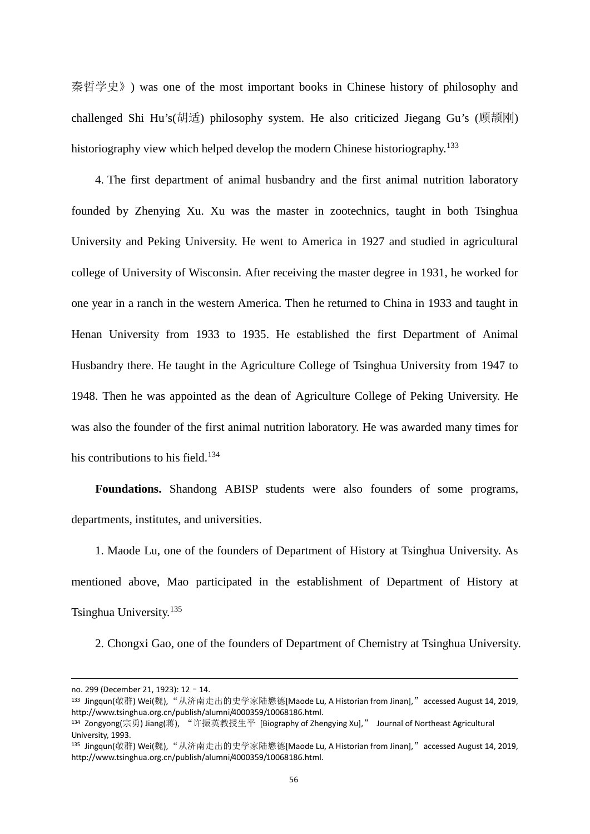秦哲学史》) was one of the most important books in Chinese history of philosophy and challenged Shi Hu's(胡适) philosophy system. He also criticized Jiegang Gu's (顾颉刚) historiography view which helped develop the modern Chinese historiography.<sup>133</sup>

4. The first department of animal husbandry and the first animal nutrition laboratory founded by Zhenying Xu. Xu was the master in zootechnics, taught in both Tsinghua University and Peking University. He went to America in 1927 and studied in agricultural college of University of Wisconsin. After receiving the master degree in 1931, he worked for one year in a ranch in the western America. Then he returned to China in 1933 and taught in Henan University from 1933 to 1935. He established the first Department of Animal Husbandry there. He taught in the Agriculture College of Tsinghua University from 1947 to 1948. Then he was appointed as the dean of Agriculture College of Peking University. He was also the founder of the first animal nutrition laboratory. He was awarded many times for his contributions to his field. $134$ 

**Foundations.** Shandong ABISP students were also founders of some programs, departments, institutes, and universities.

1. Maode Lu, one of the founders of Department of History at Tsinghua University. As mentioned above, Mao participated in the establishment of Department of History at Tsinghua University.<sup>135</sup>

2. Chongxi Gao, one of the founders of Department of Chemistry at Tsinghua University.

no. 299 (December 21, 1923): 12–14.

<sup>&</sup>lt;sup>133</sup> Jingqun(敬群) Wei(魏),"从济南走出的史学家陆懋德[Maode Lu, A Historian from Jinan],"accessed August 14, 2019, http://www.tsinghua.org.cn/publish/alumni/4000359/10068186.html.

<sup>134</sup> Zongyong(宗勇) Jiang(蒋), "许振英教授生平 [Biography of Zhengying Xu]," Journal of Northeast Agricultural University, 1993.

<sup>135</sup> Jingqun(敬群) Wei(魏), "从济南走出的史学家陆懋德[Maode Lu, A Historian from Jinan],"accessed August 14, 2019, http://www.tsinghua.org.cn/publish/alumni/4000359/10068186.html.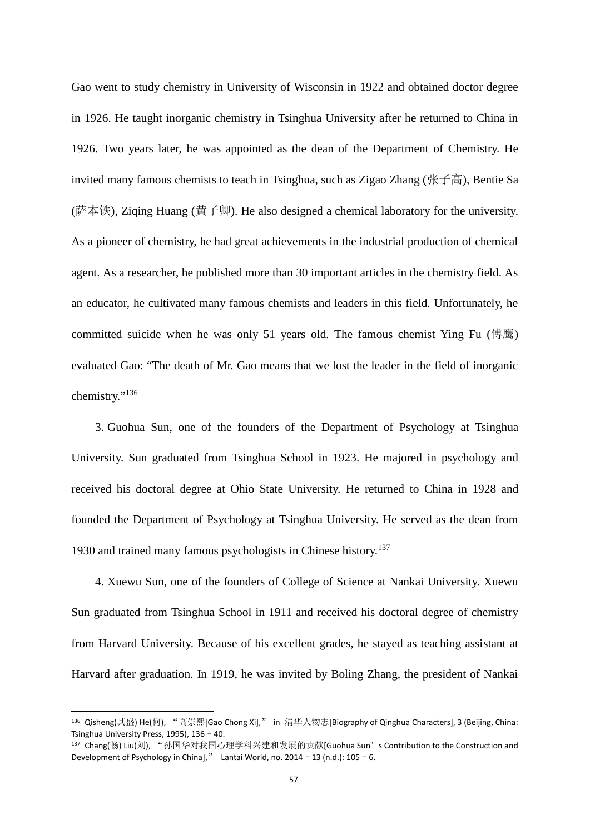Gao went to study chemistry in University of Wisconsin in 1922 and obtained doctor degree in 1926. He taught inorganic chemistry in Tsinghua University after he returned to China in 1926. Two years later, he was appointed as the dean of the Department of Chemistry. He invited many famous chemists to teach in Tsinghua, such as Zigao Zhang (张子高), Bentie Sa (萨本铁), Ziqing Huang (黄子卿). He also designed a chemical laboratory for the university. As a pioneer of chemistry, he had great achievements in the industrial production of chemical agent. As a researcher, he published more than 30 important articles in the chemistry field. As an educator, he cultivated many famous chemists and leaders in this field. Unfortunately, he committed suicide when he was only 51 years old. The famous chemist Ying Fu (傅鹰) evaluated Gao: "The death of Mr. Gao means that we lost the leader in the field of inorganic chemistry."<sup>136</sup>

3. Guohua Sun, one of the founders of the Department of Psychology at Tsinghua University. Sun graduated from Tsinghua School in 1923. He majored in psychology and received his doctoral degree at Ohio State University. He returned to China in 1928 and founded the Department of Psychology at Tsinghua University. He served as the dean from 1930 and trained many famous psychologists in Chinese history.<sup>137</sup>

4. Xuewu Sun, one of the founders of College of Science at Nankai University. Xuewu Sun graduated from Tsinghua School in 1911 and received his doctoral degree of chemistry from Harvard University. Because of his excellent grades, he stayed as teaching assistant at Harvard after graduation. In 1919, he was invited by Boling Zhang, the president of Nankai

<sup>136</sup> Qisheng(其盛) He(何), "高崇熙[Gao Chong Xi]," in 清华人物志[Biography of Qinghua Characters], 3 (Beijing, China: Tsinghua University Press, 1995), 136–40.

<sup>137</sup> Chang(畅) Liu(刘), "孙国华对我国心理学科兴建和发展的贡献[Guohua Sun's Contribution to the Construction and Development of Psychology in China]," Lantai World, no. 2014 - 13 (n.d.):  $105 - 6$ .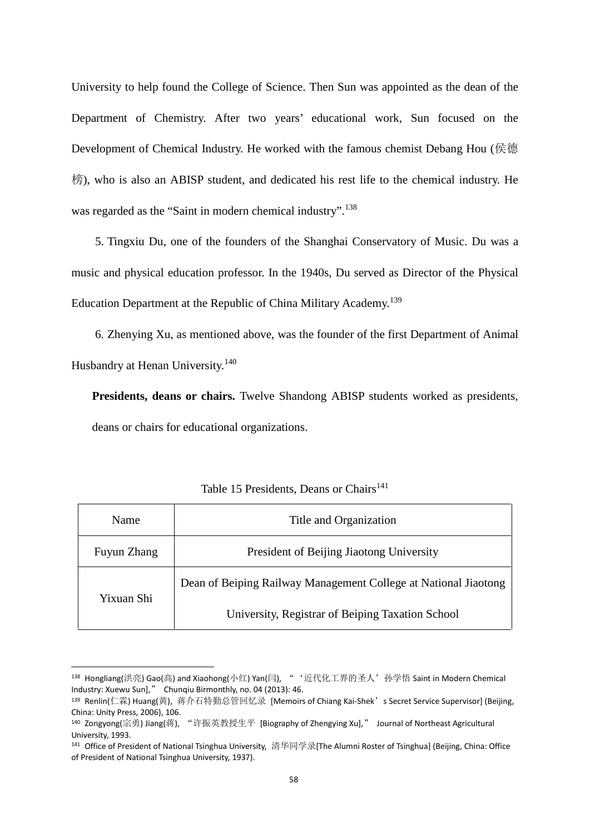University to help found the College of Science. Then Sun was appointed as the dean of the Department of Chemistry. After two years' educational work, Sun focused on the Development of Chemical Industry. He worked with the famous chemist Debang Hou (侯德 榜), who is also an ABISP student, and dedicated his rest life to the chemical industry. He was regarded as the "Saint in modern chemical industry".<sup>138</sup>

5. Tingxiu Du, one of the founders of the Shanghai Conservatory of Music. Du was a music and physical education professor. In the 1940s, Du served as Director of the Physical Education Department at the Republic of China Military Academy.<sup>139</sup>

6. Zhenying Xu, as mentioned above, was the founder of the first Department of Animal Husbandry at Henan University.<sup>140</sup>

**Presidents, deans or chairs.** Twelve Shandong ABISP students worked as presidents, deans or chairs for educational organizations.

| Name        | Title and Organization                                          |
|-------------|-----------------------------------------------------------------|
| Fuyun Zhang | President of Beijing Jiaotong University                        |
| Yixuan Shi  | Dean of Beiping Railway Management College at National Jiaotong |
|             | University, Registrar of Beiping Taxation School                |

| Table 15 Presidents, Deans or Chairs <sup>141</sup> |  |
|-----------------------------------------------------|--|
|-----------------------------------------------------|--|

<sup>&</sup>lt;sup>138</sup> Hongliang(洪亮) Gao(高) and Xiaohong(小红) Yan(闫), "'近代化工界的圣人'孙学悟 Saint in Modern Chemical Industry: Xuewu Sun]," Chunqiu Birmonthly, no. 04 (2013): 46.

<sup>139</sup> Renlin(仁霖) Huang(黄), 蒋介石特勤总管回忆录 [Memoirs of Chiang Kai-Shek's Secret Service Supervisor] (Beijing, China: Unity Press, 2006), 106.

<sup>140</sup> Zongyong(宗勇) Jiang(蒋), "许振英教授生平 [Biography of Zhengying Xu]," Journal of Northeast Agricultural University, 1993.

<sup>141</sup> Office of President of National Tsinghua University, 清华同学录[The Alumni Roster of Tsinghua] (Beijing, China: Office of President of National Tsinghua University, 1937).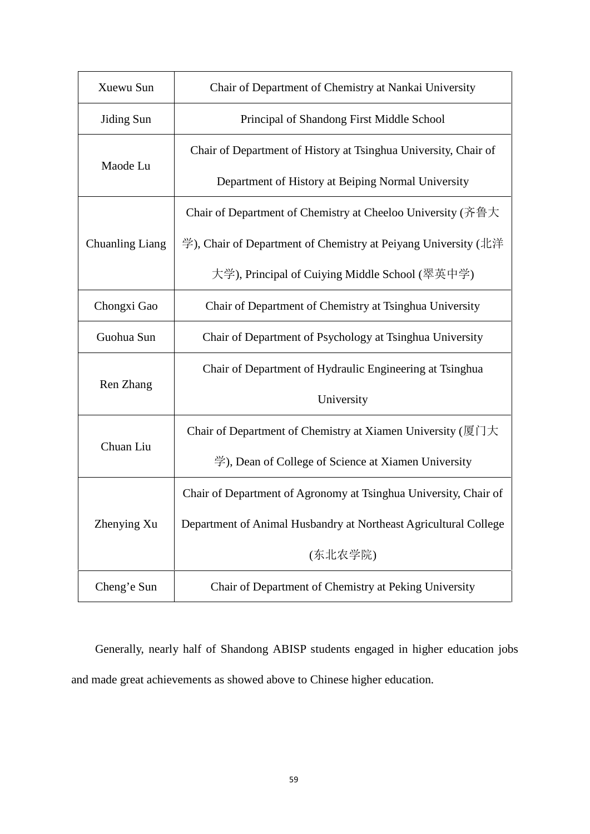| Xuewu Sun              | Chair of Department of Chemistry at Nankai University                                      |
|------------------------|--------------------------------------------------------------------------------------------|
| Jiding Sun             | Principal of Shandong First Middle School                                                  |
|                        | Chair of Department of History at Tsinghua University, Chair of                            |
| Maode Lu               | Department of History at Beiping Normal University                                         |
|                        | Chair of Department of Chemistry at Cheeloo University (齐鲁大                                |
| <b>Chuanling Liang</b> | 学), Chair of Department of Chemistry at Peiyang University (北洋                             |
|                        | 大学), Principal of Cuiying Middle School (翠英中学)                                             |
| Chongxi Gao            | Chair of Department of Chemistry at Tsinghua University                                    |
| Guohua Sun             | Chair of Department of Psychology at Tsinghua University                                   |
| Ren Zhang              | Chair of Department of Hydraulic Engineering at Tsinghua                                   |
|                        | University                                                                                 |
| Chuan Liu              | Chair of Department of Chemistry at Xiamen University ( $\sqrt{\mathbb{E}[\cdot]}$ ) $\pm$ |
|                        | $\overset{\omega}{\Rightarrow}$ ), Dean of College of Science at Xiamen University         |
|                        | Chair of Department of Agronomy at Tsinghua University, Chair of                           |
| Zhenying Xu            | Department of Animal Husbandry at Northeast Agricultural College                           |
|                        | (东北农学院)                                                                                    |
| Cheng'e Sun            | Chair of Department of Chemistry at Peking University                                      |

Generally, nearly half of Shandong ABISP students engaged in higher education jobs and made great achievements as showed above to Chinese higher education.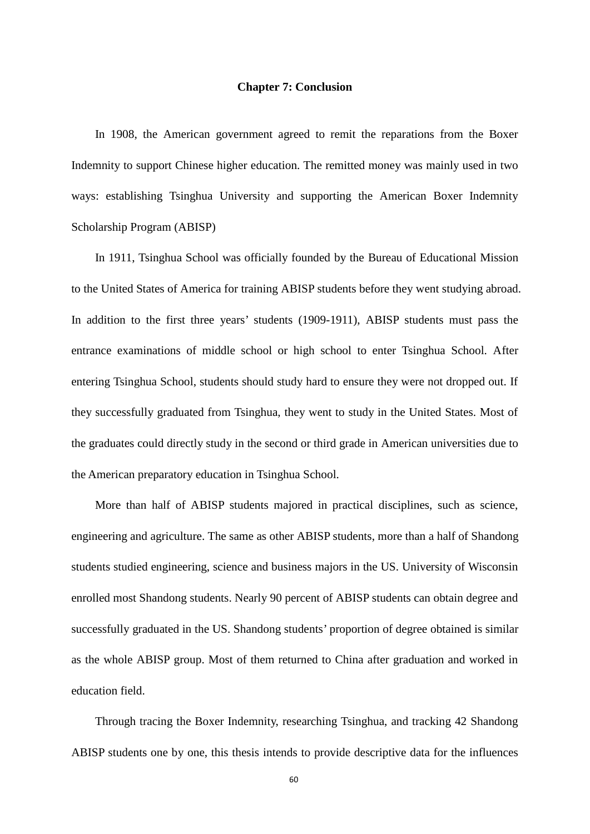#### **Chapter 7: Conclusion**

In 1908, the American government agreed to remit the reparations from the Boxer Indemnity to support Chinese higher education. The remitted money was mainly used in two ways: establishing Tsinghua University and supporting the American Boxer Indemnity Scholarship Program (ABISP)

In 1911, Tsinghua School was officially founded by the Bureau of Educational Mission to the United States of America for training ABISP students before they went studying abroad. In addition to the first three years' students (1909-1911), ABISP students must pass the entrance examinations of middle school or high school to enter Tsinghua School. After entering Tsinghua School, students should study hard to ensure they were not dropped out. If they successfully graduated from Tsinghua, they went to study in the United States. Most of the graduates could directly study in the second or third grade in American universities due to the American preparatory education in Tsinghua School.

More than half of ABISP students majored in practical disciplines, such as science, engineering and agriculture. The same as other ABISP students, more than a half of Shandong students studied engineering, science and business majors in the US. University of Wisconsin enrolled most Shandong students. Nearly 90 percent of ABISP students can obtain degree and successfully graduated in the US. Shandong students' proportion of degree obtained is similar as the whole ABISP group. Most of them returned to China after graduation and worked in education field.

Through tracing the Boxer Indemnity, researching Tsinghua, and tracking 42 Shandong ABISP students one by one, this thesis intends to provide descriptive data for the influences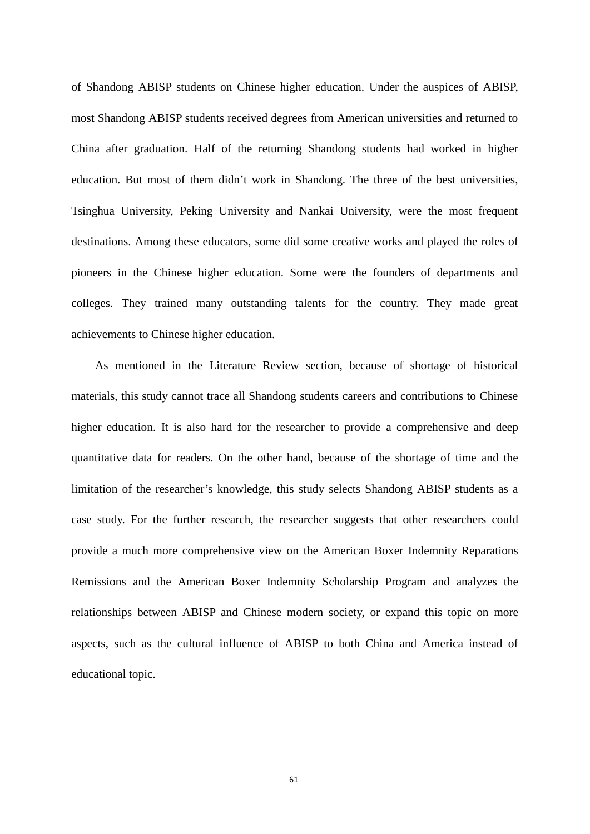of Shandong ABISP students on Chinese higher education. Under the auspices of ABISP, most Shandong ABISP students received degrees from American universities and returned to China after graduation. Half of the returning Shandong students had worked in higher education. But most of them didn't work in Shandong. The three of the best universities, Tsinghua University, Peking University and Nankai University, were the most frequent destinations. Among these educators, some did some creative works and played the roles of pioneers in the Chinese higher education. Some were the founders of departments and colleges. They trained many outstanding talents for the country. They made great achievements to Chinese higher education.

As mentioned in the Literature Review section, because of shortage of historical materials, this study cannot trace all Shandong students careers and contributions to Chinese higher education. It is also hard for the researcher to provide a comprehensive and deep quantitative data for readers. On the other hand, because of the shortage of time and the limitation of the researcher's knowledge, this study selects Shandong ABISP students as a case study. For the further research, the researcher suggests that other researchers could provide a much more comprehensive view on the American Boxer Indemnity Reparations Remissions and the American Boxer Indemnity Scholarship Program and analyzes the relationships between ABISP and Chinese modern society, or expand this topic on more aspects, such as the cultural influence of ABISP to both China and America instead of educational topic.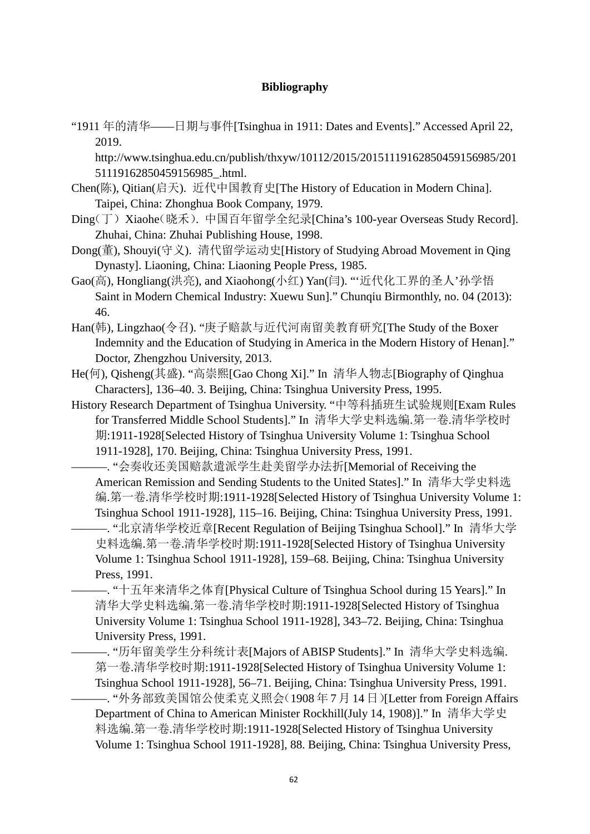# **Bibliography**

"1911 年的清华——日期与事件[Tsinghua in 1911: Dates and Events]." Accessed April 22, 2019.

http://www.tsinghua.edu.cn/publish/thxyw/10112/2015/20151119162850459156985/201 51119162850459156985\_.html.

- Chen(陈), Qitian(启天). 近代中国教育史[The History of Education in Modern China]. Taipei, China: Zhonghua Book Company, 1979.
- Ding(丁)Xiaohe(晓禾). 中国百年留学全纪录[China's 100-year Overseas Study Record]. Zhuhai, China: Zhuhai Publishing House, 1998.
- Dong(董), Shouyi(守义). 清代留学运动史[History of Studying Abroad Movement in Qing Dynasty]. Liaoning, China: Liaoning People Press, 1985.
- Gao(高), Hongliang(洪亮), and Xiaohong(小红) Yan(闫). "'近代化工界的圣人'孙学悟 Saint in Modern Chemical Industry: Xuewu Sun]." Chunqiu Birmonthly, no. 04 (2013): 46.
- Han(韩), Lingzhao(令召). "庚子赔款与近代河南留美教育研究[The Study of the Boxer Indemnity and the Education of Studying in America in the Modern History of Henan]." Doctor, Zhengzhou University, 2013.
- He(何), Qisheng(其盛). "高崇熙[Gao Chong Xi]." In 清华人物志[Biography of Qinghua Characters], 136–40. 3. Beijing, China: Tsinghua University Press, 1995.
- History Research Department of Tsinghua University. "中等科插班生试验规则[Exam Rules for Transferred Middle School Students]." In 清华大学史料选编.第一卷.清华学校时 期:1911-1928[Selected History of Tsinghua University Volume 1: Tsinghua School 1911-1928], 170. Beijing, China: Tsinghua University Press, 1991.

———. "会奏收还美国赔款遣派学生赴美留学办法折[Memorial of Receiving the American Remission and Sending Students to the United States]." In 清华大学史料选 编.第一卷.清华学校时期:1911-1928[Selected History of Tsinghua University Volume 1: Tsinghua School 1911-1928], 115–16. Beijing, China: Tsinghua University Press, 1991. ———. "北京清华学校近章[Recent Regulation of Beijing Tsinghua School]." In 清华大学 史料选编.第一卷.清华学校时期:1911-1928[Selected History of Tsinghua University Volume 1: Tsinghua School 1911-1928], 159–68. Beijing, China: Tsinghua University Press, 1991.

———. "十五年来清华之体育[Physical Culture of Tsinghua School during 15 Years]." In 清华大学史料选编.第一卷.清华学校时期:1911-1928[Selected History of Tsinghua University Volume 1: Tsinghua School 1911-1928], 343–72. Beijing, China: Tsinghua University Press, 1991.

———. "历年留美学生分科统计表[Majors of ABISP Students]." In 清华大学史料选编. 第一卷.清华学校时期:1911-1928[Selected History of Tsinghua University Volume 1: Tsinghua School 1911-1928], 56–71. Beijing, China: Tsinghua University Press, 1991. ———. "外务部致美国馆公使柔克义照会(1908 年 7 月 14 日)[Letter from Foreign Affairs Department of China to American Minister Rockhill(July 14, 1908)]." In 清华大学史 料选编.第一卷.清华学校时期:1911-1928[Selected History of Tsinghua University Volume 1: Tsinghua School 1911-1928], 88. Beijing, China: Tsinghua University Press,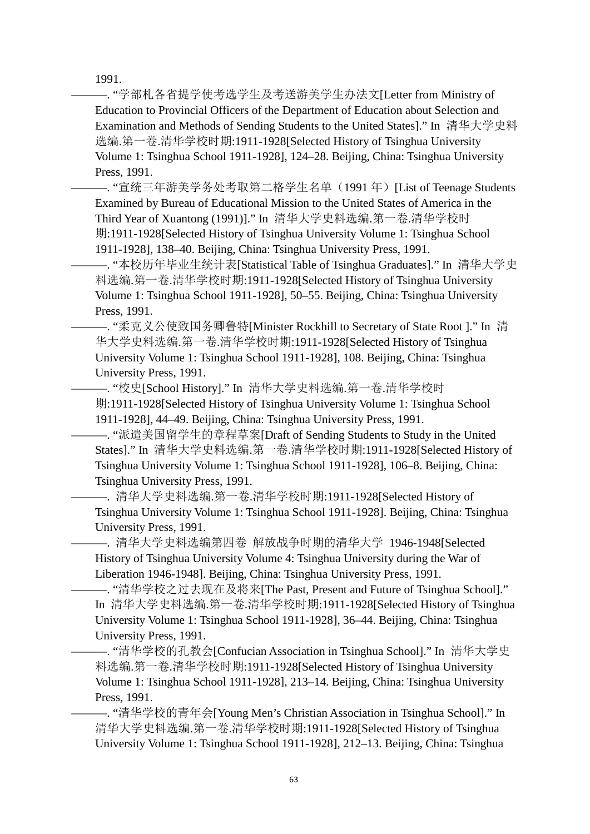1991.

 $-$ . "学部札各省提学使考选学生及考送游美学生办法文[Letter from Ministry of Education to Provincial Officers of the Department of Education about Selection and Examination and Methods of Sending Students to the United States]." In 清华大学史料 选编.第一卷.清华学校时期:1911-1928[Selected History of Tsinghua University Volume 1: Tsinghua School 1911-1928], 124–28. Beijing, China: Tsinghua University Press, 1991.

——. "宣统三年游美学务处考取第二格学生名单(1991年) [List of Teenage Students Examined by Bureau of Educational Mission to the United States of America in the Third Year of Xuantong (1991)]." In 清华大学史料选编.第一卷.清华学校时 期:1911-1928[Selected History of Tsinghua University Volume 1: Tsinghua School 1911-1928], 138–40. Beijing, China: Tsinghua University Press, 1991.

———. "本校历年毕业生统计表[Statistical Table of Tsinghua Graduates]." In 清华大学史 料选编.第一卷.清华学校时期:1911-1928[Selected History of Tsinghua University Volume 1: Tsinghua School 1911-1928], 50–55. Beijing, China: Tsinghua University Press, 1991.

———. "柔克义公使致国务卿鲁特[Minister Rockhill to Secretary of State Root ]." In 清 华大学史料选编.第一卷.清华学校时期:1911-1928[Selected History of Tsinghua University Volume 1: Tsinghua School 1911-1928], 108. Beijing, China: Tsinghua University Press, 1991.

—. "校史[School History]." In 清华大学史料选编.第一卷.清华学校时 期:1911-1928[Selected History of Tsinghua University Volume 1: Tsinghua School 1911-1928], 44–49. Beijing, China: Tsinghua University Press, 1991.

———. "派遣美国留学生的章程草案[Draft of Sending Students to Study in the United States]." In 清华大学史料选编.第一卷.清华学校时期:1911-1928[Selected History of Tsinghua University Volume 1: Tsinghua School 1911-1928], 106–8. Beijing, China: Tsinghua University Press, 1991.

———. 清华大学史料选编.第一卷.清华学校时期:1911-1928[Selected History of Tsinghua University Volume 1: Tsinghua School 1911-1928]. Beijing, China: Tsinghua University Press, 1991.

———. 清华大学史料选编第四卷 解放战争时期的清华大学 1946-1948[Selected History of Tsinghua University Volume 4: Tsinghua University during the War of Liberation 1946-1948]. Beijing, China: Tsinghua University Press, 1991.

———. "清华学校之过去现在及将来[The Past, Present and Future of Tsinghua School]." In 清华大学史料选编.第一卷.清华学校时期:1911-1928[Selected History of Tsinghua University Volume 1: Tsinghua School 1911-1928], 36–44. Beijing, China: Tsinghua University Press, 1991.

———. "清华学校的孔教会[Confucian Association in Tsinghua School]." In 清华大学史 料选编.第一卷.清华学校时期:1911-1928[Selected History of Tsinghua University Volume 1: Tsinghua School 1911-1928], 213–14. Beijing, China: Tsinghua University Press, 1991.

———. "清华学校的青年会[Young Men's Christian Association in Tsinghua School]." In 清华大学史料选编.第一卷.清华学校时期:1911-1928[Selected History of Tsinghua University Volume 1: Tsinghua School 1911-1928], 212–13. Beijing, China: Tsinghua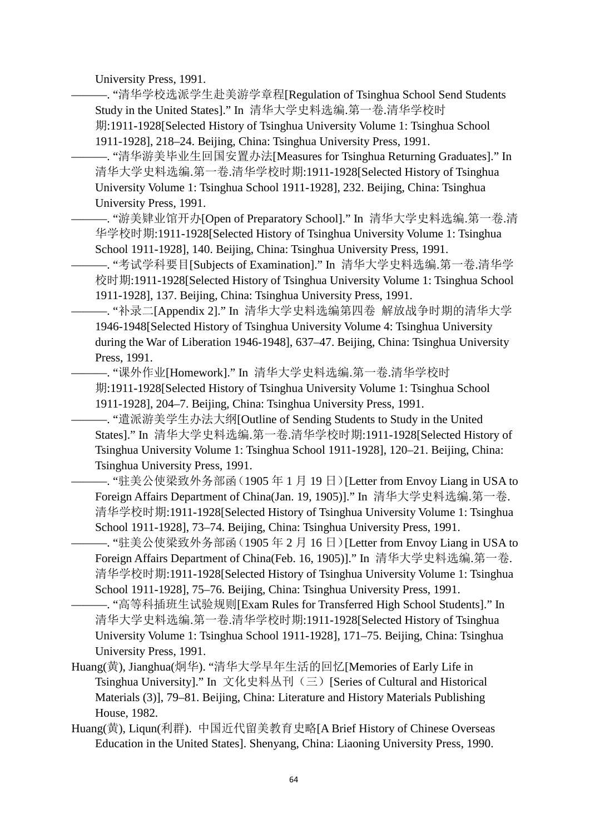University Press, 1991.

-. "清华学校选派学生赴美游学章程[Regulation of Tsinghua School Send Students Study in the United States]." In 清华大学史料选编.第一卷.清华学校时

期:1911-1928[Selected History of Tsinghua University Volume 1: Tsinghua School 1911-1928], 218–24. Beijing, China: Tsinghua University Press, 1991.

———. "清华游美毕业生回国安置办法[Measures for Tsinghua Returning Graduates]." In 清华大学史料选编.第一卷.清华学校时期:1911-1928[Selected History of Tsinghua University Volume 1: Tsinghua School 1911-1928], 232. Beijing, China: Tsinghua University Press, 1991.

-. "游美肄业馆开办[Open of Preparatory School]." In 清华大学史料选编.第一卷.清 华学校时期:1911-1928[Selected History of Tsinghua University Volume 1: Tsinghua School 1911-1928], 140. Beijing, China: Tsinghua University Press, 1991.

———. "考试学科要目[Subjects of Examination]." In 清华大学史料选编.第一卷.清华学 校时期:1911-1928[Selected History of Tsinghua University Volume 1: Tsinghua School 1911-1928], 137. Beijing, China: Tsinghua University Press, 1991.

———. "补录二[Appendix 2]." In 清华大学史料选编第四卷 解放战争时期的清华大学 1946-1948[Selected History of Tsinghua University Volume 4: Tsinghua University during the War of Liberation 1946-1948], 637–47. Beijing, China: Tsinghua University Press, 1991.

—. "课外作业[Homework]." In 清华大学史料选编.第一卷.清华学校时 期:1911-1928[Selected History of Tsinghua University Volume 1: Tsinghua School 1911-1928], 204–7. Beijing, China: Tsinghua University Press, 1991.

———. "遣派游美学生办法大纲[Outline of Sending Students to Study in the United States]." In 清华大学史料选编.第一卷.清华学校时期:1911-1928[Selected History of Tsinghua University Volume 1: Tsinghua School 1911-1928], 120–21. Beijing, China: Tsinghua University Press, 1991.

———. "驻美公使梁致外务部函(1905 年 1 月 19 日)[Letter from Envoy Liang in USA to Foreign Affairs Department of China(Jan. 19, 1905)]." In 清华大学史料选编.第一卷. 清华学校时期:1911-1928[Selected History of Tsinghua University Volume 1: Tsinghua School 1911-1928], 73–74. Beijing, China: Tsinghua University Press, 1991.

———. "驻美公使梁致外务部函(1905 年 2 月 16 日)[Letter from Envoy Liang in USA to Foreign Affairs Department of China(Feb. 16, 1905)]." In 清华大学史料选编.第一卷. 清华学校时期:1911-1928[Selected History of Tsinghua University Volume 1: Tsinghua School 1911-1928], 75–76. Beijing, China: Tsinghua University Press, 1991.

-. "高等科插班生试验规则[Exam Rules for Transferred High School Students]." In 清华大学史料选编.第一卷.清华学校时期:1911-1928[Selected History of Tsinghua University Volume 1: Tsinghua School 1911-1928], 171–75. Beijing, China: Tsinghua University Press, 1991.

- Huang(黄), Jianghua(炯华). "清华大学早年生活的回忆[Memories of Early Life in Tsinghua University]." In 文化史料丛刊(三)[Series of Cultural and Historical Materials (3)], 79–81. Beijing, China: Literature and History Materials Publishing House, 1982.
- Huang(黄), Liqun(利群). 中国近代留美教育史略[A Brief History of Chinese Overseas Education in the United States]. Shenyang, China: Liaoning University Press, 1990.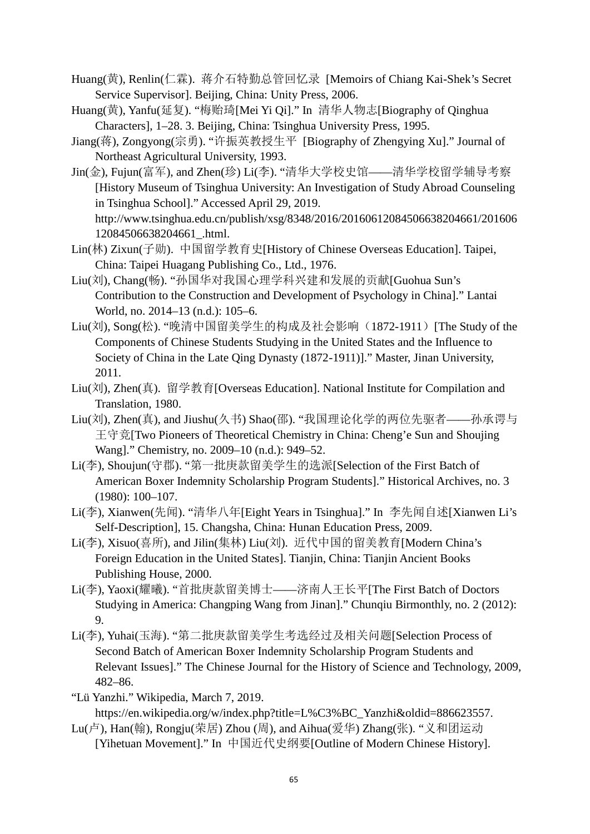- Huang(黄), Renlin(仁霖). 蒋介石特勤总管回忆录 [Memoirs of Chiang Kai-Shek's Secret Service Supervisor]. Beijing, China: Unity Press, 2006.
- Huang(黄), Yanfu(延复). "梅贻琦[Mei Yi Qi]." In 清华人物志[Biography of Qinghua Characters], 1–28. 3. Beijing, China: Tsinghua University Press, 1995.
- Jiang(蒋), Zongyong(宗勇). "许振英教授生平 [Biography of Zhengying Xu]." Journal of Northeast Agricultural University, 1993.
- Jin(金), Fujun(富军), and Zhen(珍) Li(李). "清华大学校史馆——清华学校留学辅导考察 [History Museum of Tsinghua University: An Investigation of Study Abroad Counseling in Tsinghua School]." Accessed April 29, 2019. http://www.tsinghua.edu.cn/publish/xsg/8348/2016/20160612084506638204661/201606 12084506638204661\_.html.
- Lin(林) Zixun(子勋). 中国留学教育史[History of Chinese Overseas Education]. Taipei, China: Taipei Huagang Publishing Co., Ltd., 1976.
- Liu(刘), Chang(畅). "孙国华对我国心理学科兴建和发展的贡献[Guohua Sun's Contribution to the Construction and Development of Psychology in China]." Lantai World, no. 2014–13 (n.d.): 105–6.
- Liu(刘), Song(松). "晚清中国留美学生的构成及社会影响(1872-1911) [The Study of the Components of Chinese Students Studying in the United States and the Influence to Society of China in the Late Qing Dynasty (1872-1911)]." Master, Jinan University, 2011.
- Liu(刘), Zhen(真). 留学教育[Overseas Education]. National Institute for Compilation and Translation, 1980.
- Liu(刘), Zhen(真), and Jiushu(久书) Shao(邵). "我国理论化学的两位先驱者——孙承谔与 王守竞[Two Pioneers of Theoretical Chemistry in China: Cheng'e Sun and Shoujing Wang]." Chemistry, no. 2009–10 (n.d.): 949–52.
- Li(李), Shoujun(守郡). "第一批庚款留美学生的选派[Selection of the First Batch of American Boxer Indemnity Scholarship Program Students]." Historical Archives, no. 3 (1980): 100–107.
- Li(李), Xianwen(先闻). "清华八年[Eight Years in Tsinghua]." In 李先闻自述[Xianwen Li's Self-Description], 15. Changsha, China: Hunan Education Press, 2009.
- Li(李), Xisuo(喜所), and Jilin(集林) Liu(刘). 近代中国的留美教育[Modern China's Foreign Education in the United States]. Tianjin, China: Tianjin Ancient Books Publishing House, 2000.
- Li(李), Yaoxi(耀曦). "首批庚款留美博士——济南人王长平[The First Batch of Doctors Studying in America: Changping Wang from Jinan]." Chunqiu Birmonthly, no. 2 (2012): 9.
- Li(李), Yuhai(玉海). "第二批庚款留美学生考选经过及相关问题[Selection Process of Second Batch of American Boxer Indemnity Scholarship Program Students and Relevant Issues]." The Chinese Journal for the History of Science and Technology, 2009, 482–86.
- "Lü Yanzhi." Wikipedia, March 7, 2019. https://en.wikipedia.org/w/index.php?title=L%C3%BC\_Yanzhi&oldid=886623557.
- Lu(卢), Han(翰), Rongju(荣居) Zhou (周), and Aihua(爱华) Zhang(张). "义和团运动 [Yihetuan Movement]." In 中国近代史纲要[Outline of Modern Chinese History].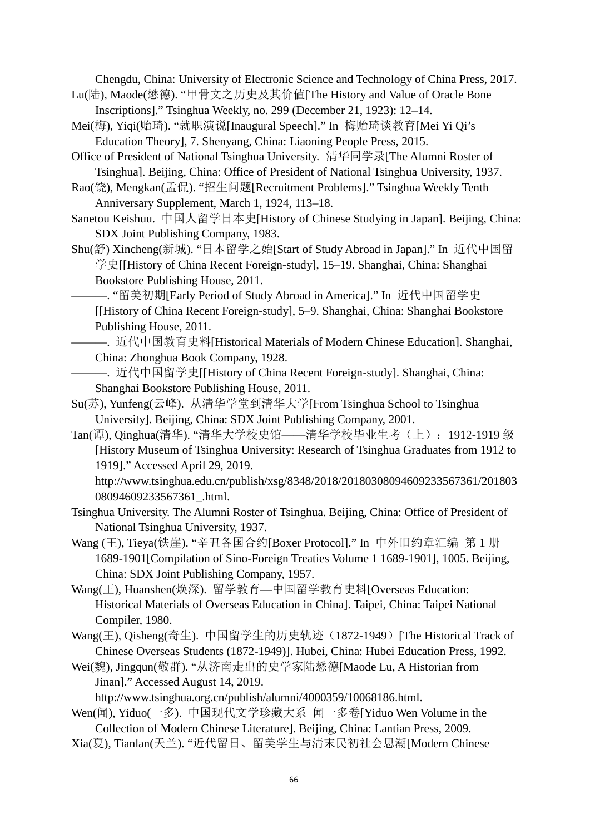Chengdu, China: University of Electronic Science and Technology of China Press, 2017.

- Lu(陆), Maode(懋德). "甲骨文之历史及其价値[The History and Value of Oracle Bone Inscriptions]." Tsinghua Weekly, no. 299 (December 21, 1923): 12–14.
- Mei(梅), Yiqi(贻琦). "就职演说[Inaugural Speech]." In 梅贻琦谈教育[Mei Yi Qi's Education Theory], 7. Shenyang, China: Liaoning People Press, 2015.

Office of President of National Tsinghua University. 清华同学录[The Alumni Roster of Tsinghua]. Beijing, China: Office of President of National Tsinghua University, 1937.

Rao(饶), Mengkan(孟侃). "招生问题[Recruitment Problems]." Tsinghua Weekly Tenth Anniversary Supplement, March 1, 1924, 113–18.

Sanetou Keishuu. 中国人留学日本史[History of Chinese Studying in Japan]. Beijing, China: SDX Joint Publishing Company, 1983.

Shu(舒) Xincheng(新城). "日本留学之始[Start of Study Abroad in Japan]." In 近代中国留 学史[[History of China Recent Foreign-study], 15–19. Shanghai, China: Shanghai Bookstore Publishing House, 2011.

———. "留美初期[Early Period of Study Abroad in America]." In 近代中国留学史 [[History of China Recent Foreign-study], 5–9. Shanghai, China: Shanghai Bookstore Publishing House, 2011.

———. 近代中国教育史料[Historical Materials of Modern Chinese Education]. Shanghai, China: Zhonghua Book Company, 1928.

———. 近代中国留学史[[History of China Recent Foreign-study]. Shanghai, China: Shanghai Bookstore Publishing House, 2011.

- Su(苏), Yunfeng(云峰). 从清华学堂到清华大学[From Tsinghua School to Tsinghua University]. Beijing, China: SDX Joint Publishing Company, 2001.
- Tan(谭), Qinghua(清华). "清华大学校史馆——清华学校毕业生考(上):1912-1919 级 [History Museum of Tsinghua University: Research of Tsinghua Graduates from 1912 to 1919]." Accessed April 29, 2019.

http://www.tsinghua.edu.cn/publish/xsg/8348/2018/20180308094609233567361/201803 08094609233567361 .html.

- Tsinghua University. The Alumni Roster of Tsinghua. Beijing, China: Office of President of National Tsinghua University, 1937.
- Wang (王), Tieya(铁崖). "辛丑各国合约[Boxer Protocol]." In 中外旧约章汇编 第 1 册 1689-1901[Compilation of Sino-Foreign Treaties Volume 1 1689-1901], 1005. Beijing, China: SDX Joint Publishing Company, 1957.

Wang(王), Huanshen(焕深). 留学教育—中国留学教育史料[Overseas Education: Historical Materials of Overseas Education in China]. Taipei, China: Taipei National Compiler, 1980.

Wang(王), Oisheng(奇生). 中国留学生的历史轨迹(1872-1949) [The Historical Track of Chinese Overseas Students (1872-1949)]. Hubei, China: Hubei Education Press, 1992.

Wei(魏), Jingqun(敬群). "从济南走出的史学家陆懋德[Maode Lu, A Historian from Jinan]." Accessed August 14, 2019.

http://www.tsinghua.org.cn/publish/alumni/4000359/10068186.html.

- Wen(闻), Yiduo(一多). 中国现代文学珍藏大系 闻一多卷[Yiduo Wen Volume in the Collection of Modern Chinese Literature]. Beijing, China: Lantian Press, 2009.
- Xia(夏), Tianlan(天兰). "近代留日、留美学生与清末民初社会思潮[Modern Chinese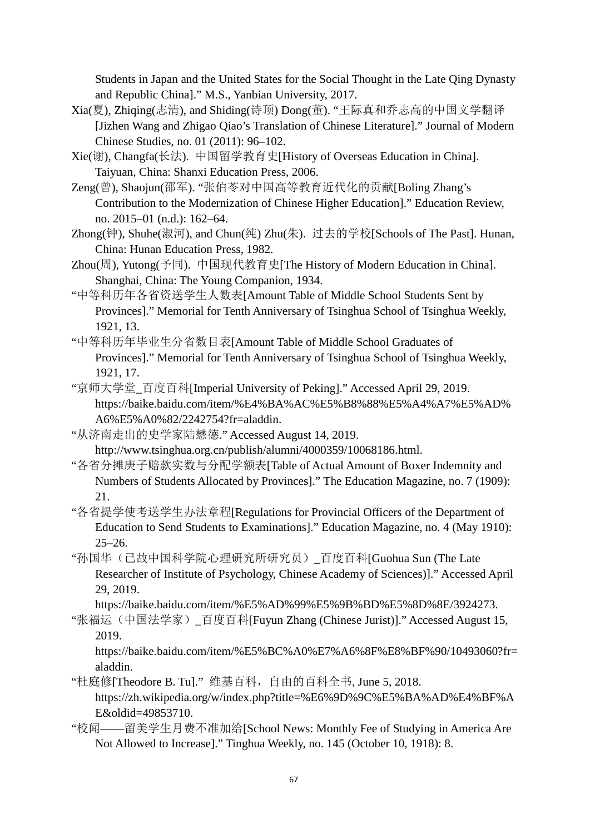Students in Japan and the United States for the Social Thought in the Late Qing Dynasty and Republic China]." M.S., Yanbian University, 2017.

- Xia(夏), Zhiqing(志清), and Shiding(诗顶) Dong(董). "王际真和乔志高的中国文学翻译 [Jizhen Wang and Zhigao Qiao's Translation of Chinese Literature]." Journal of Modern Chinese Studies, no. 01 (2011): 96–102.
- Xie(谢), Changfa(长法). 中国留学教育史[History of Overseas Education in China]. Taiyuan, China: Shanxi Education Press, 2006.
- Zeng(曾), Shaojun(邵军). "张伯苓对中国高等教育近代化的贡献[Boling Zhang's Contribution to the Modernization of Chinese Higher Education]." Education Review, no. 2015–01 (n.d.): 162–64.
- Zhong(钟), Shuhe(淑河), and Chun(纯) Zhu(朱). 过去的学校[Schools of The Past]. Hunan, China: Hunan Education Press, 1982.
- Zhou(周), Yutong(予同). 中国现代教育史[The History of Modern Education in China]. Shanghai, China: The Young Companion, 1934.
- "中等科历年各省资送学生人数表[Amount Table of Middle School Students Sent by Provinces]." Memorial for Tenth Anniversary of Tsinghua School of Tsinghua Weekly, 1921, 13.
- "中等科历年毕业生分省数目表[Amount Table of Middle School Graduates of Provinces]." Memorial for Tenth Anniversary of Tsinghua School of Tsinghua Weekly, 1921, 17.
- "京师大学堂\_百度百科[Imperial University of Peking]." Accessed April 29, 2019. https://baike.baidu.com/item/%E4%BA%AC%E5%B8%88%E5%A4%A7%E5%AD% A6%E5%A0%82/2242754?fr=aladdin.
- "从济南走出的史学家陆懋德." Accessed August 14, 2019.
	- http://www.tsinghua.org.cn/publish/alumni/4000359/10068186.html.
- "各省分摊庚子赔款实数与分配学额表[Table of Actual Amount of Boxer Indemnity and Numbers of Students Allocated by Provinces]." The Education Magazine, no. 7 (1909): 21.
- "各省提学使考送学生办法章程[Regulations for Provincial Officers of the Department of Education to Send Students to Examinations]." Education Magazine, no. 4 (May 1910): 25–26.
- "孙国华(己故中国科学院心理研究所研究员) 百度百科[Guohua Sun (The Late Researcher of Institute of Psychology, Chinese Academy of Sciences)]." Accessed April 29, 2019.
	- https://baike.baidu.com/item/%E5%AD%99%E5%9B%BD%E5%8D%8E/3924273.
- "张福运(中国法学家) 百度百科[Fuyun Zhang (Chinese Jurist)]." Accessed August 15, 2019.
	- https://baike.baidu.com/item/%E5%BC%A0%E7%A6%8F%E8%BF%90/10493060?fr= aladdin.
- "杜庭修[Theodore B. Tu]." 维基百科,自由的百科全书, June 5, 2018. https://zh.wikipedia.org/w/index.php?title=%E6%9D%9C%E5%BA%AD%E4%BF%A E&oldid=49853710.
- "校闻——留美学生月费不准加给[School News: Monthly Fee of Studying in America Are Not Allowed to Increase]." Tinghua Weekly, no. 145 (October 10, 1918): 8.